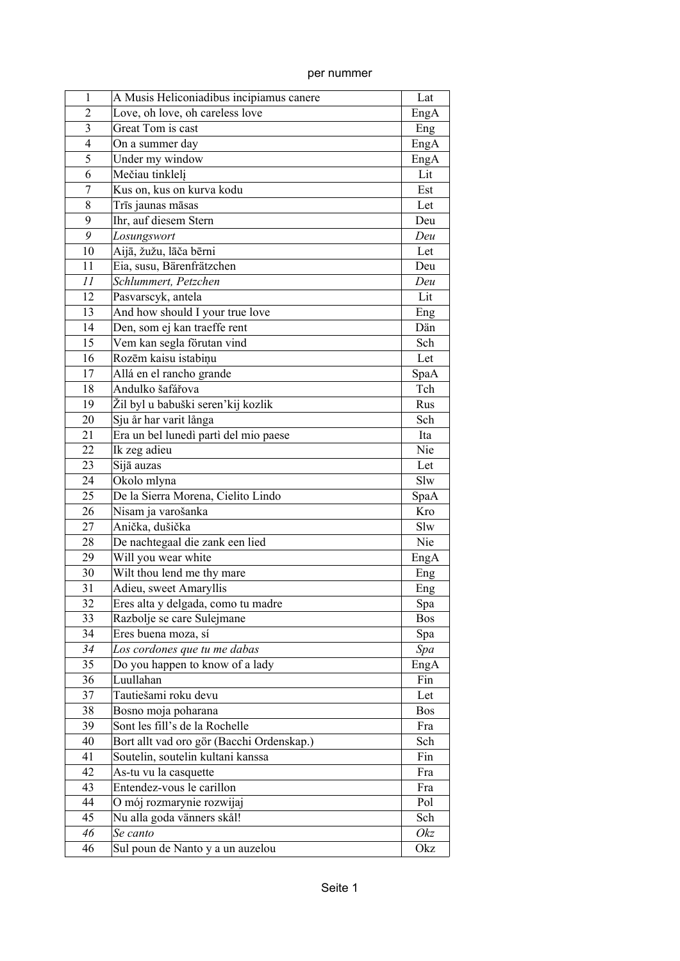| per nummer |  |
|------------|--|

| 1              | A Musis Heliconiadibus incipiamus canere  | Lat        |
|----------------|-------------------------------------------|------------|
| $\overline{2}$ | Love, oh love, oh careless love           | EngA       |
| 3              | Great Tom is cast                         | Eng        |
| $\overline{4}$ | On a summer day                           | EngA       |
| 5              | Under my window                           | EngA       |
| 6              | Mečiau tinklelj                           | Lit        |
| 7              | Kus on, kus on kurva kodu                 | Est        |
| 8              | Trīs jaunas māsas                         | Let        |
| 9              | Ihr, auf diesem Stern                     | Deu        |
| 9              | Losungswort                               | Deu        |
| 10             | Aijā, žužu, lāča bērni                    | Let        |
| 11             | Eia, susu, Bärenfrätzchen                 | Deu        |
| 11             | Schlummert, Petzchen                      | Deu        |
| 12             | Pasvarscyk, antela                        | Lit        |
| 13             | And how should I your true love           | Eng        |
| 14             | Den, som ej kan traeffe rent              | Dän        |
| 15             | Vem kan segla förutan vind                | Sch        |
| 16             | Rozēm kaisu istabiņu                      | Let        |
| 17             | Allá en el rancho grande                  | SpaA       |
| 18             | Andulko šafářova                          | Tch        |
| 19             | Žil byl u babuški seren'kij kozlik        | Rus        |
| 20             | Sju år har varit långa                    | Sch        |
| 21             | Era un bel lunedì partì del mio paese     | Ita        |
| 22             |                                           | Nie        |
| 23             | Ik zeg adieu                              | Let        |
| 24             | Sijā auzas                                | Slw        |
|                | Okolo mlyna                               |            |
| 25             | De la Sierra Morena, Cielito Lindo        | SpaA       |
| 26             | Nisam ja varošanka                        | Kro        |
| 27             | Anička, dušička                           | Slw        |
| 28             | De nachtegaal die zank een lied           | Nie        |
| 29             | Will you wear white                       | EngA       |
| 30             | Wilt thou lend me thy mare                | Eng        |
| 31             | Adieu, sweet Amaryllis                    | Eng        |
| 32             | Eres alta y delgada, como tu madre        | Spa        |
| 33             | Razbolje se care Sulejmane                | Bos        |
| 34             | Eres buena moza, sí                       | Spa        |
| 34             | Los cordones que tu me dabas              | Spa        |
| 35             | Do you happen to know of a lady           | EngA       |
| 36             | Luullahan                                 | Fin        |
| 37             | Tautiešami roku devu                      | Let        |
| 38             | Bosno moja poharana                       | <b>Bos</b> |
| 39             | Sont les fill's de la Rochelle            | Fra        |
| 40             | Bort allt vad oro gör (Bacchi Ordenskap.) | Sch        |
| 41             | Soutelin, soutelin kultani kanssa         | Fin        |
| 42             | As-tu vu la casquette                     | Fra        |
| 43             | Entendez-vous le carillon                 | Fra        |
| 44             | O mój rozmarynie rozwijaj                 | Pol        |
| 45             | Nu alla goda vänners skål!                | Sch        |
| 46             | Se canto                                  | Okz        |
| 46             | Sul poun de Nanto y a un auzelou          | Okz        |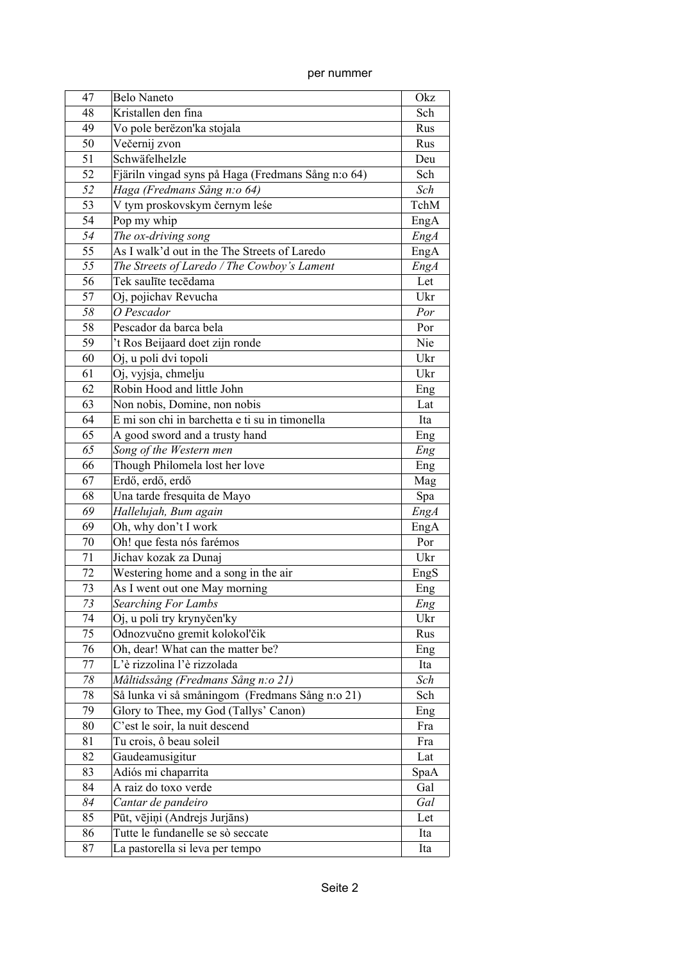| 47 | <b>Belo Naneto</b>                                 | Okz        |
|----|----------------------------------------------------|------------|
| 48 | Kristallen den fina                                | Sch        |
| 49 | Vo pole berëzon'ka stojala                         | Rus        |
| 50 | Večernij zvon                                      | Rus        |
| 51 | Schwäfelhelzle                                     | Deu        |
| 52 | Fjäriln vingad syns på Haga (Fredmans Sång n:o 64) | Sch        |
| 52 | Haga (Fredmans Sång n: o 64)                       | Sch        |
| 53 | V tym proskovskym černym leśe                      | TchM       |
| 54 | Pop my whip                                        | EngA       |
| 54 | The ox-driving song                                | EngA       |
| 55 | As I walk'd out in the The Streets of Laredo       | EngA       |
| 55 | The Streets of Laredo / The Cowboy's Lament        | EngA       |
| 56 | Tek saulīte tecēdama                               | Let        |
| 57 | Oj, pojichav Revucha                               | Ukr        |
| 58 | O Pescador                                         | Por        |
| 58 | Pescador da barca bela                             | Por        |
| 59 | 't Ros Beijaard doet zijn ronde                    | Nie        |
| 60 | Oj, u poli dvi topoli                              | Ukr        |
| 61 | Oj, vyjsja, chmelju                                | Ukr        |
| 62 | Robin Hood and little John                         |            |
| 63 | Non nobis, Domine, non nobis                       | Eng<br>Lat |
| 64 | E mi son chi in barchetta e ti su in timonella     |            |
| 65 |                                                    | Ita        |
|    | A good sword and a trusty hand                     | Eng        |
| 65 | Song of the Western men                            | Eng        |
| 66 | Though Philomela lost her love                     | Eng        |
| 67 | Erdő, erdő, erdő                                   | Mag        |
| 68 | Una tarde fresquita de Mayo                        | Spa        |
| 69 | Hallelujah, Bum again                              | EngA       |
| 69 | Oh, why don't I work                               | EngA       |
| 70 | Oh! que festa nós farémos                          | Por        |
| 71 | Jichav kozak za Dunaj                              | Ukr        |
| 72 | Westering home and a song in the air               | EngS       |
| 73 | As I went out one May morning                      | Eng        |
| 73 | <b>Searching For Lambs</b>                         | Eng        |
| 74 | Oj, u poli try krynyčen'ky                         | Ukr        |
| 75 | Odnozvučno gremit kolokol'čik                      | Rus        |
| 76 | Oh, dear! What can the matter be?                  | Eng        |
| 77 | L'è rizzolina l'è rizzolada                        | Ita        |
| 78 | Måltidssång (Fredmans Sång n:o 21)                 | Sch        |
| 78 | Så lunka vi så småningom (Fredmans Sång n:o 21)    | Sch        |
| 79 | Glory to Thee, my God (Tallys' Canon)              | Eng        |
| 80 | C'est le soir, la nuit descend                     | Fra        |
| 81 | Tu crois, ô beau soleil                            | Fra        |
| 82 | Gaudeamusigitur                                    | Lat        |
| 83 | Adiós mi chaparrita                                | SpaA       |
| 84 | A raiz do toxo verde                               | Gal        |
| 84 | Cantar de pandeiro                                 | Gal        |
| 85 | Pūt, vējiņi (Andrejs Jurjāns)                      | Let        |
| 86 | Tutte le fundanelle se sò seccate                  | Ita        |
| 87 | La pastorella si leva per tempo                    | Ita        |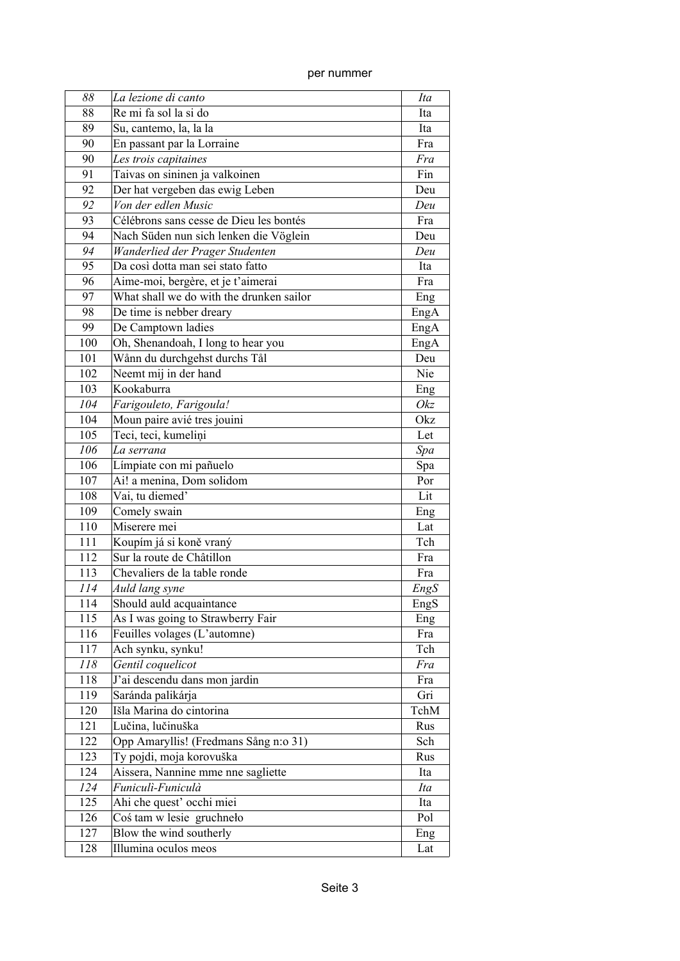| 88  | La lezione di canto                      | Ita  |
|-----|------------------------------------------|------|
| 88  | Re mi fa sol la si do                    | Ita  |
| 89  | Su, cantemo, la, la la                   | Ita  |
| 90  | En passant par la Lorraine               | Fra  |
| 90  | Les trois capitaines                     | Fra  |
| 91  | Taivas on sininen ja valkoinen           | Fin  |
| 92  | Der hat vergeben das ewig Leben          | Deu  |
| 92  | Von der edlen Music                      | Deu  |
| 93  | Célébrons sans cesse de Dieu les bontés  | Fra  |
| 94  | Nach Süden nun sich lenken die Vöglein   | Deu  |
| 94  | Wanderlied der Prager Studenten          | Deu  |
| 95  | Da così dotta man sei stato fatto        | Ita  |
| 96  | Aime-moi, bergère, et je t'aimerai       | Fra  |
| 97  | What shall we do with the drunken sailor | Eng  |
| 98  | De time is nebber dreary                 | EngA |
| 99  | De Camptown ladies                       | EngA |
| 100 | Oh, Shenandoah, I long to hear you       | EngA |
| 101 | Wånn du durchgehst durchs Tål            | Deu  |
| 102 | Neemt mij in der hand                    | Nie  |
| 103 | Kookaburra                               | Eng  |
| 104 | Farigouleto, Farigoula!                  | Okz  |
| 104 | Moun paire avié tres jouini              | Okz  |
| 105 | Teci, teci, kumelini                     | Let  |
| 106 | La serrana                               | Spa  |
| 106 | Límpiate con mi pañuelo                  | Spa  |
| 107 | Ai! a menina, Dom solidom                | Por  |
| 108 | Vai, tu diemed'                          | Lit  |
| 109 | Comely swain                             | Eng  |
| 110 | Miserere mei                             | Lat  |
| 111 | Koupím já si koně vraný                  | Tch  |
| 112 | Sur la route de Châtillon                | Fra  |
| 113 | Chevaliers de la table ronde             | Fra  |
| 114 | Auld lang syne                           | EngS |
| 114 | Should auld acquaintance                 | EngS |
| 115 | As I was going to Strawberry Fair        | Eng  |
| 116 | Feuilles volages (L'automne)             | Fra  |
| 117 | Ach synku, synku!                        | Tch  |
| 118 | Gentil coquelicot                        | Fra  |
| 118 | J'ai descendu dans mon jardin            | Fra  |
| 119 | Saránda palikárja                        | Gri  |
| 120 | Išla Marina do cintorina                 | TchM |
| 121 | Lučina, lučinuška                        | Rus  |
| 122 | Opp Amaryllis! (Fredmans Sång n:o 31)    | Sch  |
| 123 | Ty pojdi, moja korovuška                 | Rus  |
| 124 | Aissera, Nannine mme nne sagliette       | Ita  |
| 124 | Funiculì-Funiculà                        | Ita  |
| 125 | Ahi che quest' occhi miei                | Ita  |
| 126 | Coś tam w lesie gruchneło                | Pol  |
| 127 | Blow the wind southerly                  | Eng  |
| 128 | Illumina oculos meos                     | Lat  |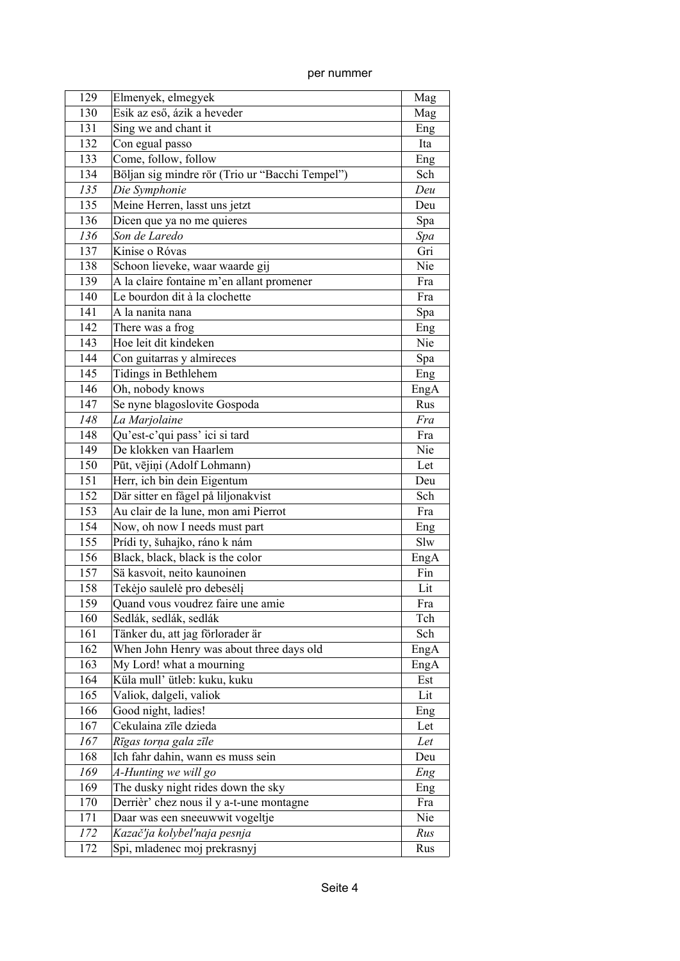| per nummer |
|------------|

| 129 | Elmenyek, elmegyek                              | Mag  |
|-----|-------------------------------------------------|------|
| 130 | Esik az eső, ázik a heveder                     | Mag  |
| 131 | Sing we and chant it                            | Eng  |
| 132 | Con egual passo                                 | Ita  |
| 133 | Come, follow, follow                            | Eng  |
| 134 | Böljan sig mindre rör (Trio ur "Bacchi Tempel") | Sch  |
| 135 | Die Symphonie                                   | Deu  |
| 135 | Meine Herren, lasst uns jetzt                   | Deu  |
| 136 | Dicen que ya no me quieres                      | Spa  |
| 136 | Son de Laredo                                   | Spa  |
| 137 | Kinise o Róvas                                  | Gri  |
| 138 | Schoon lieveke, waar waarde gij                 | Nie  |
| 139 | A la claire fontaine m'en allant promener       | Fra  |
| 140 | Le bourdon dit à la clochette                   | Fra  |
| 141 | A la nanita nana                                | Spa  |
| 142 | There was a frog                                | Eng  |
| 143 | Hoe leit dit kindeken                           | Nie  |
| 144 | Con guitarras y almireces                       | Spa  |
| 145 | Tidings in Bethlehem                            | Eng  |
| 146 | Oh, nobody knows                                | EngA |
| 147 | Se nyne blagoslovite Gospoda                    | Rus  |
| 148 | La Marjolaine                                   | Fra  |
| 148 | Qu'est-c'qui pass' ici si tard                  | Fra  |
| 149 | De klokken van Haarlem                          | Nie  |
| 150 | Pūt, vējiņi (Adolf Lohmann)                     | Let  |
| 151 | Herr, ich bin dein Eigentum                     | Deu  |
| 152 | Där sitter en fågel på liljonakvist             | Sch  |
| 153 | Au clair de la lune, mon ami Pierrot            | Fra  |
| 154 | Now, oh now I needs must part                   | Eng  |
| 155 | Prídi ty, šuhajko, ráno k nám                   | Slw  |
| 156 | Black, black, black is the color                | EngA |
| 157 | Sä kasvoit, neito kaunoinen                     | Fin  |
| 158 | Tekėjo saulelė pro debesėlį                     | Lit  |
| 159 | Quand vous voudrez faire une amie               | Fra  |
| 160 | Sedlák, sedlák, sedlák                          | Tch  |
| 161 | Tänker du, att jag förlorader är                | Sch  |
| 162 | When John Henry was about three days old        | EngA |
| 163 | My Lord! what a mourning                        | EngA |
| 164 | Küla mull' ütleb: kuku, kuku                    | Est  |
| 165 | Valiok, dalgeli, valiok                         | Lit  |
| 166 | Good night, ladies!                             | Eng  |
| 167 | Cekulaina zīle dzieda                           | Let  |
| 167 | Rīgas torņa gala zīle                           | Let  |
| 168 | Ich fahr dahin, wann es muss sein               | Deu  |
| 169 | A-Hunting we will go                            | Eng  |
| 169 | The dusky night rides down the sky              | Eng  |
| 170 | Derrièr' chez nous il y a-t-une montagne        | Fra  |
| 171 | Daar was een sneeuwwit vogeltje                 | Nie  |
| 172 | Kazač'ja kolybel'naja pesnja                    | Rus  |
| 172 | Spi, mladenec moj prekrasnyj                    | Rus  |
|     |                                                 |      |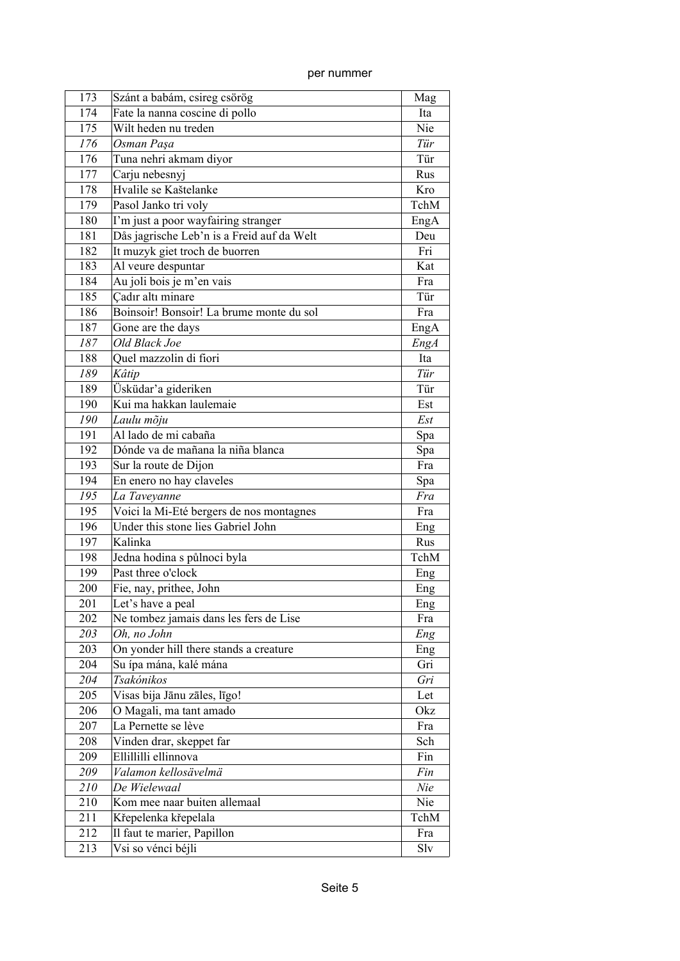| 173 | Szánt a babám, csireg csörög               | Mag  |
|-----|--------------------------------------------|------|
| 174 | Fate la nanna coscine di pollo             | Ita  |
| 175 | Wilt heden nu treden                       | Nie  |
| 176 | Osman Paşa                                 | Tür  |
| 176 | Tuna nehri akmam diyor                     | Tür  |
| 177 | Carju nebesnyj                             | Rus  |
| 178 | Hvalile se Kaštelanke                      | Kro  |
| 179 | Pasol Janko tri voly                       | TchM |
| 180 | I'm just a poor wayfairing stranger        | EngA |
| 181 | Dås jagrische Leb'n is a Freid auf da Welt | Deu  |
| 182 | It muzyk giet troch de buorren             | Fri  |
| 183 | Al veure despuntar                         | Kat  |
| 184 | Au joli bois je m'en vais                  | Fra  |
| 185 | Cadır altı minare                          | Tür  |
| 186 | Boinsoir! Bonsoir! La brume monte du sol   | Fra  |
| 187 | Gone are the days                          | EngA |
| 187 | Old Black Joe                              | EngA |
| 188 | Quel mazzolin di fiori                     | Ita  |
| 189 | Kâtip                                      | Tür  |
| 189 | Üsküdar'a gideriken                        | Tür  |
| 190 | Kui ma hakkan laulemaie                    | Est  |
| 190 | Laulu mõju                                 | Est  |
| 191 | Al lado de mi cabaña                       | Spa  |
| 192 | Dónde va de mañana la niña blanca          | Spa  |
| 193 | Sur la route de Dijon                      | Fra  |
| 194 | En enero no hay claveles                   | Spa  |
| 195 | La Taveyanne                               | Fra  |
| 195 | Voici la Mi-Eté bergers de nos montagnes   | Fra  |
| 196 | Under this stone lies Gabriel John         | Eng  |
| 197 | Kalinka                                    | Rus  |
| 198 | Jedna hodina s půlnoci byla                | TchM |
| 199 | Past three o'clock                         | Eng  |
| 200 | Fie, nay, prithee, John                    | Eng  |
| 201 | Let's have a peal                          | Eng  |
| 202 | Ne tombez jamais dans les fers de Lise     | Fra  |
| 203 | Oh, no John                                | Eng  |
| 203 | On yonder hill there stands a creature     | Eng  |
| 204 | Su ípa mána, kalé mána                     | Gri  |
| 204 | Tsakónikos                                 | Gri  |
| 205 | Visas bija Jānu zāles, līgo!               | Let  |
| 206 | O Magali, ma tant amado                    | Okz  |
| 207 | La Pernette se lève                        | Fra  |
| 208 | Vinden drar, skeppet far                   | Sch  |
| 209 | Ellillilli ellinnova                       | Fin  |
| 209 | Valamon kellosävelmä                       | Fin  |
| 210 | De Wielewaal                               | Nie  |
| 210 | Kom mee naar buiten allemaal               | Nie  |
| 211 | Křepelenka křepelala                       | TchM |
| 212 | Il faut te marier, Papillon                | Fra  |
| 213 | Vsi so vénci béjli                         | Slv  |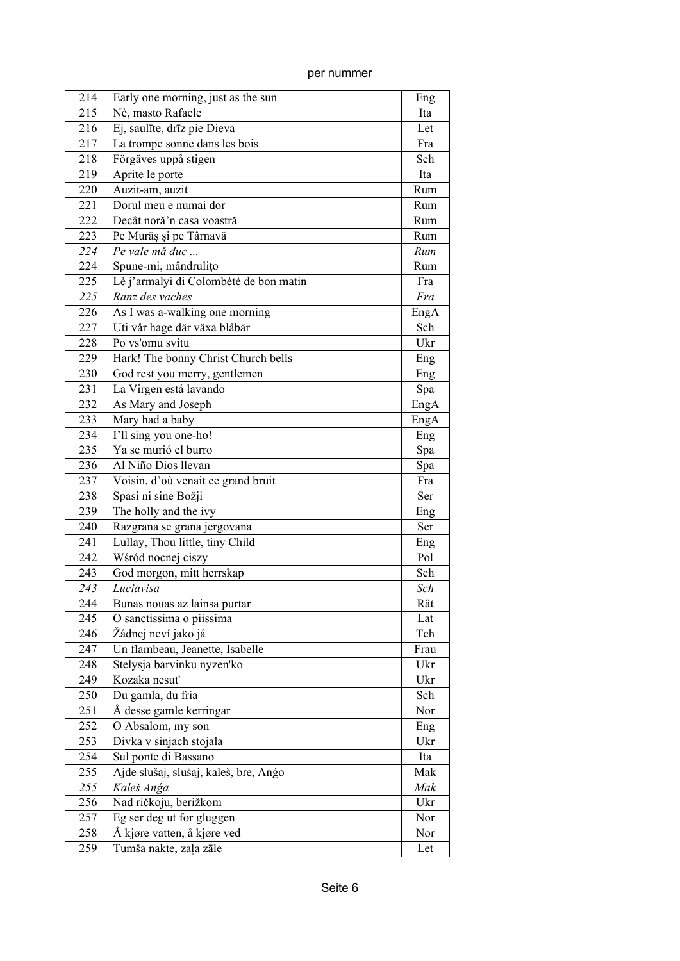| 214 | Early one morning, just as the sun     | Eng  |
|-----|----------------------------------------|------|
| 215 | Nè, masto Rafaele                      | Ita  |
| 216 | Ej, saulīte, drīz pie Dieva            | Let  |
| 217 | La trompe sonne dans les bois          | Fra  |
| 218 | Förgäves uppå stigen                   | Sch  |
| 219 | Aprite le porte                        | Ita  |
| 220 | Auzit-am, auzit                        | Rum  |
| 221 | Dorul meu e numai dor                  | Rum  |
| 222 | Decât noră'n casa voastră              | Rum  |
| 223 | Pe Murăș și pe Târnavă                 | Rum  |
| 224 | Pe vale mă duc                         | Rum  |
| 224 | Spune-mi, mândrulițo                   | Rum  |
| 225 | Lè j'armalyi di Colombètè de bon matin | Fra  |
| 225 | Ranz des vaches                        | Fra  |
| 226 | As I was a-walking one morning         | EngA |
| 227 | Uti vår hage där växa blåbär           | Sch  |
| 228 | Po vs'omu svitu                        | Ukr  |
| 229 | Hark! The bonny Christ Church bells    | Eng  |
| 230 | God rest you merry, gentlemen          | Eng  |
| 231 | La Virgen está lavando                 | Spa  |
| 232 | As Mary and Joseph                     | EngA |
| 233 | Mary had a baby                        | EngA |
| 234 | I'll sing you one-ho!                  | Eng  |
| 235 | Ya se murió el burro                   | Spa  |
| 236 | Al Niño Dios llevan                    | Spa  |
| 237 | Voisin, d'où venait ce grand bruit     | Fra  |
| 238 | Spasi ni sine Božji                    | Ser  |
| 239 | The holly and the ivy                  | Eng  |
| 240 | Razgrana se grana jergovana            | Ser  |
| 241 | Lullay, Thou little, tiny Child        | Eng  |
| 242 | Wśród nocnej ciszy                     | Pol  |
| 243 | God morgon, mitt herrskap              | Sch  |
| 243 | Luciavisa                              | Sch  |
| 244 | Bunas nouas az lainsa purtar           | Rät  |
| 245 | O sanctissima o piissima               | Lat  |
| 246 | Žádnej neví jako já                    | Tch  |
| 247 | Un flambeau, Jeanette, Isabelle        | Frau |
| 248 | Stelysja barvinku nyzen'ko             | Ukr  |
| 249 | Kozaka nesuť                           | Ukr  |
| 250 | Du gamla, du fria                      | Sch  |
| 251 | Å desse gamle kerringar                | Nor  |
| 252 | O Absalom, my son                      | Eng  |
| 253 | Divka v sinjach stojala                | Ukr  |
| 254 | Sul ponte di Bassano                   | Ita  |
| 255 | Ajde slušaj, slušaj, kaleš, bre, Ango  | Mak  |
| 255 | Kaleš Anga                             | Mak  |
| 256 | Nad ričkoju, berižkom                  | Ukr  |
| 257 | Eg ser deg ut for gluggen              | Nor  |
| 258 | Å kjøre vatten, å kjøre ved            | Nor  |
| 259 | Tumša nakte, zaļa zāle                 | Let  |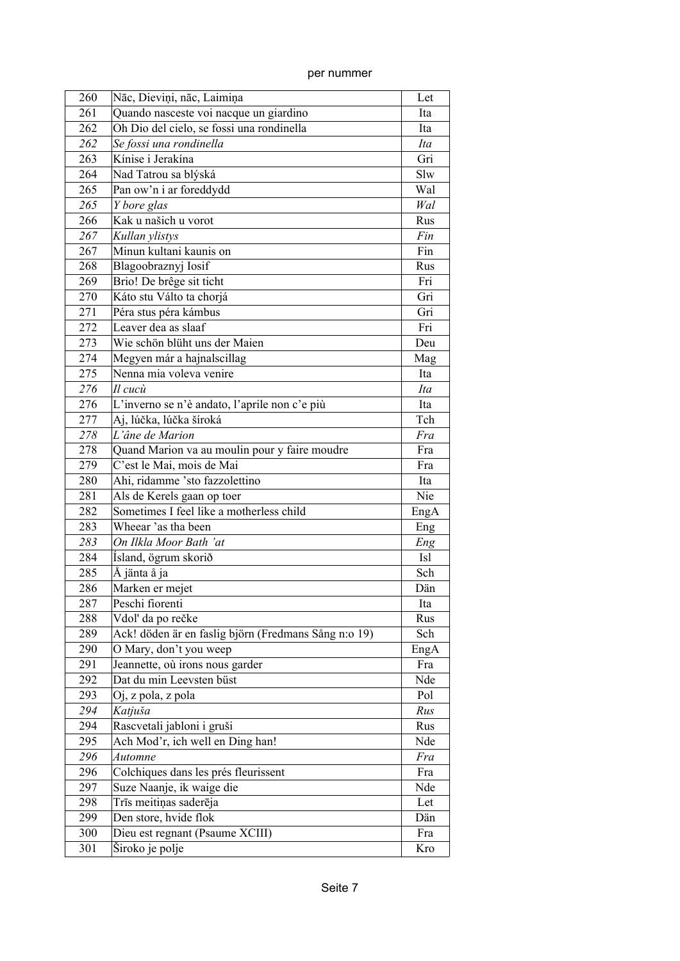| 260 | Nāc, Dieviņi, nāc, Laimiņa                           | Let  |
|-----|------------------------------------------------------|------|
| 261 | Quando nasceste voi nacque un giardino               | Ita  |
| 262 | Oh Dio del cielo, se fossi una rondinella            | Ita  |
| 262 | Se fossi una rondinella                              | Ita  |
| 263 | Kínise i Jerakína                                    | Gri  |
| 264 | Nad Tatrou sa blýská                                 | Slw  |
| 265 | Pan ow'n i ar foreddydd                              | Wal  |
| 265 | Y bore glas                                          | Wal  |
| 266 | Kak u našich u vorot                                 | Rus  |
| 267 | Kullan ylistys                                       | Fin  |
| 267 | Minun kultani kaunis on                              | Fin  |
| 268 | Blagoobraznyj Iosif                                  | Rus  |
| 269 | Brio! De brêge sit ticht                             | Fri  |
| 270 | Káto stu Válto ta chorjá                             | Gri  |
| 271 | Péra stus péra kámbus                                | Gri  |
| 272 | Leaver dea as slaaf                                  | Fri  |
| 273 | Wie schön blüht uns der Maien                        | Deu  |
| 274 | Megyen már a hajnalscillag                           | Mag  |
| 275 | Nenna mia voleva venire                              | Ita  |
| 276 | Il cucù                                              | Ita  |
| 276 | L'inverno se n'è andato, l'aprile non c'e più        | Ita  |
| 277 | Aj, lúčka, lúčka šíroká                              | Tch  |
| 278 | L'âne de Marion                                      | Fra  |
| 278 |                                                      | Fra  |
|     | Quand Marion va au moulin pour y faire moudre        | Fra  |
| 279 | C'est le Mai, mois de Mai                            |      |
| 280 | Ahi, ridamme 'sto fazzolettino                       | Ita  |
| 281 | Als de Kerels gaan op toer                           | Nie  |
| 282 | Sometimes I feel like a motherless child             | EngA |
| 283 | Wheear 'as tha been                                  | Eng  |
| 283 | On Ilkla Moor Bath 'at                               | Eng  |
| 284 | Ísland, ögrum skorið                                 | Isl  |
| 285 | Å jänta å ja                                         | Sch  |
| 286 | Marken er mejet                                      | Dän  |
| 287 | Peschi fiorenti                                      | Ita  |
| 288 | Vdol' da po rečke                                    | Rus  |
| 289 | Ack! döden är en faslig björn (Fredmans Sång n:o 19) | Sch  |
| 290 | O Mary, don't you weep                               | EngA |
| 291 | Jeannette, où irons nous garder                      | Fra  |
| 292 | Dat du min Leevsten büst                             | Nde  |
| 293 | Oj, z pola, z pola                                   | Pol  |
| 294 | Katjuša                                              | Rus  |
| 294 | Rascvetali jabloni i gruši                           | Rus  |
| 295 | Ach Mod'r, ich well en Ding han!                     | Nde  |
| 296 | <b>Automne</b>                                       | Fra  |
| 296 | Colchiques dans les prés fleurissent                 | Fra  |
| 297 | Suze Naanje, ik waige die                            | Nde  |
| 298 | Trīs meitiņas saderēja                               | Let  |
| 299 | Den store, hvide flok                                | Dän  |
| 300 | Dieu est regnant (Psaume XCIII)                      | Fra  |
| 301 | Široko je polje                                      | Kro  |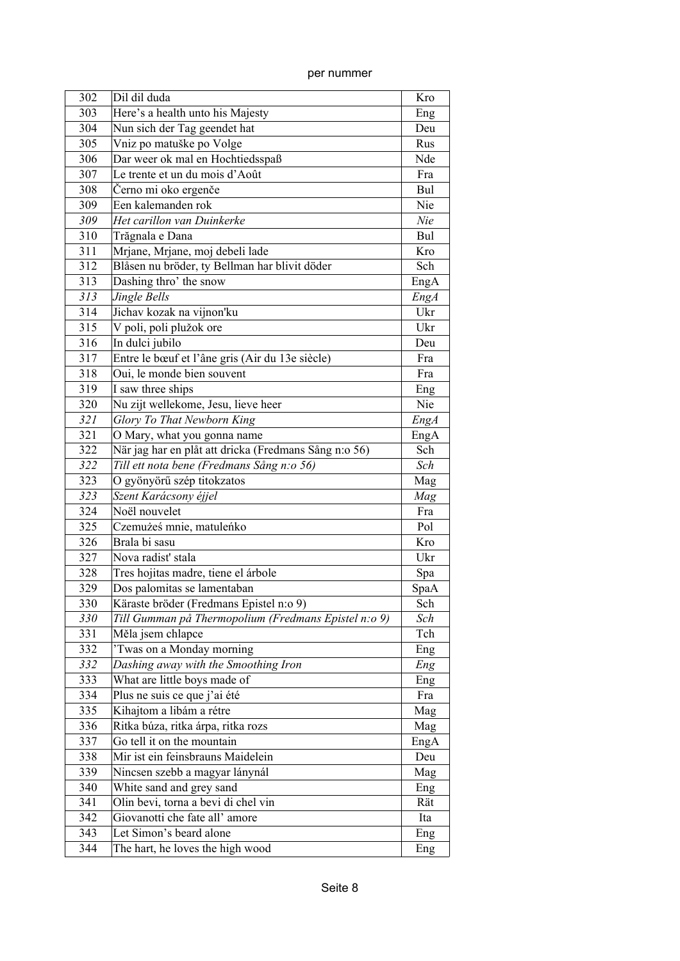| 302 | Dil dil duda                                          | Kro  |
|-----|-------------------------------------------------------|------|
| 303 | Here's a health unto his Majesty                      | Eng  |
| 304 | Nun sich der Tag geendet hat                          | Deu  |
| 305 | Vniz po matuške po Volge                              | Rus  |
| 306 | Dar weer ok mal en Hochtiedsspaß                      | Nde  |
| 307 | Le trente et un du mois d'Août                        | Fra  |
| 308 | Černo mi oko ergenče                                  | Bul  |
| 309 | Een kalemanden rok                                    | Nie  |
| 309 | Het carillon van Duinkerke                            | Nie  |
| 310 | Trăgnala e Dana                                       | Bul  |
| 311 | Mrjane, Mrjane, moj debeli lade                       | Kro  |
| 312 | Blåsen nu bröder, ty Bellman har blivit döder         | Sch  |
| 313 | Dashing thro' the snow                                | EngA |
| 313 | Jingle Bells                                          | EngA |
| 314 | Jichav kozak na vijnon'ku                             | Ukr  |
| 315 | V poli, poli plužok ore                               | Ukr  |
| 316 | In dulci jubilo                                       | Deu  |
| 317 | Entre le bœuf et l'âne gris (Air du 13e siècle)       | Fra  |
| 318 | Oui, le monde bien souvent                            | Fra  |
| 319 | I saw three ships                                     | Eng  |
| 320 | Nu zijt wellekome, Jesu, lieve heer                   | Nie  |
| 321 | Glory To That Newborn King                            | EngA |
| 321 | O Mary, what you gonna name                           | EngA |
| 322 | När jag har en plåt att dricka (Fredmans Sång n:o 56) | Sch  |
| 322 | Till ett nota bene (Fredmans Sång n:o 56)             | Sch  |
| 323 | O gyönyörű szép titokzatos                            | Mag  |
| 323 | Szent Karácsony éjjel                                 | Mag  |
| 324 | Noël nouvelet                                         | Fra  |
| 325 | Czemużeś mnie, matuleńko                              | Pol  |
| 326 | Brala bi sasu                                         | Kro  |
| 327 | Nova radist' stala                                    | Ukr  |
| 328 | Tres hojitas madre, tiene el árbole                   | Spa  |
| 329 | Dos palomitas se lamentaban                           | SpaA |
| 330 | Käraste bröder (Fredmans Epistel n:o 9)               | Sch  |
| 330 | Till Gumman på Thermopolium (Fredmans Epistel n:o 9)  | Sch  |
| 331 | Měla jsem chlapce                                     | Tch  |
| 332 | 'Twas on a Monday morning                             | Eng  |
| 332 | Dashing away with the Smoothing Iron                  | Eng  |
| 333 | What are little boys made of                          | Eng  |
| 334 | Plus ne suis ce que j'ai été                          | Fra  |
| 335 | Kihajtom a libám a rétre                              | Mag  |
| 336 | Ritka búza, ritka árpa, ritka rozs                    | Mag  |
| 337 | Go tell it on the mountain                            | EngA |
| 338 | Mir ist ein feinsbrauns Maidelein                     | Deu  |
| 339 | Nincsen szebb a magyar lánynál                        | Mag  |
| 340 | White sand and grey sand                              | Eng  |
| 341 | Olin bevi, torna a bevi di chel vin                   | Rät  |
| 342 | Giovanotti che fate all'amore                         | Ita  |
| 343 | Let Simon's beard alone                               | Eng  |
| 344 | The hart, he loves the high wood                      | Eng  |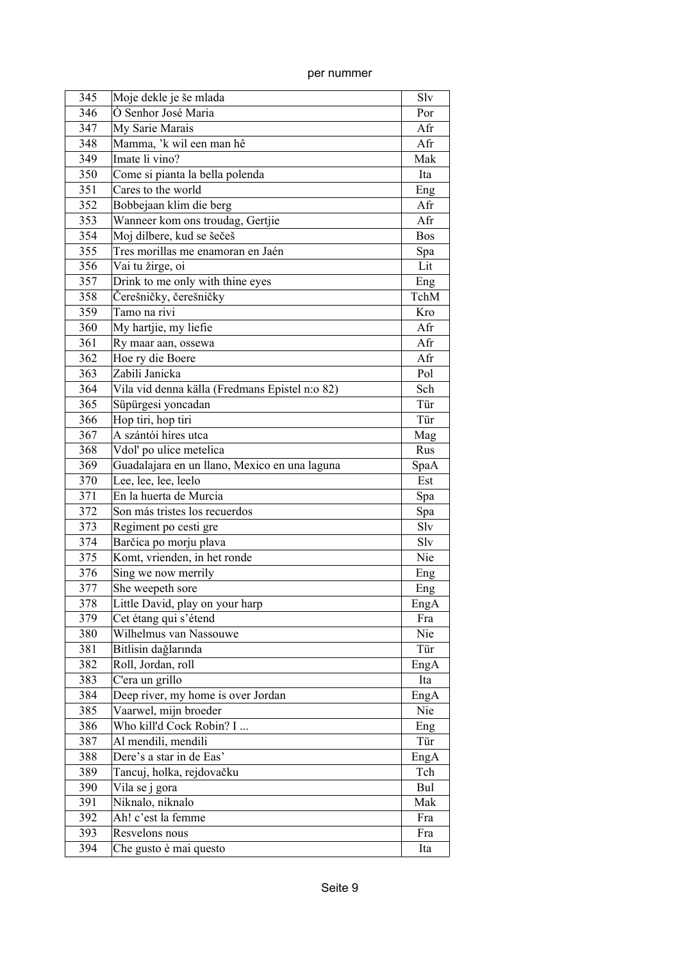| per nummer |
|------------|

| 345 | Moje dekle je še mlada                         | Slv        |
|-----|------------------------------------------------|------------|
| 346 | Ó Senhor José Maria                            | Por        |
| 347 | My Sarie Marais                                | Afr        |
| 348 | Mamma, 'k wil een man hê                       | Afr        |
| 349 | Imate li vino?                                 | Mak        |
| 350 | Come si pianta la bella polenda                | Ita        |
| 351 | Cares to the world                             | Eng        |
| 352 | Bobbejaan klim die berg                        | Afr        |
| 353 | Wanneer kom ons troudag, Gertjie               | Afr        |
| 354 | Moj dilbere, kud se šečeš                      | <b>Bos</b> |
| 355 | Tres morillas me enamoran en Jaén              | Spa        |
| 356 | Vai tu žirge, oi                               | Lit        |
| 357 | Drink to me only with thine eyes               | Eng        |
| 358 | Čerešničky, čerešničky                         | TchM       |
| 359 | Tamo na rivi                                   | Kro        |
| 360 | My hartjie, my liefie                          | Afr        |
| 361 | Ry maar aan, ossewa                            | Afr        |
| 362 | Hoe ry die Boere                               | Afr        |
| 363 | Zabili Janicka                                 | Pol        |
| 364 | Vila vid denna källa (Fredmans Epistel n:o 82) | Sch        |
| 365 | Süpürgesi yoncadan                             | Tür        |
| 366 | Hop tiri, hop tiri                             | Tür        |
| 367 | A szántói híres utca                           | Mag        |
| 368 | Vdol' po ulice metelica                        | Rus        |
| 369 | Guadalajara en un llano, Mexico en una laguna  | SpaA       |
| 370 | Lee, lee, lee, leelo                           | Est        |
| 371 | En la huerta de Murcia                         | Spa        |
| 372 | Son más tristes los recuerdos                  | Spa        |
| 373 | Regiment po cesti gre                          | Slv        |
| 374 | Barčica po morju plava                         | Slv        |
| 375 | Komt, vrienden, in het ronde                   | Nie        |
| 376 | $\overline{\text{Sing}}$ we now merrily        | Eng        |
| 377 | She weepeth sore                               | Eng        |
| 378 | Little David, play on your harp                | EngA       |
| 379 | Cet étang qui s'étend                          | Fra        |
| 380 | Wilhelmus van Nassouwe                         | Nie        |
| 381 | Bitlisin dağlarında                            | Tür        |
| 382 | Roll, Jordan, roll                             | EngA       |
| 383 | C'era un grillo                                | Ita        |
| 384 | Deep river, my home is over Jordan             | EngA       |
| 385 | Vaarwel, mijn broeder                          | Nie        |
| 386 | Who kill'd Cock Robin? I                       | Eng        |
| 387 | Al mendili, mendili                            | Tür        |
| 388 | Dere's a star in de Eas'                       | EngA       |
| 389 | Tancuj, holka, rejdovačku                      | Tch        |
| 390 | Vila se j gora                                 | Bul        |
| 391 | Niknalo, niknalo                               | Mak        |
| 392 | Ah! c'est la femme                             | Fra        |
| 393 | Resvelons nous                                 | Fra        |
| 394 | Che gusto è mai questo                         | Ita        |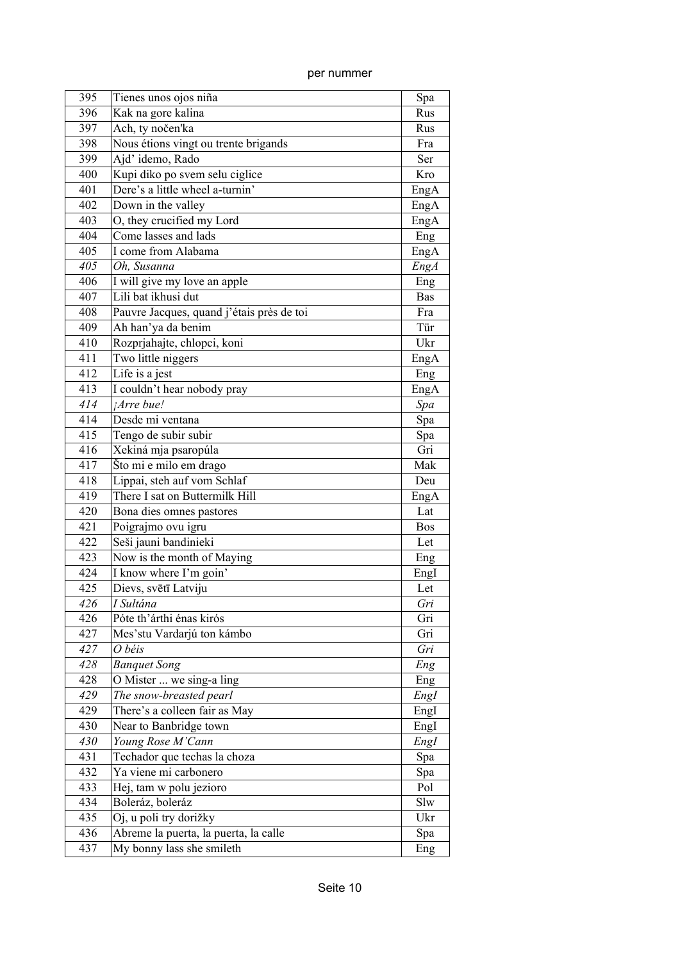| per nummer |
|------------|

| 395 | Tienes unos ojos niña                     | Spa        |
|-----|-------------------------------------------|------------|
| 396 | Kak na gore kalina                        | Rus        |
| 397 | Ach, ty nočen'ka                          | Rus        |
| 398 | Nous étions vingt ou trente brigands      | Fra        |
| 399 | Ajd' idemo, Rado                          | Ser        |
| 400 | Kupi diko po svem selu ciglice            | Kro        |
| 401 | Dere's a little wheel a-turnin'           | EngA       |
| 402 | Down in the valley                        | EngA       |
| 403 | O, they crucified my Lord                 | EngA       |
| 404 | Come lasses and lads                      | Eng        |
| 405 | I come from Alabama                       | EngA       |
| 405 | Oh, Susanna                               | EngA       |
| 406 | I will give my love an apple              | Eng        |
| 407 | Lili bat ikhusi dut                       | Bas        |
| 408 | Pauvre Jacques, quand j'étais près de toi | Fra        |
| 409 | Ah han'ya da benim                        | Tür        |
| 410 | Rozprjahajte, chlopci, koni               | Ukr        |
| 411 | Two little niggers                        | EngA       |
| 412 | Life is a jest                            | Eng        |
| 413 | I couldn't hear nobody pray               | EngA       |
| 414 | <i>Arre bue!</i>                          | Spa        |
| 414 | Desde mi ventana                          | Spa        |
| 415 | Tengo de subir subir                      | Spa        |
| 416 | Xekiná mja psaropúla                      | Gri        |
| 417 | Što mi e milo em drago                    | Mak        |
| 418 | Lippai, steh auf vom Schlaf               | Deu        |
| 419 | There I sat on Buttermilk Hill            | EngA       |
| 420 | Bona dies omnes pastores                  | Lat        |
| 421 | Poigrajmo ovu igru                        | <b>Bos</b> |
| 422 | Seši jauni bandinieki                     | Let        |
| 423 | Now is the month of Maying                | Eng        |
| 424 | I know where I'm goin'                    | EngI       |
| 425 | Dievs, svētī Latviju                      | Let        |
| 426 | I Sultána                                 | Gri        |
| 426 | Póte th'árthi énas kirós                  | Gri        |
| 427 | Mes'stu Vardarjú ton kámbo                | Gri        |
| 427 | O béis                                    | Gri        |
| 428 | <b>Banquet Song</b>                       | Eng        |
| 428 | O Mister  we sing-a ling                  | Eng        |
| 429 | The snow-breasted pearl                   | EngI       |
| 429 | There's a colleen fair as May             | EngI       |
| 430 | Near to Banbridge town                    | EngI       |
| 430 | Young Rose M'Cann                         | EngI       |
| 431 | Techador que techas la choza              | Spa        |
| 432 | Ya viene mi carbonero                     | Spa        |
| 433 | Hej, tam w polu jezioro                   | Pol        |
| 434 | Boleráz, boleráz                          | Slw        |
| 435 | Oj, u poli try dorižky                    | Ukr        |
| 436 | Abreme la puerta, la puerta, la calle     | Spa        |
| 437 | My bonny lass she smileth                 | Eng        |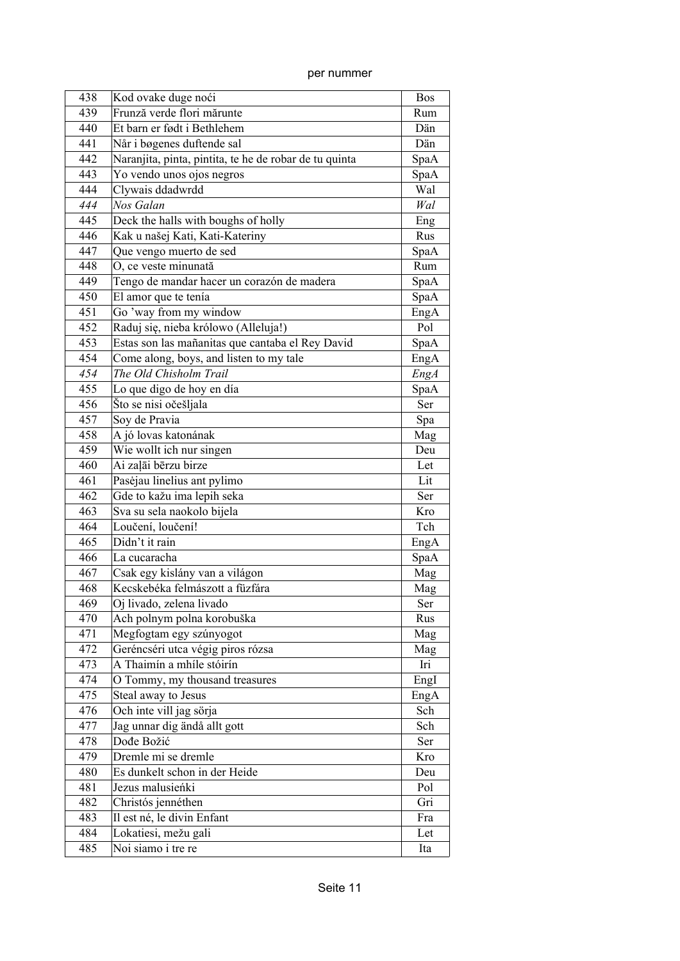per nummer

| 438 | Kod ovake duge noći                                    | <b>Bos</b>  |
|-----|--------------------------------------------------------|-------------|
| 439 | Frunză verde flori mărunte                             | Rum         |
| 440 | Et barn er født i Bethlehem                            | Dän         |
| 441 | Når i bøgenes duftende sal                             | Dän         |
| 442 | Naranjita, pinta, pintita, te he de robar de tu quinta | SpaA        |
| 443 | Yo vendo unos ojos negros                              | SpaA        |
| 444 | Clywais ddadwrdd                                       | Wal         |
| 444 | Nos Galan                                              | Wal         |
| 445 | Deck the halls with boughs of holly                    | Eng         |
| 446 | Kak u našej Kati, Kati-Kateriny                        | Rus         |
| 447 | Que vengo muerto de sed                                | SpaA        |
| 448 | O, ce veste minunată                                   | Rum         |
| 449 | Tengo de mandar hacer un corazón de madera             | SpaA        |
| 450 | El amor que te tenía                                   | SpaA        |
| 451 | Go 'way from my window                                 | EngA        |
| 452 | Raduj się, nieba królowo (Alleluja!)                   | Pol         |
| 453 | Estas son las mañanitas que cantaba el Rey David       | SpaA        |
| 454 | Come along, boys, and listen to my tale                | EngA        |
| 454 | The Old Chisholm Trail                                 | <b>EngA</b> |
| 455 | Lo que digo de hoy en día                              | SpaA        |
| 456 | Što se nisi očešljala                                  | Ser         |
| 457 | Soy de Pravia                                          | Spa         |
| 458 | A jó lovas katonának                                   | Mag         |
| 459 | Wie wollt ich nur singen                               | Deu         |
| 460 | Ai zalāi bērzu birze                                   | Let         |
| 461 | Pasėjau linelius ant pylimo                            | Lit         |
| 462 | Gde to kažu ima lepih seka                             | Ser         |
| 463 | Sva su sela naokolo bijela                             | Kro         |
| 464 | Loučení, loučení!                                      | Tch         |
| 465 | Didn't it rain                                         | EngA        |
| 466 | La cucaracha                                           | SpaA        |
| 467 | Csak egy kislány van a világon                         | Mag         |
| 468 | Kecskebéka felmászott a füzfára                        | Mag         |
| 469 | Oj livado, zelena livado                               | Ser         |
| 470 | Ach polnym polna korobuška                             | Rus         |
| 471 | Megfogtam egy szúnyogot                                | Mag         |
| 472 | Geréncséri utca végig piros rózsa                      | Mag         |
| 473 | A Thaimín a mhíle stóirín                              | Iri         |
| 474 | O Tommy, my thousand treasures                         | EngI        |
| 475 | Steal away to Jesus                                    | EngA        |
| 476 | Och inte vill jag sörja                                | Sch         |
| 477 | Jag unnar dig ändå allt gott                           | Sch         |
| 478 | Dođe Božić                                             | Ser         |
| 479 | Dremle mi se dremle                                    | Kro         |
| 480 | Es dunkelt schon in der Heide                          | Deu         |
| 481 | Jezus malusieńki                                       | Pol         |
| 482 | Christós jennéthen                                     | Gri         |
| 483 | Il est né, le divin Enfant                             | Fra         |
| 484 | Lokatiesi, mežu gali                                   | Let         |
| 485 | Noi siamo i tre re                                     | Ita         |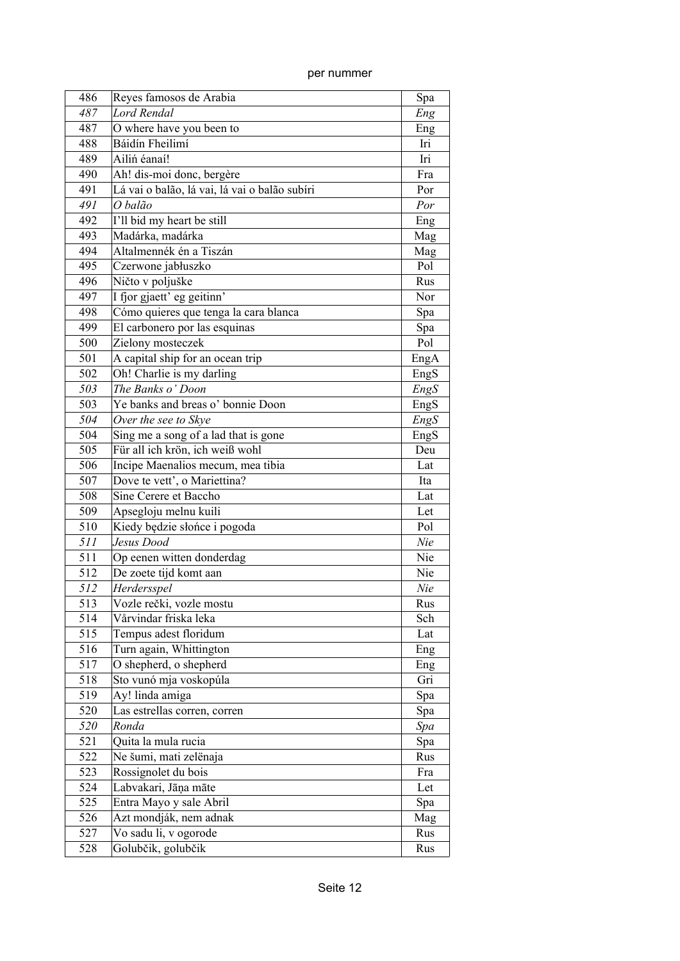| per nummer |  |
|------------|--|
|            |  |

| 486 | Reyes famosos de Arabia                       | Spa  |
|-----|-----------------------------------------------|------|
| 487 | Lord Rendal                                   | Eng  |
| 487 | O where have you been to                      | Eng  |
| 488 | Báidín Fheilimí                               | Iri  |
| 489 | Ailiń éanaí!                                  | Iri  |
| 490 | Ah! dis-moi donc, bergère                     | Fra  |
| 491 | Lá vai o balão, lá vai, lá vai o balão subíri | Por  |
| 491 | O balão                                       | Por  |
| 492 | I'll bid my heart be still                    | Eng  |
| 493 | Madárka, madárka                              | Mag  |
| 494 | Altalmennék én a Tiszán                       | Mag  |
| 495 | Czerwone jabłuszko                            | Pol  |
| 496 | Ničto v poljuške                              | Rus  |
| 497 | I fjor gjaett' eg geitinn'                    | Nor  |
| 498 | Cómo quieres que tenga la cara blanca         | Spa  |
| 499 | El carbonero por las esquinas                 | Spa  |
| 500 | Zielony mosteczek                             | Pol  |
| 501 | A capital ship for an ocean trip              | EngA |
| 502 | Oh! Charlie is my darling                     | EngS |
| 503 | The Banks o' Doon                             | EngS |
| 503 | Ye banks and breas o' bonnie Doon             | EngS |
| 504 | Over the see to Skye                          | EngS |
| 504 | Sing me a song of a lad that is gone          | EngS |
| 505 | Für all ich krön, ich weiß wohl               | Deu  |
| 506 | Incipe Maenalios mecum, mea tibia             | Lat  |
| 507 | Dove te vett', o Mariettina?                  | Ita  |
| 508 | Sine Cerere et Baccho                         | Lat  |
| 509 | Apsegloju melnu kuili                         | Let  |
| 510 | Kiedy będzie słońce i pogoda                  | Pol  |
| 511 | Jesus Dood                                    | Nie  |
| 511 | Op eenen witten donderdag                     | Nie  |
| 512 | De zoete tijd komt aan                        | Nie  |
| 512 | Herdersspel                                   | Nie  |
| 513 | Vozle rečki, vozle mostu                      | Rus  |
| 514 | Vårvindar friska leka                         | Sch  |
| 515 | Tempus adest floridum                         | Lat  |
| 516 | Turn again, Whittington                       | Eng  |
| 517 | O shepherd, o shepherd                        | Eng  |
| 518 | Sto vunó mja voskopúla                        | Gri  |
| 519 | Ay! linda amiga                               | Spa  |
| 520 | Las estrellas corren, corren                  | Spa  |
| 520 | Ronda                                         | Spa  |
| 521 | Quita la mula rucia                           | Spa  |
| 522 | Ne šumi, mati zelënaja                        | Rus  |
| 523 | Rossignolet du bois                           | Fra  |
| 524 | Labvakari, Jāņa māte                          | Let  |
| 525 | Entra Mayo y sale Abril                       | Spa  |
| 526 | Azt mondják, nem adnak                        | Mag  |
| 527 | Vo sadu li, v ogorode                         | Rus  |
| 528 | Golubčik, golubčik                            | Rus  |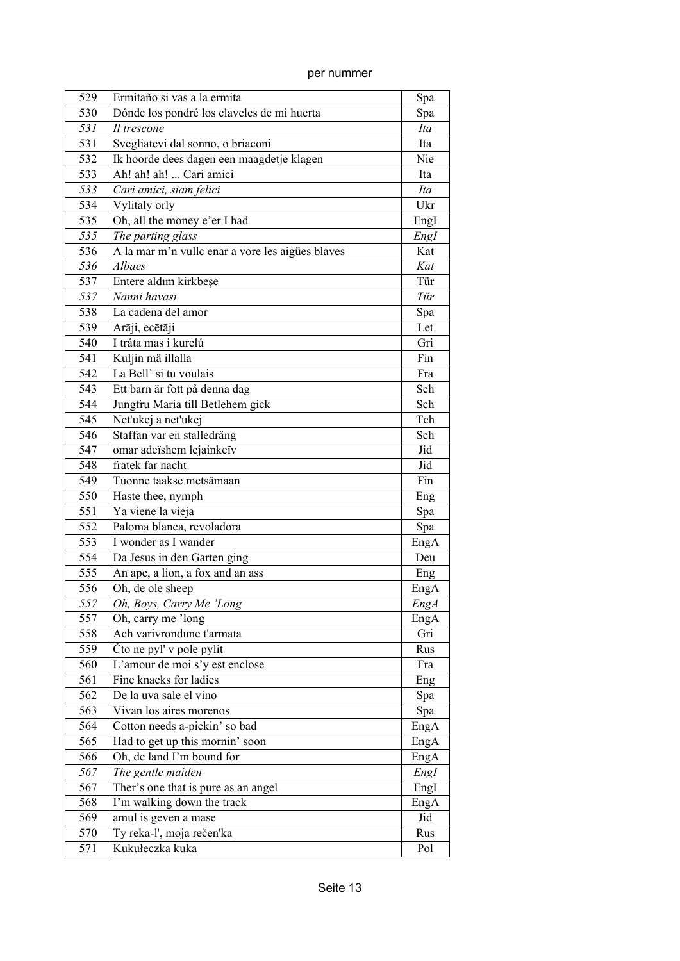| 529 | Ermitaño si vas a la ermita                      | Spa         |
|-----|--------------------------------------------------|-------------|
| 530 | Dónde los pondré los claveles de mi huerta       | Spa         |
| 531 | Il trescone                                      | Ita         |
| 531 | Svegliatevi dal sonno, o briaconi                | Ita         |
| 532 | Ik hoorde dees dagen een maagdetje klagen        | Nie         |
| 533 | Ah! ah! ah!  Cari amici                          | Ita         |
| 533 | Cari amici, siam felici                          | Ita         |
| 534 | Vylitaly orly                                    | Ukr         |
| 535 | Oh, all the money e'er I had                     | Engl        |
| 535 | The parting glass                                | Engl        |
| 536 | A la mar m'n vullc enar a vore les aigües blaves | Kat         |
| 536 | Albaes                                           | Kat         |
| 537 | Entere aldım kirkbeşe                            | Tür         |
| 537 | Nanni havası                                     | Tür         |
| 538 | La cadena del amor                               | Spa         |
| 539 | Arāji, ecētāji                                   | Let         |
| 540 | I tráta mas i kurelú                             | Gri         |
| 541 | Kuljin mä illalla                                | Fin         |
| 542 | La Bell' si tu voulais                           | Fra         |
| 543 | Ett barn är fott på denna dag                    | Sch         |
| 544 | Jungfru Maria till Betlehem gick                 | Sch         |
| 545 | Net'ukej a net'ukej                              | Tch         |
| 546 | Staffan var en stalledräng                       | Sch         |
| 547 | omar adeïshem lejainkeïv                         | Jid         |
| 548 | fratek far nacht                                 | Jid         |
| 549 | Tuonne taakse metsämaan                          | Fin         |
| 550 | Haste thee, nymph                                | Eng         |
| 551 | Ya viene la vieja                                | Spa         |
| 552 | Paloma blanca, revoladora                        | Spa         |
| 553 | I wonder as I wander                             | EngA        |
| 554 | Da Jesus in den Garten ging                      | Deu         |
| 555 | An ape, a lion, a fox and an ass                 | Eng         |
| 556 | Oh, de ole sheep                                 | EngA        |
| 557 | Oh, Boys, Carry Me 'Long                         | <b>EngA</b> |
| 557 | Oh, carry me 'long                               | EngA        |
| 558 | Ach varivrondune t'armata                        | Gri         |
| 559 | Čto ne pyl' v pole pylit                         | Rus         |
| 560 | L'amour de moi s'y est enclose                   | Fra         |
| 561 | Fine knacks for ladies                           | Eng         |
| 562 | De la uva sale el vino                           | Spa         |
| 563 | Vivan los aires morenos                          | Spa         |
| 564 | Cotton needs a-pickin' so bad                    | EngA        |
| 565 | Had to get up this mornin' soon                  | EngA        |
| 566 | Oh, de land I'm bound for                        | EngA        |
| 567 | The gentle maiden                                | EngI        |
| 567 | Ther's one that is pure as an angel              | EngI        |
| 568 | I'm walking down the track                       | EngA        |
| 569 | amul is geven a mase                             | Jid         |
| 570 | Ty reka-l', moja rečen'ka                        | Rus         |
| 571 | Kukułeczka kuka                                  | Pol         |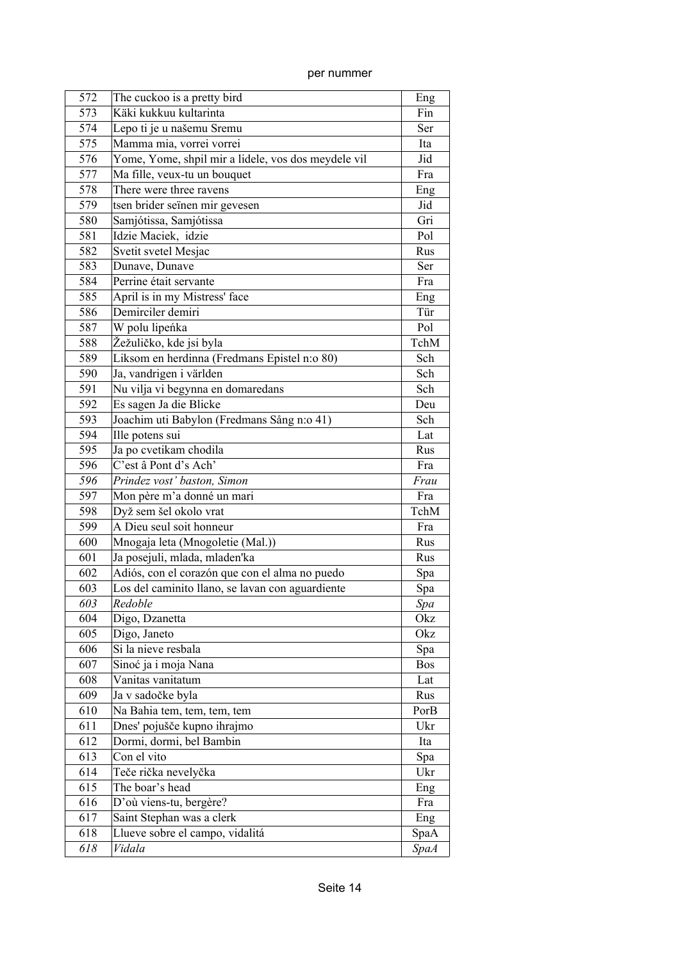| 572 | The cuckoo is a pretty bird                         | Eng         |
|-----|-----------------------------------------------------|-------------|
| 573 | Käki kukkuu kultarinta                              | Fin         |
| 574 | Lepo ti je u našemu Sremu                           | Ser         |
| 575 | Mamma mia, vorrei vorrei                            | Ita         |
| 576 | Yome, Yome, shpil mir a lidele, vos dos meydele vil | Jid         |
| 577 | Ma fille, veux-tu un bouquet                        | Fra         |
| 578 | There were three ravens                             | Eng         |
| 579 | tsen brider seïnen mir gevesen                      | Jid         |
| 580 | Samjótissa, Samjótissa                              | Gri         |
| 581 | Idzie Maciek, idzie                                 | Pol         |
| 582 | Svetit svetel Mesjac                                | Rus         |
| 583 | Dunave, Dunave                                      | Ser         |
| 584 | Perrine était servante                              | Fra         |
| 585 | April is in my Mistress' face                       | Eng         |
| 586 | Demirciler demiri                                   | Tür         |
| 587 | W polu lipeńka                                      | Pol         |
| 588 | Žežuličko, kde jsi byla                             | TchM        |
| 589 | Liksom en herdinna (Fredmans Epistel n:o 80)        | Sch         |
| 590 | Ja, vandrigen i världen                             | Sch         |
| 591 | Nu vilja vi begynna en domaredans                   | Sch         |
| 592 | Es sagen Ja die Blicke                              | Deu         |
| 593 | Joachim uti Babylon (Fredmans Sång n:o 41)          | Sch         |
| 594 | Ille potens sui                                     | Lat         |
| 595 | Ja po cvetikam chodila                              | Rus         |
| 596 | C'est â Pont d's Ach'                               | Fra         |
| 596 | Prindez vost' baston, Simon                         | Frau        |
| 597 | Mon père m'a donné un mari                          | Fra         |
| 598 | Dyž sem šel okolo vrat                              | TchM        |
| 599 | A Dieu seul soit honneur                            | Fra         |
| 600 | Mnogaja leta (Mnogoletie (Mal.))                    | Rus         |
| 601 | Ja posejuli, mlada, mladen'ka                       | Rus         |
| 602 | Adiós, con el corazón que con el alma no puedo      | Spa         |
| 603 | Los del caminito llano, se lavan con aguardiente    | Spa         |
| 603 | Redoble                                             | Spa         |
| 604 | Digo, Dzanetta                                      | Okz         |
| 605 | Digo, Janeto                                        | Okz         |
| 606 | Si la nieve resbala                                 | Spa         |
| 607 | Sinoć ja i moja Nana                                | Bos         |
| 608 | Vanitas vanitatum                                   | Lat         |
| 609 | Ja v sadočke byla                                   | Rus         |
| 610 | Na Bahia tem, tem, tem, tem                         | PorB        |
| 611 | Dnes' pojušče kupno ihrajmo                         | Ukr         |
| 612 | Dormi, dormi, bel Bambin                            | Ita         |
| 613 | Con el vito                                         | Spa         |
| 614 | Teče rička nevelyčka                                | Ukr         |
| 615 | The boar's head                                     | Eng         |
| 616 | D'où viens-tu, bergère?                             | Fra         |
| 617 | Saint Stephan was a clerk                           | Eng         |
| 618 | Llueve sobre el campo, vidalitá                     | SpaA        |
| 618 | Vidala                                              | <b>SpaA</b> |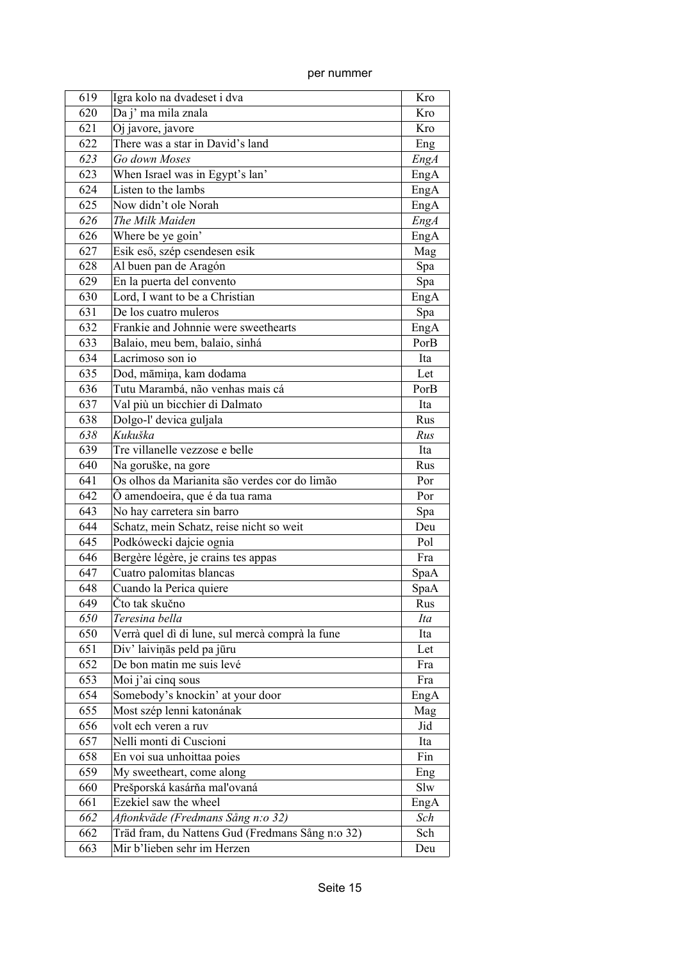| 619 | Igra kolo na dvadeset i dva                      | Kro         |
|-----|--------------------------------------------------|-------------|
| 620 | Da j' ma mila znala                              | Kro         |
| 621 | Oj javore, javore                                | Kro         |
| 622 | There was a star in David's land                 | Eng         |
| 623 | Go down Moses                                    | <b>EngA</b> |
| 623 | When Israel was in Egypt's lan'                  | EngA        |
| 624 | Listen to the lambs                              | EngA        |
| 625 | Now didn't ole Norah                             | EngA        |
| 626 | The Milk Maiden                                  | <b>EngA</b> |
| 626 | Where be ye goin'                                | EngA        |
| 627 | Esik eső, szép csendesen esik                    | Mag         |
| 628 | Al buen pan de Aragón                            | Spa         |
| 629 | En la puerta del convento                        | Spa         |
| 630 | Lord, I want to be a Christian                   | EngA        |
| 631 | De los cuatro muleros                            | Spa         |
| 632 | Frankie and Johnnie were sweethearts             | EngA        |
| 633 | Balaio, meu bem, balaio, sinhá                   | PorB        |
| 634 | Lacrimoso son io                                 | Ita         |
| 635 | Dod, māmiņa, kam dodama                          | Let         |
| 636 | Tutu Marambá, não venhas mais cá                 | PorB        |
| 637 | Val più un bicchier di Dalmato                   | Ita         |
| 638 | Dolgo-l' devica guljala                          | Rus         |
| 638 | Kukuška                                          | Rus         |
| 639 | Tre villanelle vezzose e belle                   | Ita         |
| 640 | Na goruške, na gore                              | Rus         |
| 641 | Os olhos da Marianita são verdes cor do limão    | Por         |
| 642 | O amendoeira, que é da tua rama                  | Por         |
| 643 | No hay carretera sin barro                       | Spa         |
| 644 | Schatz, mein Schatz, reise nicht so weit         | Deu         |
| 645 | Podkówecki dajcie ognia                          | Pol         |
| 646 | Bergère légère, je crains tes appas              | Fra         |
| 647 | Cuatro palomitas blancas                         | SpaA        |
| 648 | Cuando la Perica quiere                          | SpaA        |
| 649 | Čto tak skučno                                   | Rus         |
| 650 | Teresina bella                                   | Ita         |
| 650 | Verrà quel dì di lune, sul mercà comprà la fune  | Ita         |
| 651 | Div' laiviņās peld pa jūru                       | Let         |
| 652 | De bon matin me suis levé                        | Fra         |
| 653 | Moi j'ai cinq sous                               | Fra         |
| 654 | Somebody's knockin' at your door                 | EngA        |
| 655 | Most szép lenni katonának                        | Mag         |
| 656 | volt ech veren a ruv                             | Jid         |
| 657 | Nelli monti di Cuscioni                          | Ita         |
| 658 | En voi sua unhoittaa poies                       | Fin         |
| 659 | My sweetheart, come along                        | Eng         |
| 660 | Prešporská kasárňa maľovaná                      | Slw         |
| 661 | Ezekiel saw the wheel                            | EngA        |
| 662 | Aftonkväde (Fredmans Sång n:o 32)                | Sch         |
| 662 | Träd fram, du Nattens Gud (Fredmans Sång n:o 32) | Sch         |
| 663 | Mir b'lieben sehr im Herzen                      | Deu         |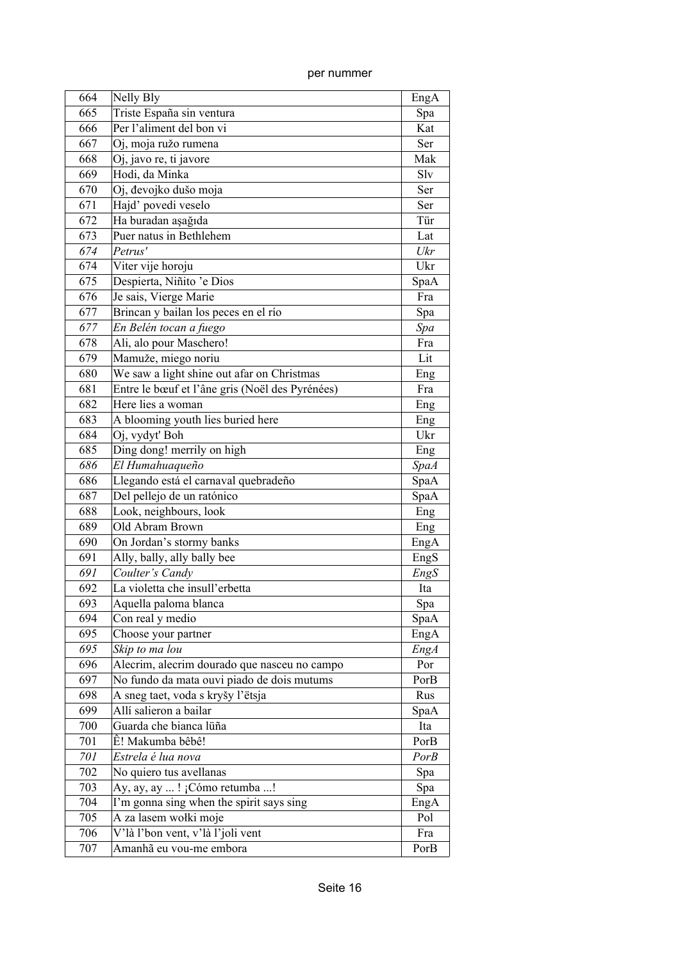| 664 | Nelly Bly                                       | EngA        |
|-----|-------------------------------------------------|-------------|
| 665 | Triste España sin ventura                       | Spa         |
| 666 | Per l'aliment del bon vi                        | Kat         |
| 667 | Oj, moja ružo rumena                            | Ser         |
| 668 | Oj, javo re, ti javore                          | Mak         |
| 669 | Hodi, da Minka                                  | Slv         |
| 670 | Oj, đevojko dušo moja                           | Ser         |
| 671 | Hajd' povedi veselo                             | Ser         |
| 672 | Ha buradan aşağıda                              | Tür         |
| 673 | Puer natus in Bethlehem                         | Lat         |
| 674 | Petrus'                                         | Ukr         |
| 674 | Viter vije horoju                               | Ukr         |
| 675 | Despierta, Niñito 'e Dios                       | SpaA        |
| 676 | Je sais, Vierge Marie                           | Fra         |
| 677 | Brincan y bailan los peces en el río            | Spa         |
| 677 | En Belén tocan a fuego                          | Spa         |
| 678 | Ali, alo pour Maschero!                         | Fra         |
| 679 | Mamuže, miego noriu                             | Lit         |
| 680 | We saw a light shine out afar on Christmas      | Eng         |
| 681 | Entre le bœuf et l'âne gris (Noël des Pyrénées) | Fra         |
| 682 | Here lies a woman                               | Eng         |
| 683 | A blooming youth lies buried here               | Eng         |
| 684 | Oj, vydyt' Boh                                  | Ukr         |
| 685 | Ding dong! merrily on high                      | Eng         |
| 686 | El Humahuaqueño                                 | <b>SpaA</b> |
| 686 | Llegando está el carnaval quebradeño            | SpaA        |
| 687 | Del pellejo de un ratónico                      | SpaA        |
| 688 | Look, neighbours, look                          | Eng         |
| 689 | Old Abram Brown                                 | Eng         |
| 690 | On Jordan's stormy banks                        | EngA        |
| 691 | Ally, bally, ally bally bee                     | EngS        |
| 691 | Coulter's Candy                                 | EngS        |
| 692 | La violetta che insull'erbetta                  | Ita         |
| 693 | Aquella paloma blanca                           | Spa         |
| 694 | Con real y medio                                | SpaA        |
| 695 | Choose your partner                             | EngA        |
| 695 | Skip to ma lou                                  | <b>EngA</b> |
| 696 | Alecrim, alecrim dourado que nasceu no campo    | Por         |
| 697 | No fundo da mata ouvi piado de dois mutums      | PorB        |
| 698 | A sneg taet, voda s kryšy l'ëtsja               | Rus         |
| 699 | Allí salieron a bailar                          | SpaA        |
| 700 | Guarda che bianca lüña                          | Ita         |
| 701 | Ê! Makumba bêbê!                                | PorB        |
| 701 | Estrela é lua nova                              | PorB        |
| 702 | No quiero tus avellanas                         | Spa         |
| 703 | Ay, ay, ay ! ¡Cómo retumba !                    | Spa         |
| 704 | I'm gonna sing when the spirit says sing        | EngA        |
| 705 | A za lasem wołki moje                           | Pol         |
| 706 | V'là l'bon vent, v'là l'joli vent               | Fra         |
| 707 | Amanhã eu vou-me embora                         | PorB        |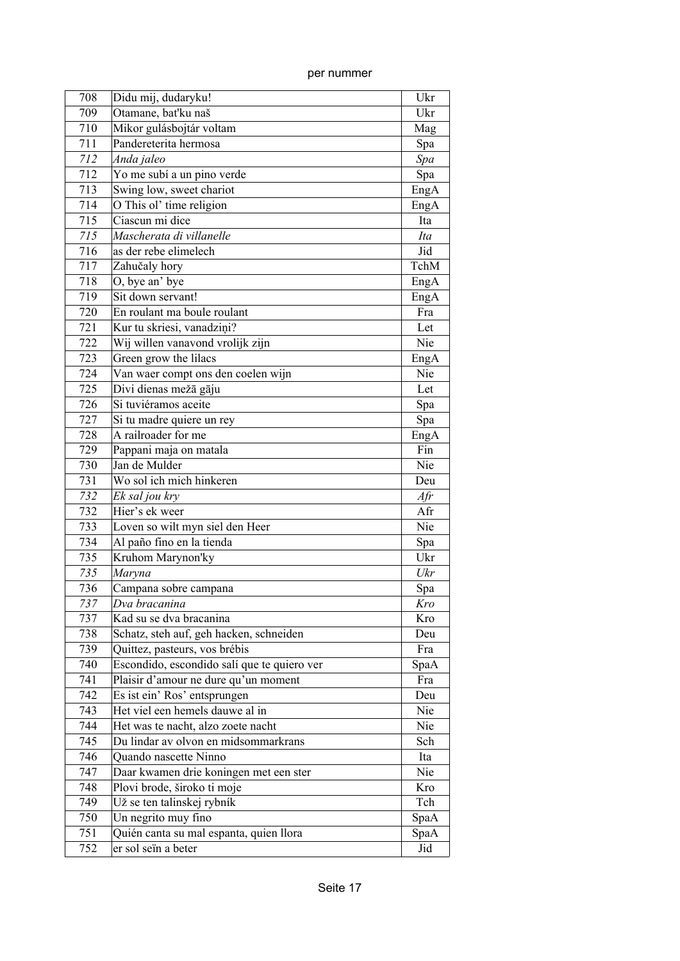| 708 | Didu mij, dudaryku!                         | Ukr    |
|-----|---------------------------------------------|--------|
| 709 | Otamane, bat'ku naš                         | Ukr    |
| 710 | Mikor gulásbojtár voltam                    | Mag    |
| 711 | Pandereterita hermosa                       | Spa    |
| 712 | Anda jaleo                                  | Spa    |
| 712 | Yo me subí a un pino verde                  | Spa    |
| 713 | Swing low, sweet chariot                    | EngA   |
| 714 | O This ol' time religion                    | EngA   |
| 715 | Ciascun mi dice                             | Ita    |
| 715 | Mascherata di villanelle                    | Ita    |
| 716 | as der rebe elimelech                       | Jid    |
| 717 | Zahučaly hory                               | TchM   |
| 718 | O, bye an' bye                              | EngA   |
| 719 | Sit down servant!                           | EngA   |
| 720 | En roulant ma boule roulant                 | Fra    |
| 721 | Kur tu skriesi, vanadziņi?                  | Let    |
| 722 | Wij willen vanavond vrolijk zijn            | Nie    |
| 723 | Green grow the lilacs                       | EngA   |
| 724 | Van waer compt ons den coelen wijn          | Nie    |
| 725 | Divi dienas mežā gāju                       | Let    |
| 726 | Si tuviéramos aceite                        | Spa    |
| 727 | Si tu madre quiere un rey                   | Spa    |
| 728 | A railroader for me                         | EngA   |
| 729 | Pappani maja on matala                      | Fin    |
| 730 | Jan de Mulder                               | Nie    |
| 731 | Wo sol ich mich hinkeren                    | Deu    |
| 732 | Ek sal jou kry                              | $A$ fr |
| 732 | Hier's ek weer                              | Afr    |
| 733 | Loven so wilt myn siel den Heer             | Nie    |
| 734 | Al paño fino en la tienda                   | Spa    |
| 735 | Kruhom Marynon'ky                           | Ukr    |
| 735 | Maryna                                      | Ukr    |
| 736 | Campana sobre campana                       | Spa    |
| 737 | Dva bracanina                               | Kro    |
| 737 | Kad su se dva bracanina                     | Kro    |
| 738 | Schatz, steh auf, geh hacken, schneiden     | Deu    |
| 739 | Quittez, pasteurs, vos brébis               | Fra    |
| 740 | Escondido, escondido salí que te quiero ver | SpaA   |
| 741 | Plaisir d'amour ne dure qu'un moment        | Fra    |
| 742 | Es ist ein' Ros' entsprungen                | Deu    |
| 743 | Het viel een hemels dauwe al in             | Nie    |
| 744 | Het was te nacht, alzo zoete nacht          | Nie    |
| 745 | Du lindar av olvon en midsommarkrans        | Sch    |
| 746 | Quando nascette Ninno                       | Ita    |
| 747 | Daar kwamen drie koningen met een ster      | Nie    |
| 748 | Plovi brode, široko ti moje                 | Kro    |
| 749 | Už se ten talinskej rybník                  | Tch    |
| 750 | Un negrito muy fino                         | SpaA   |
| 751 | Quién canta su mal espanta, quien llora     | SpaA   |
| 752 | er sol seïn a beter                         | Jid    |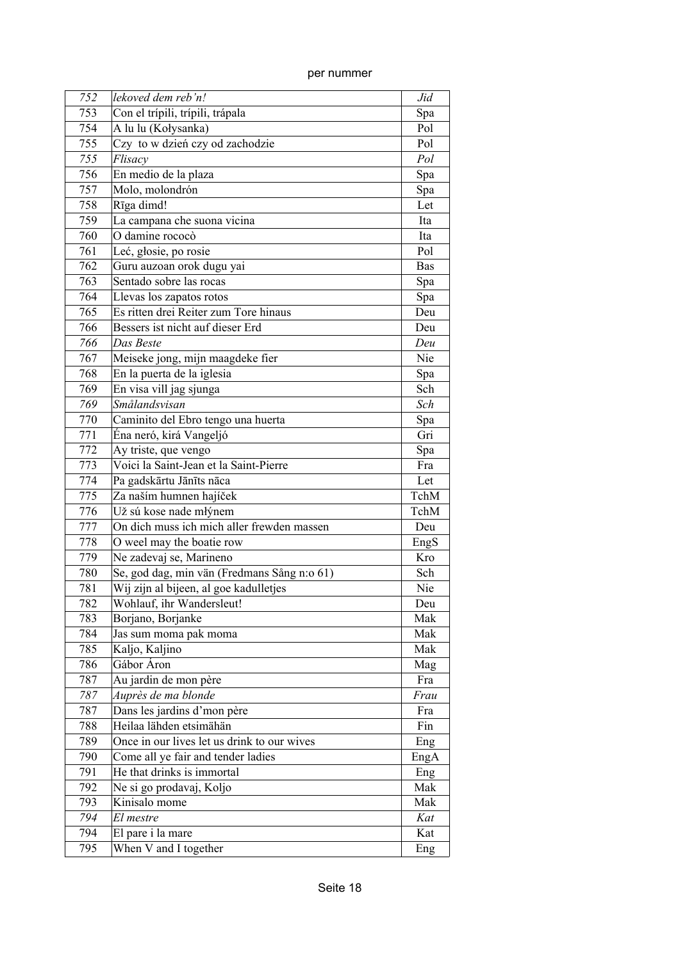| 752 | lekoved dem reb'n!                          | Jid        |
|-----|---------------------------------------------|------------|
| 753 | Con el trípili, trípili, trápala            | Spa        |
| 754 | A lu lu (Kołysanka)                         | Pol        |
| 755 | Czy to w dzień czy od zachodzie             | Pol        |
| 755 | Flisacy                                     | Pol        |
| 756 | En medio de la plaza                        | Spa        |
| 757 | Molo, molondrón                             | Spa        |
| 758 | Rīga dimd!                                  | Let        |
| 759 | La campana che suona vicina                 | Ita        |
| 760 | O damine rococò                             | Ita        |
| 761 | Leć, głosie, po rosie                       | Pol        |
| 762 | Guru auzoan orok dugu yai                   | <b>Bas</b> |
| 763 | Sentado sobre las rocas                     | Spa        |
| 764 | Llevas los zapatos rotos                    | Spa        |
| 765 | Es ritten drei Reiter zum Tore hinaus       | Deu        |
| 766 | Bessers ist nicht auf dieser Erd            | Deu        |
| 766 | Das Beste                                   | Deu        |
| 767 | Meiseke jong, mijn maagdeke fier            | Nie        |
| 768 | En la puerta de la iglesia                  | Spa        |
| 769 | En visa vill jag sjunga                     | Sch        |
| 769 | Smålandsvisan                               | Sch        |
| 770 | Caminito del Ebro tengo una huerta          | Spa        |
| 771 | Éna neró, kirá Vangeljó                     | Gri        |
| 772 | Ay triste, que vengo                        | Spa        |
| 773 | Voici la Saint-Jean et la Saint-Pierre      | Fra        |
| 774 | Pa gadskārtu Jānīts nāca                    | Let        |
| 775 | Za naším humnen hajíček                     | TchM       |
| 776 | Už sú kose nade młýnem                      | TchM       |
| 777 | On dich muss ich mich aller frewden massen  | Deu        |
| 778 | O weel may the boatie row                   | EngS       |
| 779 | Ne zadevaj se, Marineno                     | Kro        |
| 780 | Se, god dag, min vän (Fredmans Sång n:o 61) | Sch        |
| 781 | Wij zijn al bijeen, al goe kadulletjes      | Nie        |
| 782 | Wohlauf, ihr Wandersleut!                   | Deu        |
| 783 | Borjano, Borjanke                           | Mak        |
| 784 | Jas sum moma pak moma                       | Mak        |
| 785 | Kaljo, Kaljino                              | Mak        |
| 786 | Gábor Áron                                  | Mag        |
| 787 | Au jardin de mon père                       | Fra        |
| 787 | Auprès de ma blonde                         | Frau       |
| 787 | Dans les jardins d'mon père                 | Fra        |
| 788 | Heilaa lähden etsimähän                     | Fin        |
| 789 | Once in our lives let us drink to our wives | Eng        |
| 790 | Come all ye fair and tender ladies          | EngA       |
| 791 | He that drinks is immortal                  | Eng        |
| 792 | Ne si go prodavaj, Koljo                    | Mak        |
| 793 | Kinisalo mome                               | Mak        |
| 794 | El mestre                                   | Kat        |
| 794 | El pare i la mare                           | Kat        |
| 795 | When V and I together                       | Eng        |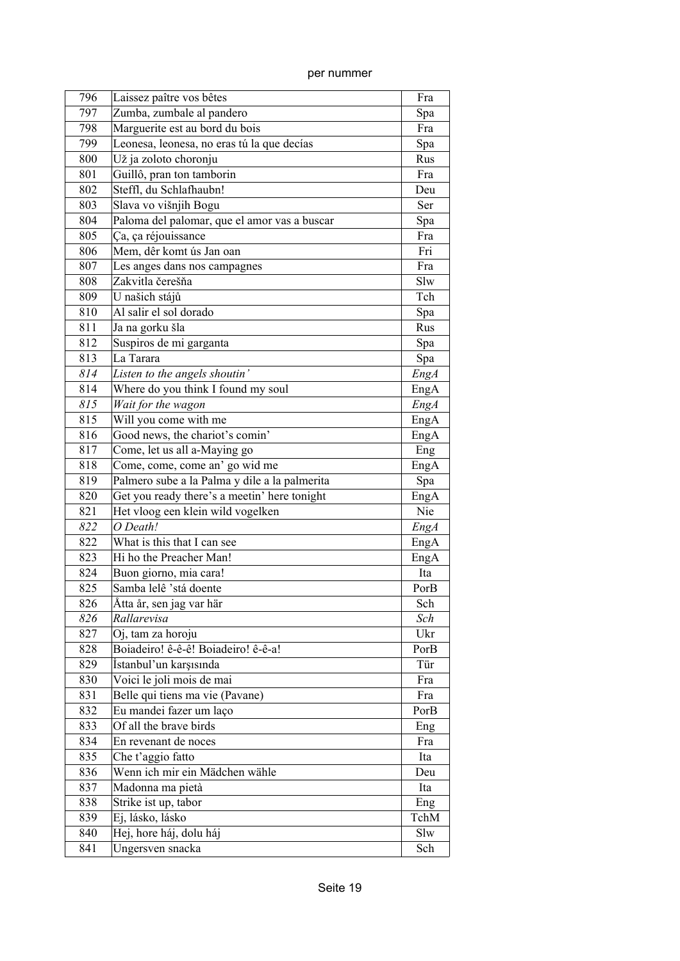| 796 | Laissez paître vos bêtes                      | Fra         |
|-----|-----------------------------------------------|-------------|
| 797 | Zumba, zumbale al pandero                     | Spa         |
| 798 | Marguerite est au bord du bois                | Fra         |
| 799 | Leonesa, leonesa, no eras tú la que decías    |             |
|     |                                               | Spa         |
| 800 | Už ja zoloto choronju                         | Rus         |
| 801 | Guillô, pran ton tamborin                     | Fra         |
| 802 | Steffl, du Schlafhaubn!                       | Deu         |
| 803 | Slava vo višnjih Bogu                         | Ser         |
| 804 | Paloma del palomar, que el amor vas a buscar  | Spa         |
| 805 | Ça, ça réjouissance                           | Fra         |
| 806 | Mem, dêr komt ús Jan oan                      | Fri         |
| 807 | Les anges dans nos campagnes                  | Fra         |
| 808 | Zakvitla čerešňa                              | Slw         |
| 809 | U našich stájů                                | Tch         |
| 810 | Al salir el sol dorado                        | Spa         |
| 811 | Ja na gorku šla                               | Rus         |
| 812 | Suspiros de mi garganta                       | Spa         |
| 813 | La Tarara                                     | Spa         |
| 814 | Listen to the angels shoutin'                 | EngA        |
| 814 | Where do you think I found my soul            | EngA        |
| 815 | Wait for the wagon                            | <b>EngA</b> |
| 815 | Will you come with me                         | EngA        |
| 816 | Good news, the chariot's comin'               | EngA        |
| 817 | Come, let us all a-Maying go                  | Eng         |
| 818 | Come, come, come an' go wid me                | EngA        |
| 819 | Palmero sube a la Palma y dile a la palmerita | Spa         |
| 820 | Get you ready there's a meetin' here tonight  | EngA        |
| 821 | Het vloog een klein wild vogelken             | Nie         |
| 822 | O Death!                                      | EngA        |
| 822 | What is this that I can see                   | EngA        |
| 823 | Hi ho the Preacher Man!                       | EngA        |
| 824 | Buon giorno, mia cara!                        | Ita         |
| 825 | Samba lelê 'stá doente                        | PorB        |
| 826 | Åtta år, sen jag var här                      | Sch         |
| 826 | Rallarevisa                                   | Sch         |
| 827 | Oj, tam za horoju                             | Ukr         |
| 828 | Boiadeiro! ê-ê-ê! Boiadeiro! ê-ê-a!           | PorB        |
| 829 | İstanbul'un karşısında                        | Tür         |
| 830 | Voici le joli mois de mai                     | Fra         |
| 831 | Belle qui tiens ma vie (Pavane)               | Fra         |
| 832 | Eu mandei fazer um laço                       | PorB        |
| 833 | Of all the brave birds                        | Eng         |
| 834 | En revenant de noces                          | Fra         |
| 835 | Che t'aggio fatto                             | Ita         |
| 836 | Wenn ich mir ein Mädchen wähle                | Deu         |
| 837 | Madonna ma pietà                              | Ita         |
| 838 | Strike ist up, tabor                          | Eng         |
| 839 | Ej, lásko, lásko                              | TchM        |
| 840 | Hej, hore háj, dolu háj                       | Slw         |
|     |                                               |             |
| 841 | Ungersven snacka                              | Sch         |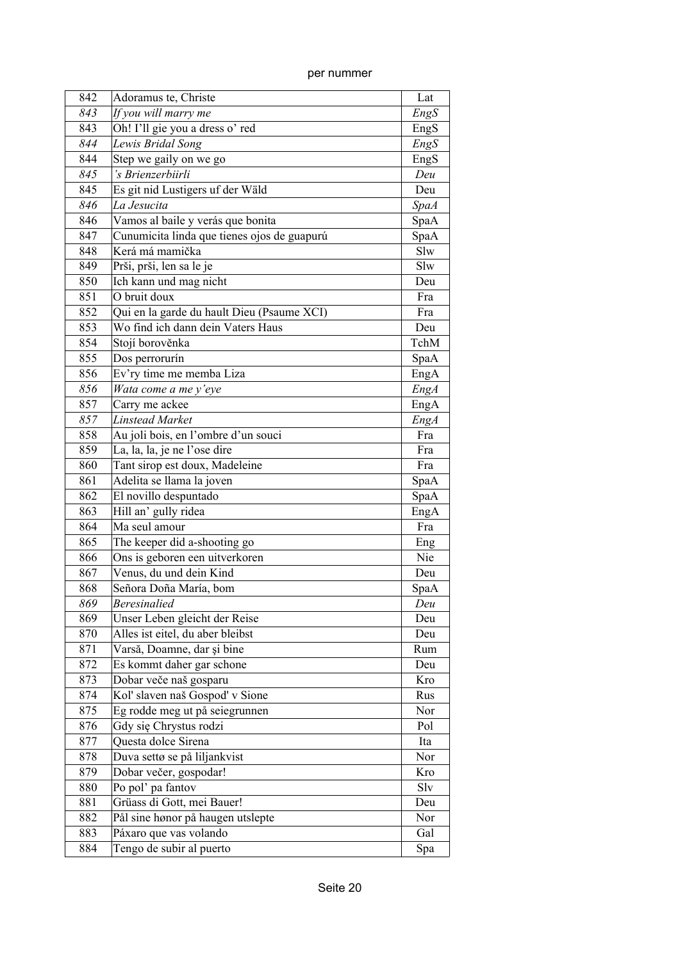| per nummer |  |
|------------|--|
|            |  |

| 842 | Adoramus te, Christe                        | Lat         |
|-----|---------------------------------------------|-------------|
| 843 | If you will marry me                        | EngS        |
| 843 | Oh! I'll gie you a dress o' red             | EngS        |
| 844 | Lewis Bridal Song                           | EngS        |
| 844 | Step we gaily on we go                      | EngS        |
| 845 | 's Brienzerbiirli                           | Deu         |
| 845 | Es git nid Lustigers uf der Wäld            | Deu         |
| 846 | La Jesucita                                 | <b>SpaA</b> |
| 846 | Vamos al baile y verás que bonita           | SpaA        |
| 847 | Cunumicita linda que tienes ojos de guapurú | SpaA        |
| 848 | Kerá má mamička                             | Slw         |
| 849 | Prši, prši, len sa le je                    | Slw         |
| 850 | Ich kann und mag nicht                      | Deu         |
| 851 | O bruit doux                                | Fra         |
| 852 | Qui en la garde du hault Dieu (Psaume XCI)  | Fra         |
| 853 | Wo find ich dann dein Vaters Haus           | Deu         |
| 854 | Stojí borověnka                             | TchM        |
| 855 | Dos perrorurín                              | SpaA        |
| 856 | Ev'ry time me memba Liza                    | EngA        |
| 856 | Wata come a me y'eye                        | <b>EngA</b> |
| 857 | Carry me ackee                              | EngA        |
| 857 | <b>Linstead Market</b>                      | EngA        |
| 858 | Au joli bois, en l'ombre d'un souci         | Fra         |
| 859 | La, la, la, je ne l'ose dire                | Fra         |
| 860 | Tant sirop est doux, Madeleine              | Fra         |
| 861 | Adelita se llama la joven                   | SpaA        |
| 862 | El novillo despuntado                       | SpaA        |
| 863 | Hill an' gully ridea                        | EngA        |
| 864 | Ma seul amour                               | Fra         |
| 865 | The keeper did a-shooting go                | Eng         |
| 866 | Ons is geboren een uitverkoren              | Nie         |
| 867 | Venus, du und dein Kind                     | Deu         |
| 868 | Señora Doña María, bom                      | SpaA        |
| 869 | <b>Beresinalied</b>                         | Deu         |
| 869 | Unser Leben gleicht der Reise               | Deu         |
| 870 | Alles ist eitel, du aber bleibst            | Deu         |
| 871 | Varsă, Doamne, dar și bine                  | Rum         |
| 872 | Es kommt daher gar schone                   | Deu         |
| 873 | Dobar veče naš gosparu                      | Kro         |
| 874 | Kol' slaven naš Gospod' v Sione             | Rus         |
| 875 | Eg rodde meg ut på seiegrunnen              | Nor         |
| 876 | Gdy się Chrystus rodzi                      | Pol         |
| 877 | Questa dolce Sirena                         | Ita         |
| 878 | Duva settø se på liljankvist                | Nor         |
| 879 | Dobar večer, gospodar!                      | Kro         |
| 880 | Po pol' pa fantov                           | Slv         |
| 881 | Grüass di Gott, mei Bauer!                  | Deu         |
| 882 | Pål sine hønor på haugen utslepte           | Nor         |
| 883 | Páxaro que vas volando                      | Gal         |
| 884 | Tengo de subir al puerto                    | Spa         |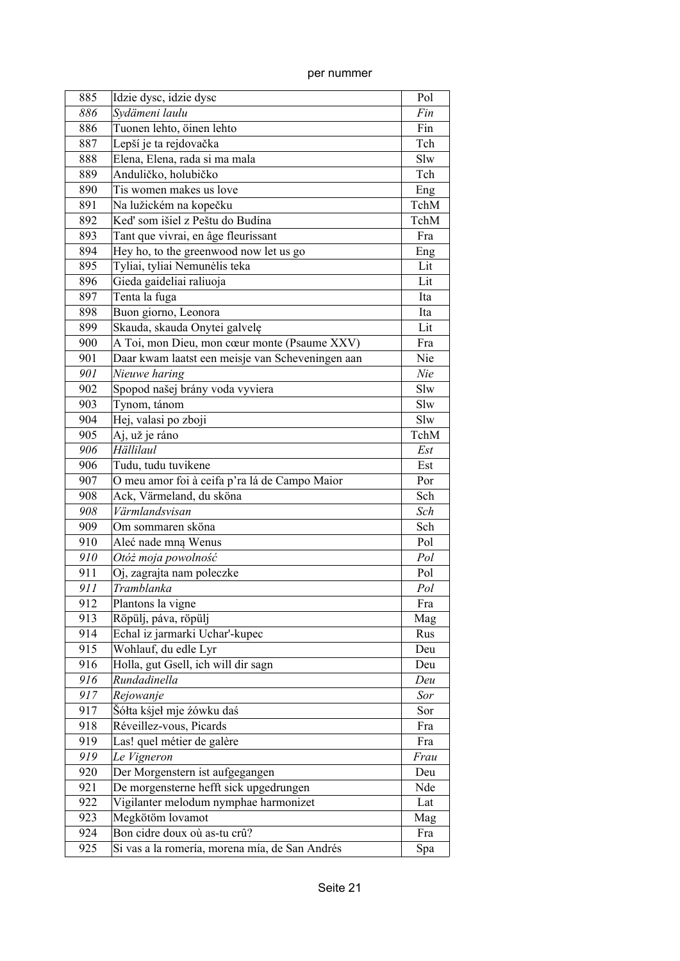| 885 | Idzie dysc, idzie dysc                           | Pol  |
|-----|--------------------------------------------------|------|
| 886 | Svdämeni laulu                                   | Fin  |
| 886 | Tuonen lehto, öinen lehto                        | Fin  |
| 887 | Lepší je ta rejdovačka                           | Tch  |
| 888 | Elena, Elena, rada si ma mala                    | Slw  |
| 889 | Anduličko, holubičko                             | Tch  |
| 890 | Tis women makes us love                          | Eng  |
| 891 | Na lužickém na kopečku                           | TchM |
| 892 | Keď som išiel z Peštu do Budína                  | TchM |
| 893 | Tant que vivrai, en âge fleurissant              | Fra  |
| 894 | Hey ho, to the greenwood now let us go           | Eng  |
| 895 | Tyliai, tyliai Nemunėlis teka                    | Lit  |
| 896 | Gieda gaideliai raliuoja                         | Lit  |
| 897 | Tenta la fuga                                    | Ita  |
| 898 | Buon giorno, Leonora                             | Ita  |
| 899 | Skauda, skauda Onytei galvelę                    | Lit  |
| 900 | A Toi, mon Dieu, mon cœur monte (Psaume XXV)     | Fra  |
| 901 | Daar kwam laatst een meisje van Scheveningen aan | Nie  |
| 901 | Nieuwe haring                                    | Nie  |
| 902 | Spopod našej brány voda vyviera                  | Slw  |
| 903 | Tynom, tánom                                     | Slw  |
| 904 | Hej, valasi po zboji                             | Slw  |
| 905 | Aj, už je ráno                                   | TchM |
| 906 | Hällilaul                                        | Est  |
| 906 | Tudu, tudu tuvikene                              | Est  |
| 907 | O meu amor foi à ceifa p'ra lá de Campo Maior    | Por  |
| 908 | Ack, Värmeland, du sköna                         | Sch  |
| 908 | Värmlandsvisan                                   | Sch  |
| 909 | Om sommaren sköna                                | Sch  |
| 910 | Aleć nade mna Wenus                              | Pol  |
| 910 | Otóż moja powolność                              | Pol  |
| 911 | Oj, zagrajta nam poleczke                        | Pol  |
| 911 | Tramblanka                                       | Pol  |
| 912 | Plantons la vigne                                | Fra  |
| 913 | Röpülj, páva, röpülj                             | Mag  |
| 914 | Echal iz jarmarki Uchar'-kupec                   | Rus  |
| 915 | Wohlauf, du edle Lyr                             | Deu  |
| 916 | Holla, gut Gsell, ich will dir sagn              | Deu  |
| 916 | Rundadinella                                     | Deu  |
| 917 | Rejowanje                                        | Sor  |
| 917 | Šółta kśjeł mje źówku daś                        | Sor  |
| 918 | Réveillez-vous, Picards                          | Fra  |
| 919 | Las! quel métier de galère                       | Fra  |
| 919 | Le Vigneron                                      | Frau |
| 920 | Der Morgenstern ist aufgegangen                  | Deu  |
| 921 | De morgensterne hefft sick upgedrungen           | Nde  |
| 922 | Vigilanter melodum nymphae harmonizet            | Lat  |
| 923 | Megkötöm lovamot                                 | Mag  |
| 924 | Bon cidre doux où as-tu crû?                     | Fra  |
| 925 | Si vas a la romería, morena mía, de San Andrés   | Spa  |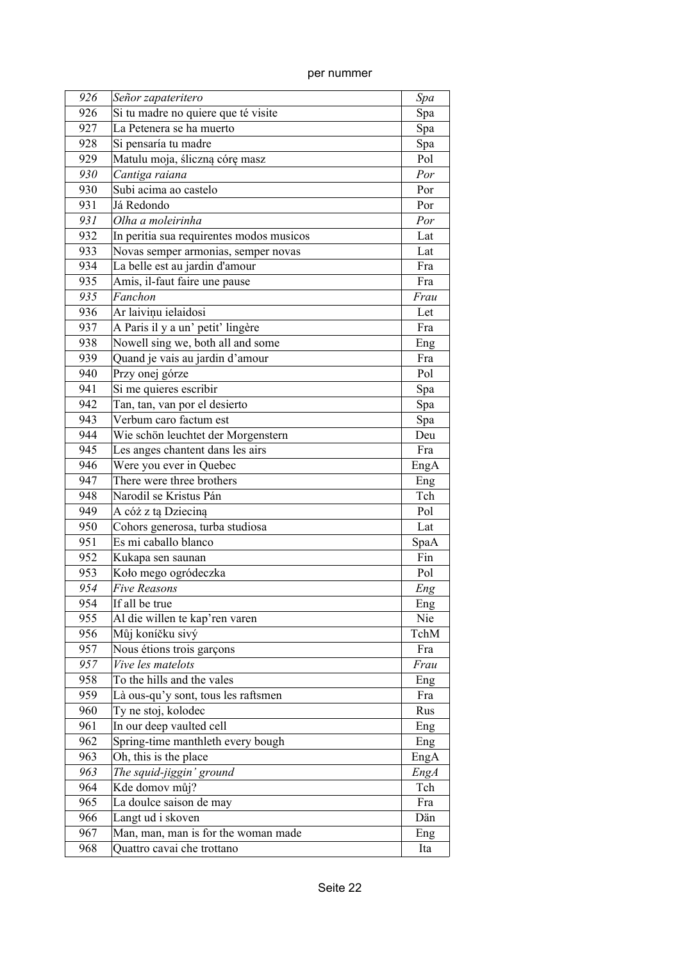| 926 | Señor zapateritero                       | Spa         |
|-----|------------------------------------------|-------------|
| 926 | Si tu madre no quiere que té visite      | Spa         |
| 927 | La Petenera se ha muerto                 | Spa         |
| 928 | Si pensaría tu madre                     | Spa         |
| 929 | Matulu moja, śliczną córę masz           | Pol         |
| 930 | Cantiga raiana                           | Por         |
| 930 | Subi acima ao castelo                    | Por         |
| 931 | Já Redondo                               | Por         |
| 931 | Olha a moleirinha                        | Por         |
| 932 | In peritia sua requirentes modos musicos | Lat         |
| 933 | Novas semper armonias, semper novas      | Lat         |
| 934 | La belle est au jardin d'amour           | Fra         |
| 935 | Amis, il-faut faire une pause            | Fra         |
| 935 | Fanchon                                  | Frau        |
| 936 | Ar laivinu ielaidosi                     | Let         |
| 937 | A Paris il y a un' petit' lingère        | Fra         |
| 938 | Nowell sing we, both all and some        | Eng         |
| 939 | Quand je vais au jardin d'amour          | Fra         |
| 940 | Przy onej górze                          | Pol         |
| 941 | Si me quieres escribir                   | Spa         |
| 942 | Tan, tan, van por el desierto            | Spa         |
| 943 | Verbum caro factum est                   | Spa         |
| 944 | Wie schön leuchtet der Morgenstern       | Deu         |
| 945 | Les anges chantent dans les airs         | Fra         |
| 946 | Were you ever in Quebec                  | EngA        |
| 947 | There were three brothers                | Eng         |
| 948 | Narodil se Kristus Pán                   | Tch         |
| 949 | A cóż z tą Dzieciną                      | Pol         |
| 950 | Cohors generosa, turba studiosa          | Lat         |
| 951 | Es mi caballo blanco                     | SpaA        |
| 952 | Kukapa sen saunan                        | Fin         |
| 953 | Koło mego ogródeczka                     | Pol         |
| 954 | <b>Five Reasons</b>                      | Eng         |
| 954 | If all be true                           | Eng         |
| 955 | Al die willen te kap'ren varen           | Nie         |
| 956 | Můj koníčku sivý                         | TchM        |
| 957 | Nous étions trois garçons                | Fra         |
| 957 | Vive les matelots                        | Frau        |
| 958 | To the hills and the vales               | Eng         |
| 959 | Là ous-qu'y sont, tous les raftsmen      | Fra         |
| 960 | Ty ne stoj, kolodec                      | Rus         |
| 961 | In our deep vaulted cell                 | Eng         |
| 962 | Spring-time manthleth every bough        | Eng         |
| 963 | Oh, this is the place                    | EngA        |
| 963 | The squid-jiggin' ground                 | <b>EngA</b> |
| 964 | Kde domov můj?                           | Tch         |
| 965 | La doulce saison de may                  | Fra         |
| 966 | Langt ud i skoven                        | Dän         |
| 967 | Man, man, man is for the woman made      | Eng         |
| 968 | Quattro cavai che trottano               | Ita         |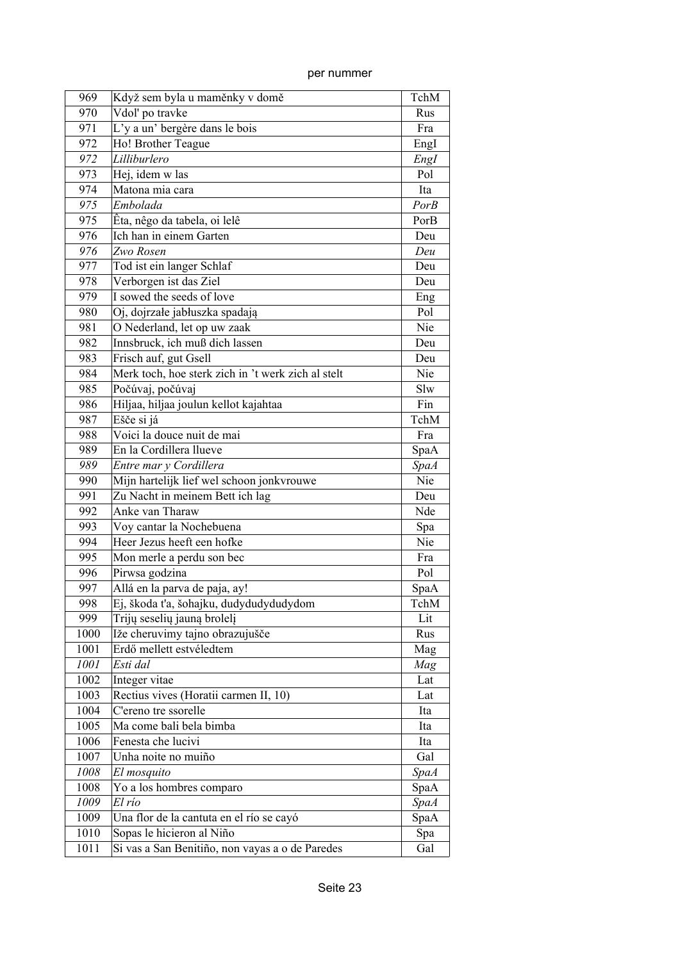| 969          | Když sem byla u maměnky v domě                     | TchM        |
|--------------|----------------------------------------------------|-------------|
| 970          | Vdol' po travke                                    | Rus         |
| 971          | L'y a un' bergère dans le bois                     | Fra         |
| 972          | Ho! Brother Teague                                 | Engl        |
| 972          | Lilliburlero                                       | Engl        |
| 973          | Hej, idem w las                                    | Pol         |
| 974          | Matona mia cara                                    | Ita         |
| 975          | Embolada                                           | PorB        |
| 975          | Êta, nêgo da tabela, oi lelê                       | PorB        |
| 976          | Ich han in einem Garten                            | Deu         |
| 976          | Zwo Rosen                                          | Deu         |
| 977          | Tod ist ein langer Schlaf                          | Deu         |
| 978          | Verborgen ist das Ziel                             | Deu         |
| 979          | I sowed the seeds of love                          | Eng         |
| 980          | Oj, dojrzałe jabłuszka spadają                     | Pol         |
| 981          | O Nederland, let op uw zaak                        | Nie         |
| 982          | Innsbruck, ich muß dich lassen                     | Deu         |
| 983          | Frisch auf, gut Gsell                              | Deu         |
| 984          | Merk toch, hoe sterk zich in 't werk zich al stelt | Nie         |
| 985          | Počúvaj, počúvaj                                   | Slw         |
| 986          | Hiljaa, hiljaa joulun kellot kajahtaa              | Fin         |
| 987          | Ešče si já                                         | TchM        |
| 988          | Voici la douce nuit de mai                         | Fra         |
| 989          | En la Cordillera llueve                            |             |
|              |                                                    | SpaA        |
| 989          | Entre mar y Cordillera                             | <b>SpaA</b> |
| 990          | Mijn hartelijk lief wel schoon jonkvrouwe          | Nie         |
| 991          | Zu Nacht in meinem Bett ich lag                    | Deu         |
| 992          | Anke van Tharaw                                    | Nde         |
| 993          | Voy cantar la Nochebuena                           | Spa         |
| 994          | Heer Jezus heeft een hofke                         | Nie         |
| 995          | Mon merle a perdu son bec                          | Fra         |
| 996          | Pirwsa godzina                                     | Pol         |
| 997          | Allá en la parva de paja, ay!                      | SpaA        |
| 998          | Ej, škoda t'a, šohajku, dudydudydudydom            | TchM        |
| 999          | Trijų seselių jauną brolelį                        | Lit         |
| 1000         | Iže cheruvimy tajno obrazujušče                    | Rus         |
| 1001         | Erdő mellett estvéledtem                           | Mag         |
| 1001         | Esti dal                                           | Mag         |
| 1002         | Integer vitae                                      | Lat         |
| 1003         | Rectius vives (Horatii carmen II, 10)              | Lat         |
| 1004         | C'ereno tre ssorelle                               | Ita         |
| 1005         | Ma come bali bela bimba                            | Ita         |
| 1006         | Fenesta che lucivi                                 | Ita         |
| 1007         | Unha noite no muiño                                | Gal         |
| ${\it 1008}$ | El mosquito                                        | <b>SpaA</b> |
| 1008         | Yo a los hombres comparo                           | SpaA        |
| 1009         | El río                                             | <b>SpaA</b> |
| 1009         | Una flor de la cantuta en el río se cayó           | SpaA        |
| 1010         | Sopas le hicieron al Niño                          | Spa         |
| 1011         | Si vas a San Benitiño, non vayas a o de Paredes    | Gal         |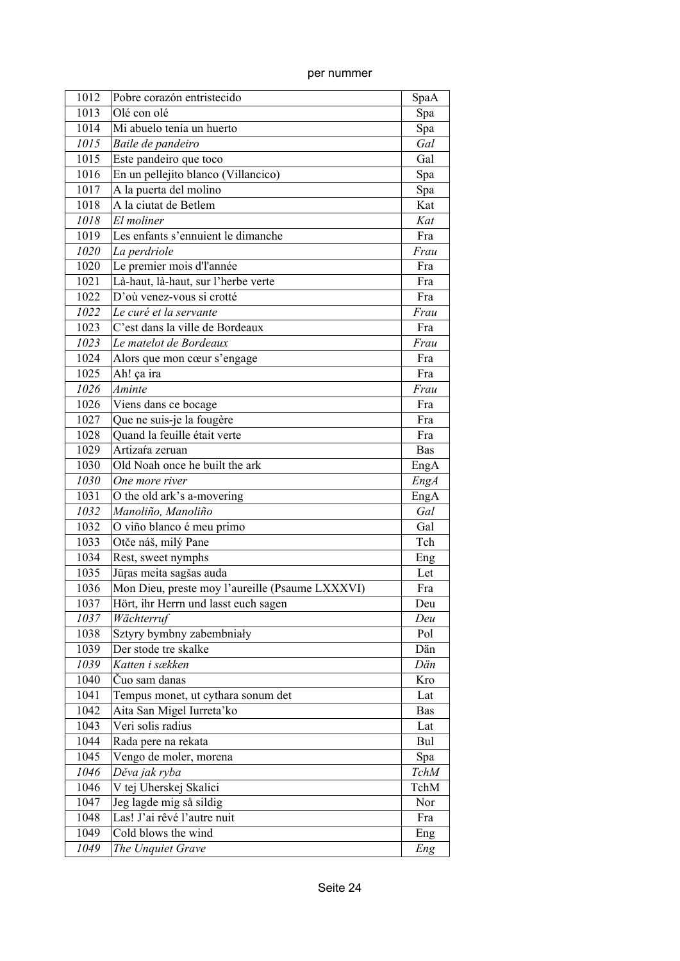| 1012 | Pobre corazón entristecido                      | SpaA       |
|------|-------------------------------------------------|------------|
| 1013 | Olé con olé                                     | Spa        |
| 1014 | Mi abuelo tenía un huerto                       | Spa        |
| 1015 | Baile de pandeiro                               | Gal        |
| 1015 | Este pandeiro que toco                          | Gal        |
| 1016 | En un pellejito blanco (Villancico)             | Spa        |
| 1017 | A la puerta del molino                          | Spa        |
| 1018 | A la ciutat de Betlem                           | Kat        |
| 1018 | El moliner                                      | Kat        |
| 1019 | Les enfants s'ennuient le dimanche              | Fra        |
| 1020 | La perdriole                                    | Frau       |
| 1020 | Le premier mois d'l'année                       | Fra        |
| 1021 | Là-haut, là-haut, sur l'herbe verte             | Fra        |
| 1022 | D'où venez-vous si crotté                       | Fra        |
| 1022 | Le curé et la servante                          | Frau       |
| 1023 | C'est dans la ville de Bordeaux                 | Fra        |
| 1023 | Le matelot de Bordeaux                          | Frau       |
| 1024 | Alors que mon cœur s'engage                     | Fra        |
| 1025 | Ah! ça ira                                      | Fra        |
| 1026 | Aminte                                          | Frau       |
| 1026 | Viens dans ce bocage                            | Fra        |
| 1027 | Que ne suis-je la fougère                       | Fra        |
| 1028 | Quand la feuille était verte                    | Fra        |
| 1029 | Artizara zeruan                                 | <b>Bas</b> |
| 1030 | Old Noah once he built the ark                  | EngA       |
| 1030 | One more river                                  | EngA       |
| 1031 | O the old ark's a-movering                      | EngA       |
| 1032 | Manoliño, Manoliño                              | Gal        |
| 1032 | O viño blanco é meu primo                       | Gal        |
| 1033 | Otče náš, milý Pane                             | Tch        |
| 1034 | Rest, sweet nymphs                              | Eng        |
| 1035 | Jūras meita sagšas auda                         | Let        |
| 1036 | Mon Dieu, preste moy l'aureille (Psaume LXXXVI) | Fra        |
| 1037 | Hört, ihr Herrn und lasst euch sagen            | Deu        |
| 1037 | Wächterruf                                      | Deu        |
| 1038 | Sztyry bymbny zabembniały                       | Pol        |
| 1039 | Der stode tre skalke                            | Dän        |
| 1039 | Katten i sækken                                 | Dän        |
| 1040 | Čuo sam danas                                   | Kro        |
| 1041 | Tempus monet, ut cythara sonum det              | Lat        |
| 1042 | Aita San Migel Iurreta'ko                       | Bas        |
| 1043 | Veri solis radius                               | Lat        |
| 1044 | Rada pere na rekata                             | Bul        |
| 1045 | Vengo de moler, morena                          | Spa        |
| 1046 | Děva jak ryba                                   | TchM       |
| 1046 | V tej Uherskej Skalici                          | TchM       |
| 1047 | Jeg lagde mig så sildig                         | Nor        |
| 1048 | Las! J'ai rêvé l'autre nuit                     | Fra        |
| 1049 | Cold blows the wind                             | Eng        |
| 1049 | The Unquiet Grave                               | Eng        |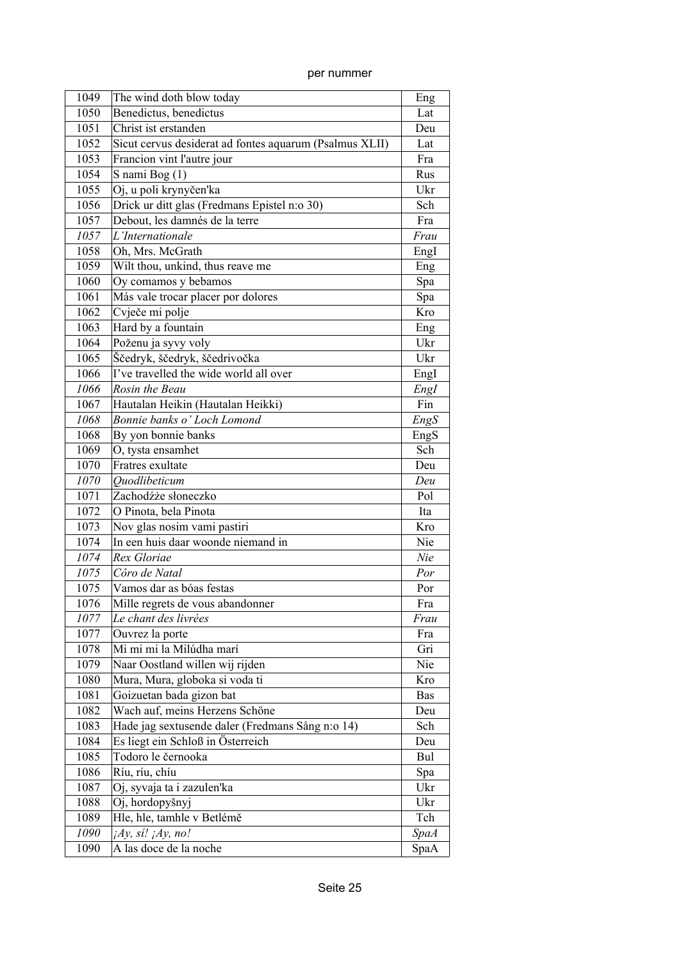| per nummer |
|------------|

| 1049 | The wind doth blow today                                | Eng         |
|------|---------------------------------------------------------|-------------|
| 1050 | Benedictus, benedictus                                  | Lat         |
| 1051 | Christ ist erstanden                                    | Deu         |
| 1052 | Sicut cervus desiderat ad fontes aquarum (Psalmus XLII) | Lat         |
| 1053 | Francion vint l'autre jour                              | Fra         |
| 1054 | S nami Bog $(1)$                                        | Rus         |
| 1055 | Oj, u poli krynyčen'ka                                  | Ukr         |
| 1056 | Drick ur ditt glas (Fredmans Epistel n:o 30)            | Sch         |
| 1057 | Debout, les damnés de la terre                          | Fra         |
| 1057 | L'Internationale                                        | Frau        |
| 1058 | Oh, Mrs. McGrath                                        | Engl        |
| 1059 | Wilt thou, unkind, thus reave me                        | Eng         |
| 1060 | Oy comamos y bebamos                                    | Spa         |
| 1061 | Más vale trocar placer por dolores                      | Spa         |
| 1062 | Cvječe mi polje                                         | Kro         |
| 1063 | Hard by a fountain                                      | Eng         |
| 1064 | Poženu ja syvy voly                                     | Ukr         |
| 1065 | Ščedryk, ščedryk, ščedrivočka                           | Ukr         |
| 1066 | I've travelled the wide world all over                  | Engl        |
| 1066 | Rosin the Beau                                          | Engl        |
| 1067 | Hautalan Heikin (Hautalan Heikki)                       | Fin         |
| 1068 | Bonnie banks o' Loch Lomond                             | EngS        |
| 1068 | By yon bonnie banks                                     | EngS        |
| 1069 | O, tysta ensamhet                                       | Sch         |
| 1070 | Fratres exultate                                        | Deu         |
| 1070 | Ouodlibeticum                                           | Deu         |
| 1071 | Zachodźże słoneczko                                     | Pol         |
| 1072 | O Pinota, bela Pinota                                   | Ita         |
| 1073 | Nov glas nosim vami pastiri                             | Kro         |
| 1074 | In een huis daar woonde niemand in                      | Nie         |
| 1074 | Rex Gloriae                                             | Nie         |
| 1075 | Côro de Natal                                           | Por         |
| 1075 | Vamos dar as bóas festas                                | Por         |
| 1076 | Mille regrets de vous abandonner                        | Fra         |
| 1077 | Le chant des livrées                                    | Frau        |
| 1077 | Ouvrez la porte                                         | Fra         |
| 1078 | Mi mi mi la Milúdha marí                                | Gri         |
| 1079 | Naar Oostland willen wij rijden                         | Nie         |
| 1080 | Mura, Mura, globoka si voda ti                          | Kro         |
| 1081 | Goizuetan bada gizon bat                                | <b>Bas</b>  |
| 1082 | Wach auf, meins Herzens Schöne                          | Deu         |
| 1083 | Hade jag sextusende daler (Fredmans Sång n:o 14)        | Sch         |
| 1084 | Es liegt ein Schloß in Österreich                       | Deu         |
| 1085 | Todoro le černooka                                      | Bul         |
| 1086 | Ríu, ríu, chíu                                          | Spa         |
| 1087 | Oj, syvaja ta i zazulen'ka                              | Ukr         |
| 1088 | Oj, hordopyšnyj                                         | Ukr         |
| 1089 | Hle, hle, tamhle v Betlémě                              | Tch         |
| 1090 | $iAy$ , si! $iAy$ , no!                                 | <b>SpaA</b> |
| 1090 | A las doce de la noche                                  | SpaA        |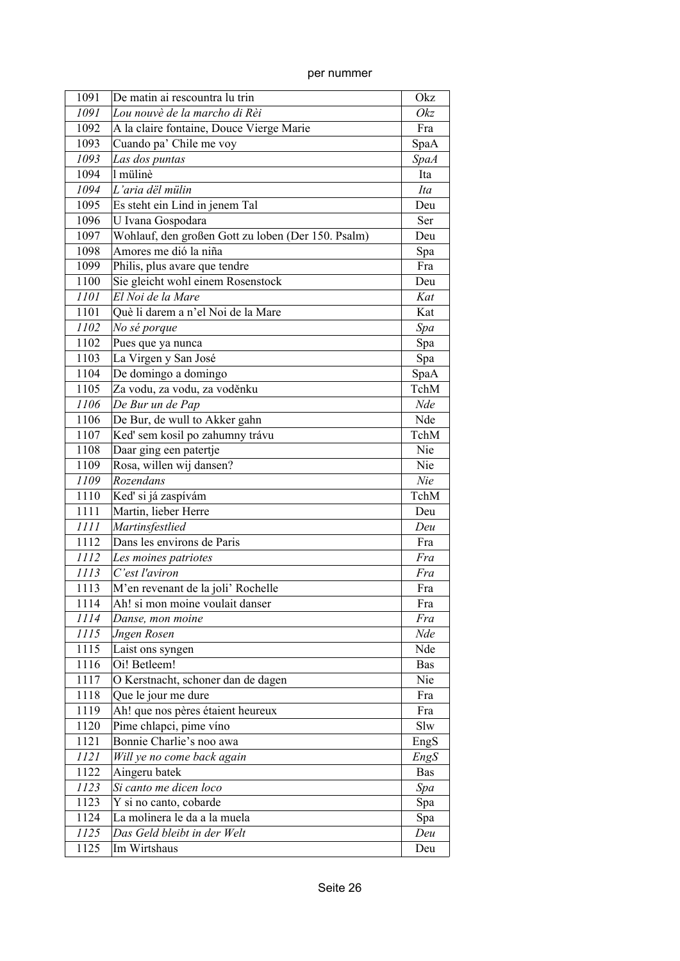| per nummer |
|------------|
|            |

| 1091 | De matin ai rescountra lu trin                     | Okz         |
|------|----------------------------------------------------|-------------|
| 1091 | Lou nouvè de la marcho di Rèi                      | Okz         |
| 1092 | A la claire fontaine, Douce Vierge Marie           | Fra         |
| 1093 | Cuando pa' Chile me voy                            | SpaA        |
| 1093 | Las dos puntas                                     | <b>SpaA</b> |
| 1094 | 1 mülinè                                           | Ita         |
| 1094 | L'aria dël mülin                                   | Ita         |
| 1095 | Es steht ein Lind in jenem Tal                     | Deu         |
| 1096 | U Ivana Gospodara                                  | Ser         |
| 1097 | Wohlauf, den großen Gott zu loben (Der 150. Psalm) | Deu         |
| 1098 | Amores me dió la niña                              | Spa         |
| 1099 | Philis, plus avare que tendre                      | Fra         |
| 1100 | Sie gleicht wohl einem Rosenstock                  | Deu         |
| 1101 | El Noi de la Mare                                  | Kat         |
| 1101 | Què li darem a n'el Noi de la Mare                 | Kat         |
| 1102 | No sé porque                                       | Spa         |
| 1102 | Pues que ya nunca                                  | Spa         |
| 1103 | La Virgen y San José                               | Spa         |
| 1104 | De domingo a domingo                               | SpaA        |
| 1105 | Za vodu, za vodu, za voděnku                       | TchM        |
| 1106 | De Bur un de Pap                                   | Nde         |
| 1106 | De Bur, de wull to Akker gahn                      | Nde         |
| 1107 | Keď sem kosil po zahumny trávu                     | TchM        |
| 1108 | Daar ging een patertje                             | Nie         |
| 1109 | Rosa, willen wij dansen?                           | Nie         |
| 1109 | Rozendans                                          | Nie         |
| 1110 | Keď si já zaspívám                                 | TchM        |
| 1111 | Martin, lieber Herre                               | Deu         |
| 1111 | Martinsfestlied                                    | Deu         |
| 1112 | Dans les environs de Paris                         | Fra         |
| 1112 | Les moines patriotes                               | Fra         |
| 1113 | C'est l'aviron                                     | Fra         |
| 1113 | M'en revenant de la joli' Rochelle                 | Fra         |
| 1114 | Ah! si mon moine voulait danser                    | Fra         |
| 1114 | Danse, mon moine                                   | Fra         |
| 1115 | <b>Jngen Rosen</b>                                 | Nde         |
| 1115 | Laist ons syngen                                   | Nde         |
| 1116 | Oi! Betleem!                                       | <b>Bas</b>  |
| 1117 | O Kerstnacht, schoner dan de dagen                 | Nie         |
| 1118 | Que le jour me dure                                | Fra         |
| 1119 | Ah! que nos pères étaient heureux                  | Fra         |
| 1120 | Pime chlapci, pime víno                            | Slw         |
| 1121 | Bonnie Charlie's noo awa                           | EngS        |
| 1121 | Will ye no come back again                         | EngS        |
| 1122 | Aingeru batek                                      | <b>Bas</b>  |
| 1123 | Si canto me dicen loco                             | Spa         |
| 1123 | Y si no canto, cobarde                             | Spa         |
| 1124 | La molinera le da a la muela                       | Spa         |
| 1125 | Das Geld bleibt in der Welt                        | Deu         |
| 1125 | Im Wirtshaus                                       | Deu         |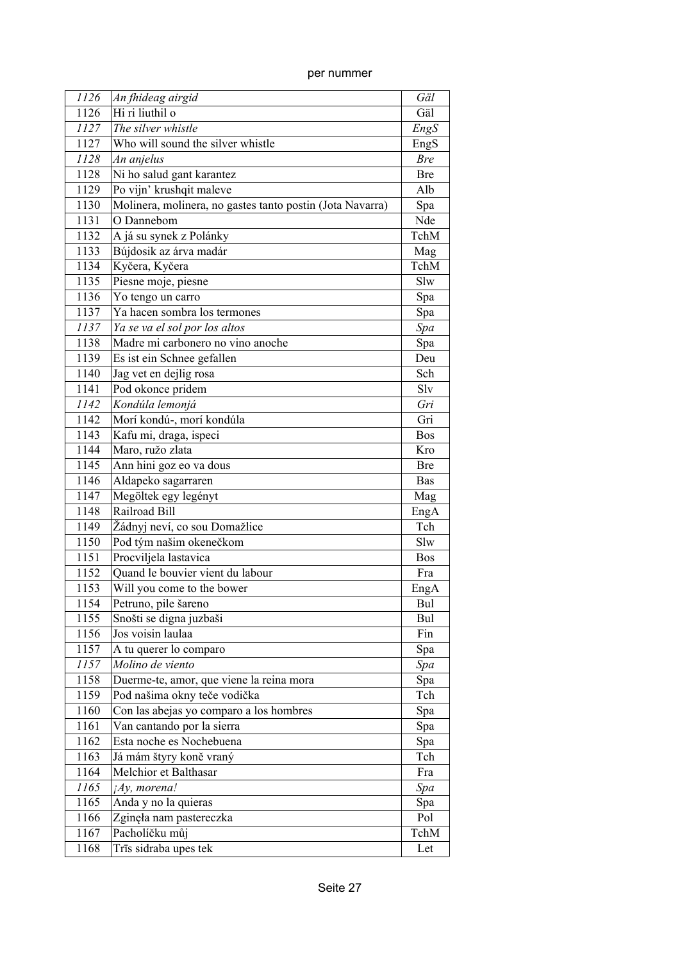per nummer

| 1126 | An fhideag airgid                                         | Gäl        |
|------|-----------------------------------------------------------|------------|
| 1126 | Hi ri liuthil o                                           | Gäl        |
| 1127 | The silver whistle                                        | EngS       |
| 1127 | Who will sound the silver whistle                         | EngS       |
| 1128 | An anjelus                                                | <b>Bre</b> |
| 1128 | Ni ho salud gant karantez                                 | <b>Bre</b> |
| 1129 | Po vijn' krushqit maleve                                  | Alb        |
| 1130 | Molinera, molinera, no gastes tanto postin (Jota Navarra) | Spa        |
| 1131 | O Dannebom                                                | Nde        |
| 1132 | A já su synek z Polánky                                   | TchM       |
| 1133 | Bújdosik az árva madár                                    | Mag        |
| 1134 | Kyčera, Kyčera                                            | TchM       |
| 1135 | Piesne moje, piesne                                       | Slw        |
| 1136 | Yo tengo un carro                                         | Spa        |
| 1137 | Ya hacen sombra los termones                              | Spa        |
| 1137 | Ya se va el sol por los altos                             | Spa        |
| 1138 | Madre mi carbonero no vino anoche                         | Spa        |
| 1139 | Es ist ein Schnee gefallen                                | Deu        |
| 1140 | Jag vet en dejlig rosa                                    | Sch        |
| 1141 | Pod okonce pridem                                         | Slv        |
| 1142 | Kondúla lemonjá                                           | Gri        |
| 1142 | Morí kondú-, morí kondúla                                 | Gri        |
| 1143 | Kafu mi, draga, ispeci                                    | <b>Bos</b> |
| 1144 | Maro, ružo zlata                                          | Kro        |
| 1145 | Ann hini goz eo va dous                                   | <b>Bre</b> |
| 1146 | Aldapeko sagarraren                                       | <b>Bas</b> |
| 1147 | Megöltek egy legényt                                      | Mag        |
| 1148 | Railroad Bill                                             | EngA       |
| 1149 | Žádnyj neví, co sou Domažlice                             | Tch        |
| 1150 | Pod tým našim okenečkom                                   | Slw        |
| 1151 | Procviljela lastavica                                     | <b>Bos</b> |
| 1152 | Quand le bouvier vient du labour                          | Fra        |
| 1153 | Will you come to the bower                                | EngA       |
| 1154 | Petruno, pile šareno                                      | Bul        |
| 1155 | Snošti se digna juzbaši                                   | Bul        |
| 1156 | Jos voisin laulaa                                         | Fin        |
| 1157 | A tu querer lo comparo                                    | Spa        |
| 1157 | Molino de viento                                          | Spa        |
| 1158 | Duerme-te, amor, que viene la reina mora                  | Spa        |
| 1159 | Pod našima okny teče vodička                              | Tch        |
| 1160 | Con las abejas yo comparo a los hombres                   | Spa        |
| 1161 | Van cantando por la sierra                                | Spa        |
| 1162 | Esta noche es Nochebuena                                  | Spa        |
| 1163 | Já mám štyry koně vraný                                   | Tch        |
| 1164 | Melchior et Balthasar                                     | Fra        |
| 1165 | ¡Ay, morena!                                              | Spa        |
| 1165 | Anda y no la quieras                                      | Spa        |
| 1166 | Zginęła nam pastereczka                                   | Pol        |
| 1167 | Pacholíčku můj                                            | TchM       |
| 1168 | Trīs sidraba upes tek                                     | Let        |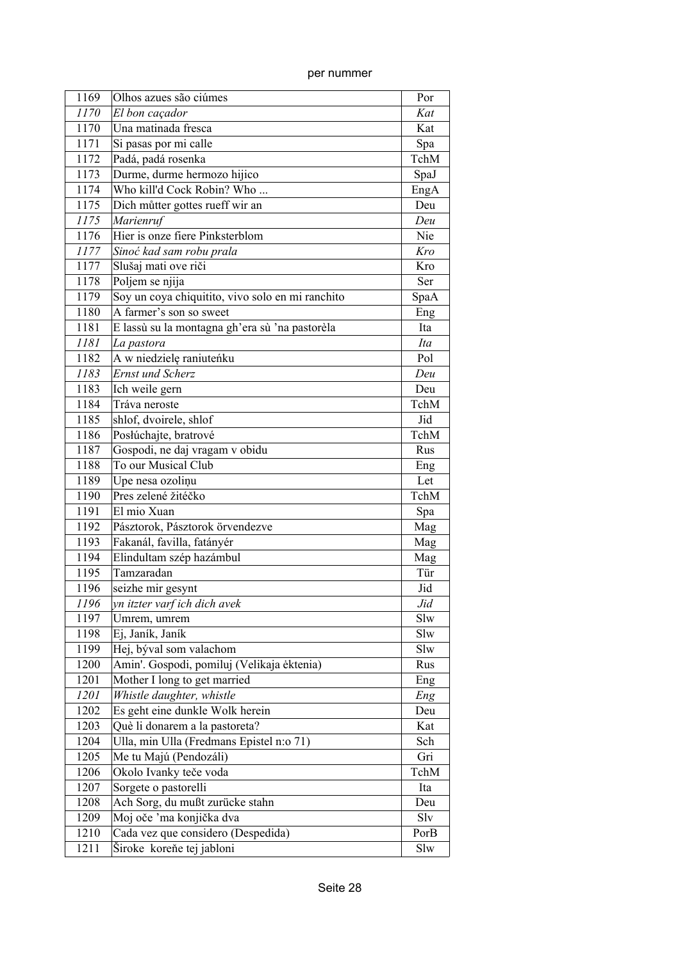| 1169 | Olhos azues são ciúmes                           | Por  |
|------|--------------------------------------------------|------|
| 1170 | El bon caçador                                   | Kat  |
| 1170 | Una matinada fresca                              | Kat  |
| 1171 | Si pasas por mi calle                            | Spa  |
| 1172 | Padá, padá rosenka                               | TchM |
| 1173 | Durme, durme hermozo hijico                      | SpaJ |
| 1174 | Who kill'd Cock Robin? Who                       | EngA |
| 1175 | Dich můtter gottes rueff wir an                  | Deu  |
| 1175 | <u>-</u><br>Marienruf                            | Deu  |
| 1176 | Hier is onze fiere Pinksterblom                  | Nie  |
| 1177 | Sinoć kad sam robu prala                         | Kro  |
| 1177 | Slušaj mati ove riči                             | Kro  |
| 1178 | Poljem se njija                                  | Ser  |
| 1179 | Soy un coya chiquitito, vivo solo en mi ranchito | SpaA |
| 1180 | A farmer's son so sweet                          | Eng  |
| 1181 | E lassù su la montagna gh'era sù 'na pastorèla   | Ita  |
| 1181 | La pastora                                       | Ita  |
| 1182 | A w niedzielę raniuteńku                         | Pol  |
| 1183 | <b>Ernst und Scherz</b>                          | Deu  |
| 1183 | Ich weile gern                                   | Deu  |
| 1184 | Tráva neroste                                    | TchM |
| 1185 | shlof, dvoirele, shlof                           | Jid  |
| 1186 | Posłúchajte, bratrové                            | TchM |
| 1187 | Gospodi, ne daj vragam v obidu                   | Rus  |
| 1188 | To our Musical Club                              | Eng  |
| 1189 | Upe nesa ozoliņu                                 | Let  |
| 1190 | Pres zelené žitéčko                              | TchM |
| 1191 | El mio Xuan                                      | Spa  |
| 1192 | Pásztorok, Pásztorok örvendezve                  | Mag  |
| 1193 | Fakanál, favilla, fatányér                       | Mag  |
| 1194 | Elindultam szép hazámbul                         | Mag  |
| 1195 | Tamzaradan                                       | Tür  |
| 1196 | seizhe mir gesynt                                | Jid  |
| 1196 | yn itzter varf ich dich avek                     | Jid  |
| 1197 | Umrem, umrem                                     | Slw  |
| 1198 | Ej, Janík, Janík                                 | Slw  |
| 1199 | Hej, býval som valachom                          | Slw  |
| 1200 | Amin'. Gospodi, pomiluj (Velikaja ėktenia)       | Rus  |
| 1201 | Mother I long to get married                     | Eng  |
| 1201 | Whistle daughter, whistle                        | Eng  |
| 1202 | Es geht eine dunkle Wolk herein                  | Deu  |
| 1203 | Què li donarem a la pastoreta?                   | Kat  |
| 1204 | Ulla, min Ulla (Fredmans Epistel n:o 71)         | Sch  |
| 1205 | Me tu Majú (Pendozáli)                           | Gri  |
| 1206 | Okolo Ivanky teče voda                           | TchM |
| 1207 | Sorgete o pastorelli                             | Ita  |
| 1208 | Ach Sorg, du mußt zurücke stahn                  | Deu  |
| 1209 | Moj oče 'ma konjička dva                         | Slv  |
| 1210 | Cada vez que considero (Despedida)               | PorB |
| 1211 | Široke koreňe tej jabloni                        | Slw  |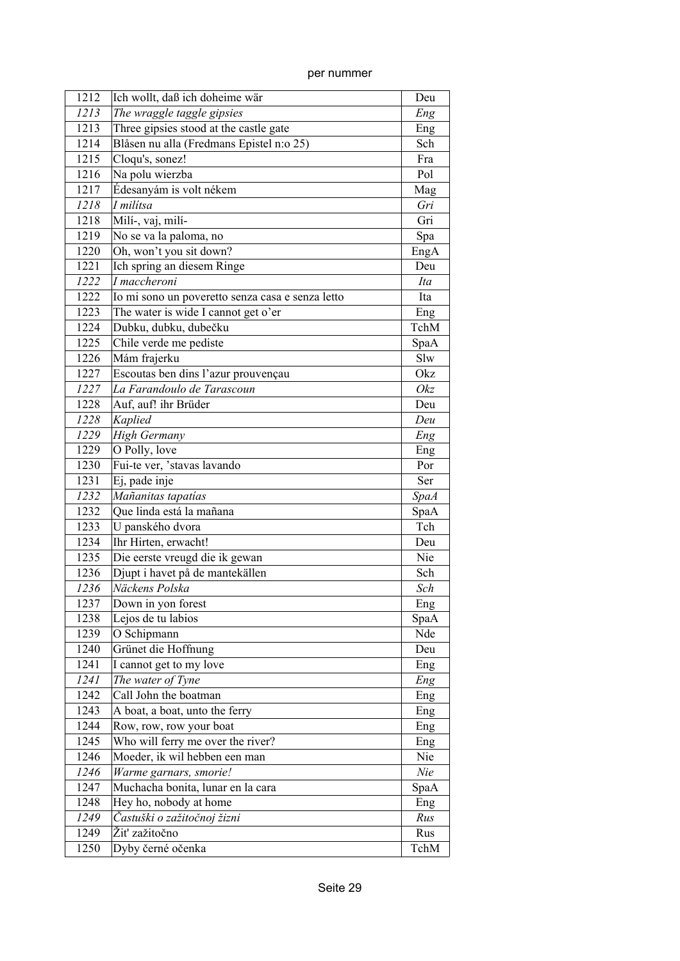| 1212 | Ich wollt, daß ich doheime wär                                     | Deu         |
|------|--------------------------------------------------------------------|-------------|
| 1213 | The wraggle taggle gipsies                                         | Eng         |
| 1213 | Three gipsies stood at the castle gate                             | Eng         |
| 1214 | Blåsen nu alla (Fredmans Epistel n:o 25)                           | Sch         |
| 1215 | Cloqu's, sonez!                                                    | Fra         |
| 1216 | Na polu wierzba                                                    | Pol         |
| 1217 | Édesanyám is volt nékem                                            | Mag         |
| 1218 | $\overline{I}$ milítsa                                             | Gri         |
| 1218 | Milí-, vaj, milí-                                                  | Gri         |
| 1219 | No se va la paloma, no                                             | Spa         |
| 1220 | Oh, won't you sit down?                                            | EngA        |
| 1221 | Ich spring an diesem Ringe                                         | Deu         |
| 1222 | I maccheroni                                                       | Ita         |
| 1222 | Io mi sono un poveretto senza casa e senza letto                   | Ita         |
| 1223 | The water is wide I cannot get o'er                                | Eng         |
| 1224 | Dubku, dubku, dubečku                                              | TchM        |
| 1225 | Chile verde me pediste                                             | SpaA        |
| 1226 | Mám frajerku                                                       | Slw         |
| 1227 | Escoutas ben dins l'azur prouvençau                                | Okz         |
| 1227 | La Farandoulo de Tarascoun                                         | Okz         |
| 1228 | Auf, auf! ihr Brüder                                               | Deu         |
| 1228 | Kaplied                                                            | Deu         |
| 1229 | <b>High Germany</b>                                                | Eng         |
| 1229 | O Polly, love                                                      | Eng         |
| 1230 | Fui-te ver, 'stavas lavando                                        | Por         |
| 1231 | Ej, pade inje                                                      | Ser         |
| 1232 | Mañanitas tapatías                                                 | <b>SpaA</b> |
| 1232 | Que linda está la mañana                                           | SpaA        |
| 1233 | U panského dvora                                                   | Tch         |
| 1234 | Ihr Hirten, erwacht!                                               | Deu         |
| 1235 | Die eerste vreugd die ik gewan                                     | Nie         |
| 1236 | Djupt i havet på de mantekällen                                    | Sch         |
| 1236 | Näckens Polska                                                     | Sch         |
| 1237 | Down in yon forest                                                 | Eng         |
| 1238 | Lejos de tu labios                                                 | SpaA        |
| 1239 | O Schipmann                                                        | Nde         |
| 1240 | Grünet die Hoffnung                                                | Deu         |
| 1241 | I cannot get to my love                                            |             |
| 1241 | The water of Tyne                                                  | Eng         |
| 1242 | Call John the boatman                                              | Eng         |
| 1243 | A boat, a boat, unto the ferry                                     | Eng         |
| 1244 |                                                                    | Eng         |
| 1245 | Row, row, row your boat                                            | Eng         |
|      | Who will ferry me over the river?<br>Moeder, ik wil hebben een man | Eng         |
| 1246 |                                                                    | Nie         |
| 1246 | Warme garnars, smorie!                                             | Nie         |
| 1247 | Muchacha bonita, lunar en la cara                                  | SpaA        |
| 1248 | Hey ho, nobody at home                                             | Eng         |
| 1249 | Častuški o zažitočnoj žizni                                        | Rus         |
| 1249 | Žiť zažitočno                                                      | Rus         |
| 1250 | Dyby černé očenka                                                  | TchM        |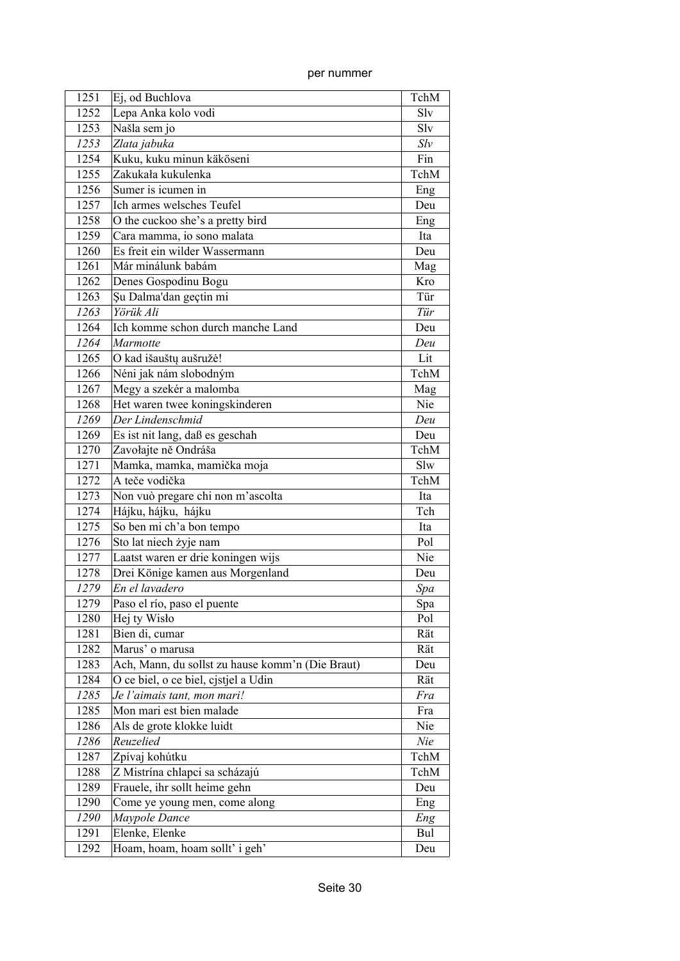| 1251 | Ej, od Buchlova                                  | TchM |
|------|--------------------------------------------------|------|
| 1252 | Lepa Anka kolo vodi                              | Slv  |
| 1253 | Našla sem jo                                     | Slv  |
| 1253 | Zlata jabuka                                     | Slv  |
| 1254 | Kuku, kuku minun käköseni                        | Fin  |
| 1255 | Zakukała kukulenka                               | TchM |
| 1256 | Sumer is icumen in                               | Eng  |
| 1257 | Ich armes welsches Teufel                        | Deu  |
| 1258 | O the cuckoo she's a pretty bird                 | Eng  |
| 1259 | Cara mamma, io sono malata                       | Ita  |
| 1260 | Es freit ein wilder Wassermann                   | Deu  |
| 1261 | Már minálunk babám                               | Mag  |
| 1262 | Denes Gospodinu Bogu                             | Kro  |
| 1263 | Şu Dalma'dan geçtin mi                           | Tür  |
| 1263 | Yörük Ali                                        | Tür  |
| 1264 | Ich komme schon durch manche Land                | Deu  |
| 1264 | Marmotte                                         | Deu  |
| 1265 | O kad išauštų aušružė!                           | Lit  |
| 1266 | Néni jak nám slobodným                           | TchM |
| 1267 | Megy a szekér a malomba                          | Mag  |
| 1268 | Het waren twee koningskinderen                   | Nie  |
| 1269 | Der Lindenschmid                                 | Deu  |
| 1269 | Es ist nit lang, daß es geschah                  | Deu  |
| 1270 | Zavołajte ně Ondráša                             | TchM |
| 1271 | Mamka, mamka, mamička moja                       | Slw  |
| 1272 | A teče vodička                                   | TchM |
| 1273 | Non vuò pregare chi non m'ascolta                | Ita  |
| 1274 | Hájku, hájku, hájku                              | Tch  |
| 1275 | So ben mi ch'a bon tempo                         | Ita  |
| 1276 | Sto lat niech żyje nam                           | Pol  |
| 1277 | Laatst waren er drie koningen wijs               | Nie  |
| 1278 | Drei Könige kamen aus Morgenland                 | Deu  |
| 1279 | En el lavadero                                   | Spa  |
| 1279 | Paso el río, paso el puente                      | Spa  |
| 1280 | Hej ty Wisło                                     | Pol  |
| 1281 | Bien di, cumar                                   | Rät  |
| 1282 | Marus' o marusa                                  | Rät  |
| 1283 | Ach, Mann, du sollst zu hause komm'n (Die Braut) | Deu  |
| 1284 | O ce biel, o ce biel, cjstjel a Udin             | Rät  |
| 1285 | Je l'aimais tant, mon mari!                      | Fra  |
| 1285 | Mon mari est bien malade                         | Fra  |
| 1286 | Als de grote klokke luidt                        | Nie  |
| 1286 | Reuzelied                                        | Nie  |
| 1287 | Zpívaj kohútku                                   | TchM |
| 1288 | Z Mistrína chlapci sa scházajú                   | TchM |
| 1289 | Frauele, ihr sollt heime gehn                    | Deu  |
| 1290 | Come ye young men, come along                    | Eng  |
| 1290 | Maypole Dance                                    | Eng  |
| 1291 | Elenke, Elenke                                   | Bul  |
| 1292 | Hoam, hoam, hoam sollt' i geh'                   | Deu  |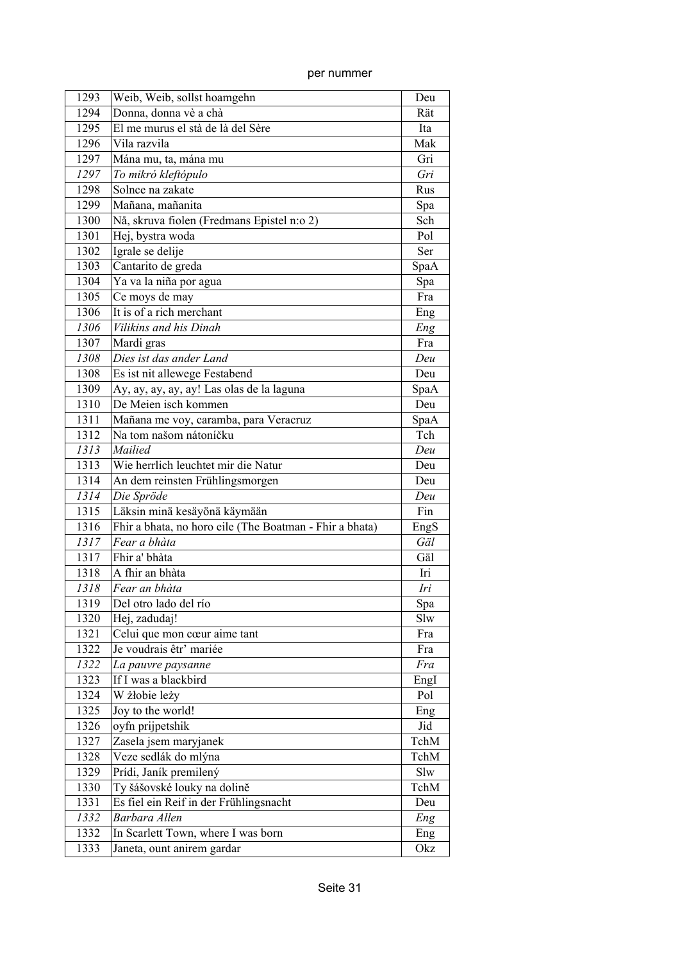| 1293 | Weib, Weib, sollst hoamgehn                             | Deu  |
|------|---------------------------------------------------------|------|
| 1294 | Donna, donna vè a chà                                   | Rät  |
| 1295 | El me murus el stà de là del Sère                       | Ita  |
| 1296 | Vila razvila                                            | Mak  |
| 1297 | Mána mu, ta, mána mu                                    | Gri  |
| 1297 | To mikró kleftópulo                                     | Gri  |
| 1298 | Solnce na zakate                                        | Rus  |
| 1299 | Mañana, mañanita                                        | Spa  |
| 1300 | Nå, skruva fiolen (Fredmans Epistel n:o 2)              | Sch  |
| 1301 | Hej, bystra woda                                        | Pol  |
| 1302 | Igrale se delije                                        | Ser  |
| 1303 | Cantarito de greda                                      | SpaA |
| 1304 | Ya va la niña por agua                                  | Spa  |
| 1305 | Ce moys de may                                          | Fra  |
| 1306 | It is of a rich merchant                                | Eng  |
| 1306 | Vilikins and his Dinah                                  | Eng  |
| 1307 | Mardi gras                                              | Fra  |
| 1308 | Dies ist das ander Land                                 | Deu  |
| 1308 | Es ist nit allewege Festabend                           | Deu  |
| 1309 | Ay, ay, ay, ay, ay! Las olas de la laguna               | SpaA |
| 1310 | De Meien isch kommen                                    | Deu  |
| 1311 | Mañana me voy, caramba, para Veracruz                   | SpaA |
| 1312 | Na tom našom nátoníčku                                  | Tch  |
| 1313 | Mailied                                                 | Deu  |
| 1313 | Wie herrlich leuchtet mir die Natur                     | Deu  |
| 1314 | An dem reinsten Frühlingsmorgen                         | Deu  |
| 1314 | Die Spröde                                              | Deu  |
| 1315 | Läksin minä kesäyönä käymään                            | Fin  |
| 1316 | Fhir a bhata, no horo eile (The Boatman - Fhir a bhata) | EngS |
| 1317 | Fear a bhàta                                            | Gäl  |
| 1317 | Fhir a' bhàta                                           | Gäl  |
| 1318 | A fhir an bhàta                                         | Iri  |
| 1318 | Fear an bhàta                                           | Iri  |
| 1319 | Del otro lado del río                                   | Spa  |
| 1320 | Hej, zadudaj!                                           | Slw  |
| 1321 | Celui que mon cœur aime tant                            | Fra  |
| 1322 | Je voudrais êtr' mariée                                 | Fra  |
| 1322 | La pauvre paysanne                                      | Fra  |
| 1323 | If I was a blackbird                                    | EngI |
| 1324 | W żłobie leży                                           | Pol  |
| 1325 | Joy to the world!                                       | Eng  |
| 1326 | oyfn prijpetshik                                        | Jid  |
| 1327 | Zasela jsem maryjanek                                   | TchM |
| 1328 | Veze sedlák do mlýna                                    | TchM |
| 1329 | Prídi, Janík premilený                                  | Slw  |
| 1330 | Ty šášovské louky na dolině                             | TchM |
| 1331 | Es fiel ein Reif in der Frühlingsnacht                  | Deu  |
| 1332 | Barbara Allen                                           | Eng  |
| 1332 | In Scarlett Town, where I was born                      | Eng  |
| 1333 | Janeta, ount anirem gardar                              | Okz  |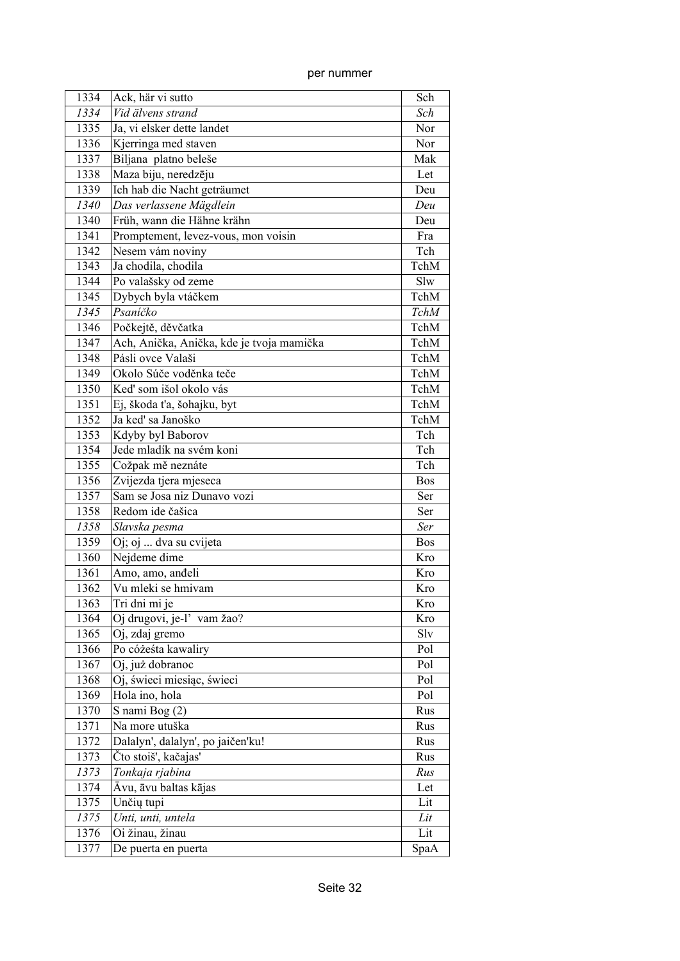| 1334 | Ack, här vi sutto                         | Sch         |
|------|-------------------------------------------|-------------|
| 1334 | Vid älvens strand                         | Sch         |
| 1335 | Ja, vi elsker dette landet                | Nor         |
| 1336 | Kjerringa med staven                      | Nor         |
| 1337 | Biljana platno beleše                     | Mak         |
| 1338 | Maza biju, neredzēju                      | Let         |
| 1339 | Ich hab die Nacht geträumet               | Deu         |
| 1340 | Das verlassene Mägdlein                   | Deu         |
| 1340 | Früh, wann die Hähne krähn                | Deu         |
| 1341 | Promptement, levez-vous, mon voisin       | Fra         |
| 1342 | Nesem vám noviny                          | Tch         |
| 1343 | Ja chodila, chodila                       | TchM        |
| 1344 | Po valašsky od zeme                       | Slw         |
| 1345 | Dybych byla vtáčkem                       | TchM        |
| 1345 | Psaníčko                                  | <b>TchM</b> |
| 1346 | Počkejtě, děvčatka                        | TchM        |
| 1347 | Ach, Anička, Anička, kde je tvoja mamička | TchM        |
| 1348 | Pásli ovce Valaši                         | TchM        |
| 1349 | Okolo Súče voděnka teče                   | TchM        |
| 1350 | Keď som išol okolo vás                    | TchM        |
| 1351 | Ej, škoda t'a, šohajku, byt               | TchM        |
| 1352 | Ja keď sa Janoško                         | TchM        |
| 1353 | Kdyby byl Baborov                         | Tch         |
| 1354 | Jede mladík na svém koni                  | Tch         |
| 1355 | Cožpak mě neznáte                         | Tch         |
| 1356 | Zvijezda tjera mjeseca                    | <b>Bos</b>  |
| 1357 | Sam se Josa niz Dunavo vozi               | Ser         |
| 1358 | Redom ide čašica                          | Ser         |
| 1358 | Slavska pesma                             | Ser         |
| 1359 | Oj; oj  dva su cvijeta                    | <b>Bos</b>  |
| 1360 | Nejdeme dime                              | Kro         |
| 1361 | Amo, amo, anđeli                          | Kro         |
| 1362 | Vu mleki se hmivam                        | Kro         |
| 1363 | Tri dni mi je                             | Kro         |
| 1364 | Oj drugovi, je-l' vam žao?                | Kro         |
| 1365 | Oj, zdaj gremo                            | Slv         |
| 1366 | Po cóżeśta kawaliry                       | Pol         |
| 1367 | Oj, już dobranoc                          | Pol         |
| 1368 | Oj, świeci miesiąc, świeci                | Pol         |
| 1369 | Hola ino, hola                            | Pol         |
| 1370 | S nami Bog (2)                            | Rus         |
| 1371 | Na more utuška                            | Rus         |
| 1372 | Dalalyn', dalalyn', po jaičen'ku!         | Rus         |
| 1373 | Čto stoiš', kačajas'                      | Rus         |
| 1373 | Tonkaja rjabina                           | Rus         |
| 1374 | Āvu, āvu baltas kājas                     | Let         |
| 1375 | Unčių tupi                                | Lit         |
| 1375 | Unti, unti, untela                        | Lit         |
| 1376 | Oi žinau, žinau                           | Lit         |
| 1377 | De puerta en puerta                       |             |
|      |                                           | SpaA        |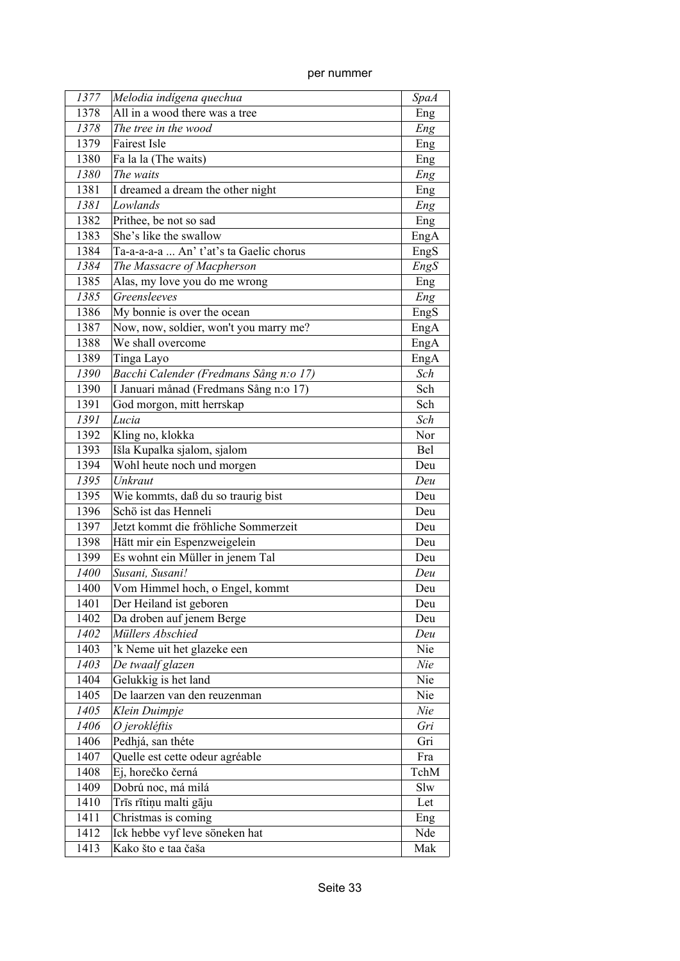| 1377 | Melodia indígena quechua                        | <b>SpaA</b> |
|------|-------------------------------------------------|-------------|
| 1378 | All in a wood there was a tree                  | Eng         |
| 1378 | The tree in the wood                            | Eng         |
| 1379 | <b>Fairest Isle</b>                             | Eng         |
| 1380 | Fa la la (The waits)                            | Eng         |
| 1380 | The waits                                       | Eng         |
| 1381 | I dreamed a dream the other night               | Eng         |
| 1381 | Lowlands                                        | Eng         |
| 1382 | Prithee, be not so sad                          | Eng         |
| 1383 | She's like the swallow                          | EngA        |
| 1384 | Ta-a-a-a-a  An' t'at's ta Gaelic chorus         | EngS        |
| 1384 | The Massacre of Macpherson                      | EngS        |
| 1385 | Alas, my love you do me wrong                   | Eng         |
| 1385 | Greensleeves                                    | Eng         |
| 1386 | $\overline{\text{My}}$ bonnie is over the ocean | EngS        |
| 1387 | Now, now, soldier, won't you marry me?          | EngA        |
| 1388 | We shall overcome                               | EngA        |
| 1389 | Tinga Layo                                      | EngA        |
| 1390 | Bacchi Calender (Fredmans Sång n:o 17)          | Sch         |
| 1390 | I Januari månad (Fredmans Sång n:o 17)          | Sch         |
| 1391 | God morgon, mitt herrskap                       | Sch         |
| 1391 | Lucia                                           | Sch         |
| 1392 | Kling no, klokka                                | Nor         |
| 1393 | Išla Kupalka sjalom, sjalom                     | Bel         |
| 1394 | Wohl heute noch und morgen                      | Deu         |
| 1395 | Unkraut                                         | Deu         |
| 1395 | Wie kommts, daß du so traurig bist              | Deu         |
| 1396 | Schö ist das Henneli                            | Deu         |
| 1397 | Jetzt kommt die fröhliche Sommerzeit            | Deu         |
| 1398 | Hätt mir ein Espenzweigelein                    | Deu         |
| 1399 | Es wohnt ein Müller in jenem Tal                | Deu         |
| 1400 | Susani, Susani!                                 | Deu         |
| 1400 | Vom Himmel hoch, o Engel, kommt                 | Deu         |
| 1401 | Der Heiland ist geboren                         | Deu         |
| 1402 | Da droben auf jenem Berge                       | Deu         |
| 1402 | Müllers Abschied                                | Deu         |
| 1403 | 'k Neme uit het glazeke een                     | Nie         |
| 1403 | De twaalf glazen                                | Nie         |
| 1404 | Gelukkig is het land                            | Nie         |
| 1405 | De laarzen van den reuzenman                    | Nie         |
| 1405 | Klein Duimpje                                   | Nie         |
| 1406 | O jerokléftis                                   | Gri         |
| 1406 | Pedhjá, san théte                               | Gri         |
| 1407 | Quelle est cette odeur agréable                 | Fra         |
| 1408 | Ej, horečko černá                               | TchM        |
| 1409 | Dobrú noc, má milá                              | Slw         |
| 1410 | Trīs rītiņu malti gāju                          | Let         |
| 1411 | Christmas is coming                             | Eng         |
| 1412 | Ick hebbe vyf leve söneken hat                  | Nde         |
| 1413 | Kako što e taa čaša                             | Mak         |
|      |                                                 |             |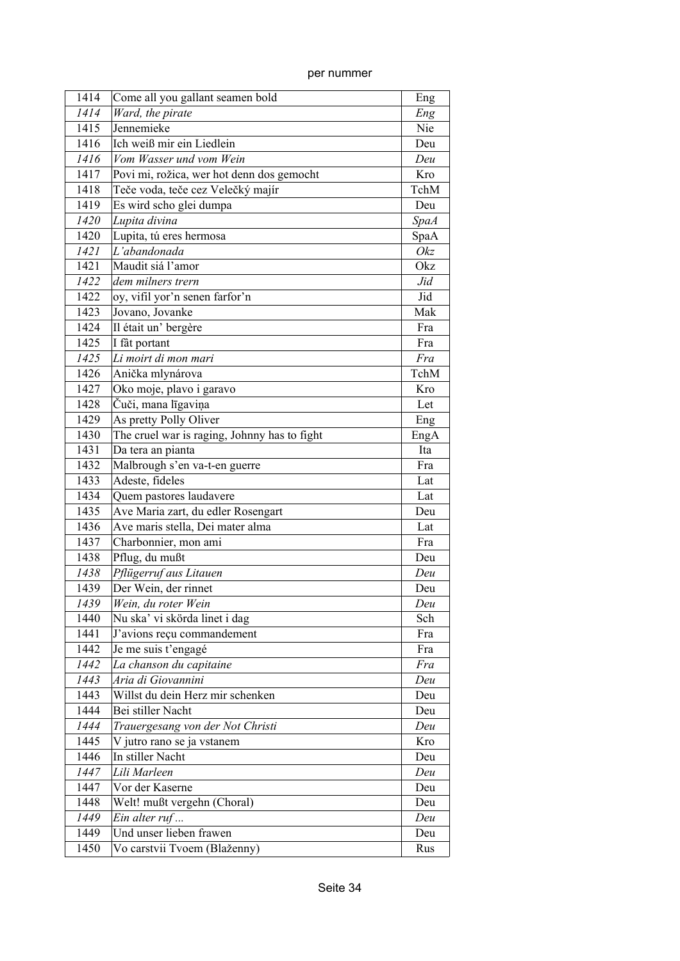| 1414 | Come all you gallant seamen bold             | Eng         |
|------|----------------------------------------------|-------------|
| 1414 | Ward, the pirate                             | Eng         |
| 1415 | Jennemieke                                   | Nie         |
| 1416 | Ich weiß mir ein Liedlein                    | Deu         |
| 1416 | Vom Wasser und vom Wein                      | Deu         |
| 1417 | Povi mi, rožica, wer hot denn dos gemocht    | Kro         |
| 1418 | Teče voda, teče cez Velečký majír            | TchM        |
| 1419 | Es wird scho glei dumpa                      | Deu         |
| 1420 | Lupita divina                                | <b>SpaA</b> |
| 1420 | Lupita, tú eres hermosa                      | SpaA        |
| 1421 | L'abandonada                                 | Okz         |
| 1421 | Maudit siá l'amor                            | Okz         |
| 1422 | dem milners trern                            | Jid         |
| 1422 | oy, vifil yor'n senen farfor'n               | Jid         |
| 1423 | Jovano, Jovanke                              | Mak         |
| 1424 | Il était un' bergère                         | Fra         |
| 1425 | I fât portant                                | Fra         |
| 1425 | Li moirt di mon mari                         | Fra         |
| 1426 | Anička mlynárova                             | TchM        |
| 1427 | Oko moje, plavo i garavo                     | Kro         |
| 1428 | Čuči, mana līgaviņa                          | Let         |
| 1429 | As pretty Polly Oliver                       | Eng         |
| 1430 | The cruel war is raging, Johnny has to fight | EngA        |
| 1431 | Da tera an pianta                            | Ita         |
| 1432 | Malbrough s'en va-t-en guerre                | Fra         |
| 1433 | Adeste, fideles                              | Lat         |
| 1434 | Quem pastores laudavere                      | Lat         |
| 1435 | Ave Maria zart, du edler Rosengart           | Deu         |
| 1436 | Ave maris stella, Dei mater alma             | Lat         |
| 1437 | Charbonnier, mon ami                         | Fra         |
| 1438 | Pflug, du mußt                               | Deu         |
| 1438 | Pflügerruf aus Litauen                       | Deu         |
| 1439 | Der Wein, der rinnet                         | Deu         |
| 1439 | Wein, du roter Wein                          | Deu         |
| 1440 | Nu ska' vi skörda linet i dag                | Sch         |
| 1441 | J'avions reçu commandement                   | Fra         |
| 1442 | Je me suis t'engagé                          | Fra         |
| 1442 | La chanson du capitaine                      | Fra         |
| 1443 | Aria di Giovannini                           | Deu         |
| 1443 | Willst du dein Herz mir schenken             | Deu         |
| 1444 | Bei stiller Nacht                            | Deu         |
| 1444 | Trauergesang von der Not Christi             | Deu         |
| 1445 | V jutro rano se ja vstanem                   | Kro         |
| 1446 | In stiller Nacht                             | Deu         |
| 1447 | Lili Marleen                                 | Deu         |
| 1447 | Vor der Kaserne                              | Deu         |
| 1448 | Welt! mußt vergehn (Choral)                  | Deu         |
| 1449 | Ein alter ruf                                | Deu         |
| 1449 | Und unser lieben frawen                      | Deu         |
| 1450 | Vo carstvii Tvoem (Blaženny)                 | Rus         |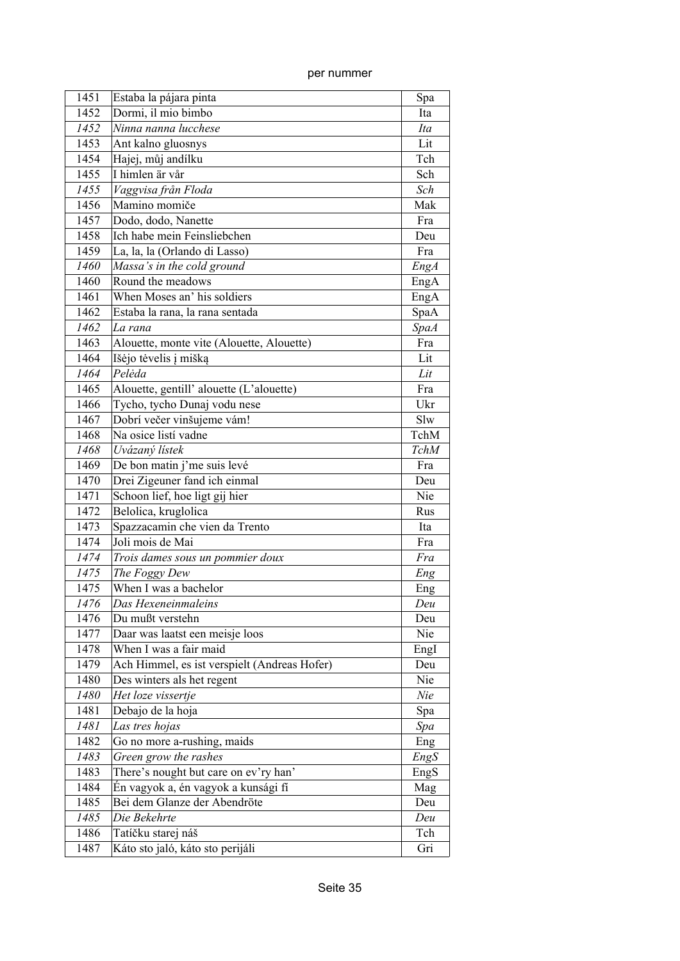| 1451 | Estaba la pájara pinta                       | Spa         |
|------|----------------------------------------------|-------------|
| 1452 | Dormi, il mio bimbo                          | Ita         |
| 1452 | Ninna nanna lucchese                         | Ita         |
| 1453 | Ant kalno gluosnys                           | Lit         |
| 1454 | Hajej, můj andílku                           | Tch         |
| 1455 | I himlen är vår                              | Sch         |
| 1455 | Vaggvisa från Floda                          | Sch         |
| 1456 | Mamino momiče                                | Mak         |
| 1457 | Dodo, dodo, Nanette                          | Fra         |
| 1458 | Ich habe mein Feinsliebchen                  | Deu         |
| 1459 | La, la, la (Orlando di Lasso)                | Fra         |
| 1460 | Massa's in the cold ground                   | EngA        |
| 1460 | Round the meadows                            | EngA        |
| 1461 | When Moses an' his soldiers                  | EngA        |
| 1462 | Estaba la rana, la rana sentada              | SpaA        |
| 1462 | La rana                                      | <b>SpaA</b> |
| 1463 | Alouette, monte vite (Alouette, Alouette)    | Fra         |
| 1464 | Išėjo tėvelis į mišką                        | Lit         |
| 1464 | Pelėda                                       | Lit         |
| 1465 | Alouette, gentill' alouette (L'alouette)     | Fra         |
| 1466 | Tycho, tycho Dunaj vodu nese                 | Ukr         |
| 1467 | Dobrí večer vinšujeme vám!                   | Slw         |
| 1468 | Na osice listí vadne                         | TchM        |
| 1468 | Uvázaný lístek                               | <b>TchM</b> |
| 1469 | De bon matin j'me suis levé                  | Fra         |
| 1470 | Drei Zigeuner fand ich einmal                | Deu         |
| 1471 | Schoon lief, hoe ligt gij hier               | Nie         |
| 1472 | Belolica, kruglolica                         | Rus         |
| 1473 | Spazzacamin che vien da Trento               | Ita         |
| 1474 | Joli mois de Mai                             | Fra         |
| 1474 | Trois dames sous un pommier doux             | Fra         |
| 1475 | The Foggy Dew                                | Eng         |
| 1475 | When I was a bachelor                        | Eng         |
| 1476 | Das Hexeneinmaleins                          | Deu         |
| 1476 | Du mußt verstehn                             | Deu         |
| 1477 | Daar was laatst een meisje loos              | Nie         |
| 1478 | When I was a fair maid                       | EngI        |
| 1479 | Ach Himmel, es ist verspielt (Andreas Hofer) | Deu         |
| 1480 | Des winters als het regent                   | Nie         |
| 1480 | Het loze vissertje                           | Nie         |
| 1481 | Debajo de la hoja                            | Spa         |
| 1481 | Las tres hojas                               | Spa         |
| 1482 | Go no more a-rushing, maids                  | Eng         |
| 1483 | Green grow the rashes                        | EngS        |
| 1483 | There's nought but care on ev'ry han'        | EngS        |
| 1484 | Én vagyok a, én vagyok a kunsági fí          | Mag         |
| 1485 | Bei dem Glanze der Abendröte                 | Deu         |
| 1485 | Die Bekehrte                                 | Deu         |
| 1486 | Tatíčku starej náš                           | Tch         |
| 1487 | Káto sto jaló, káto sto perijáli             | Gri         |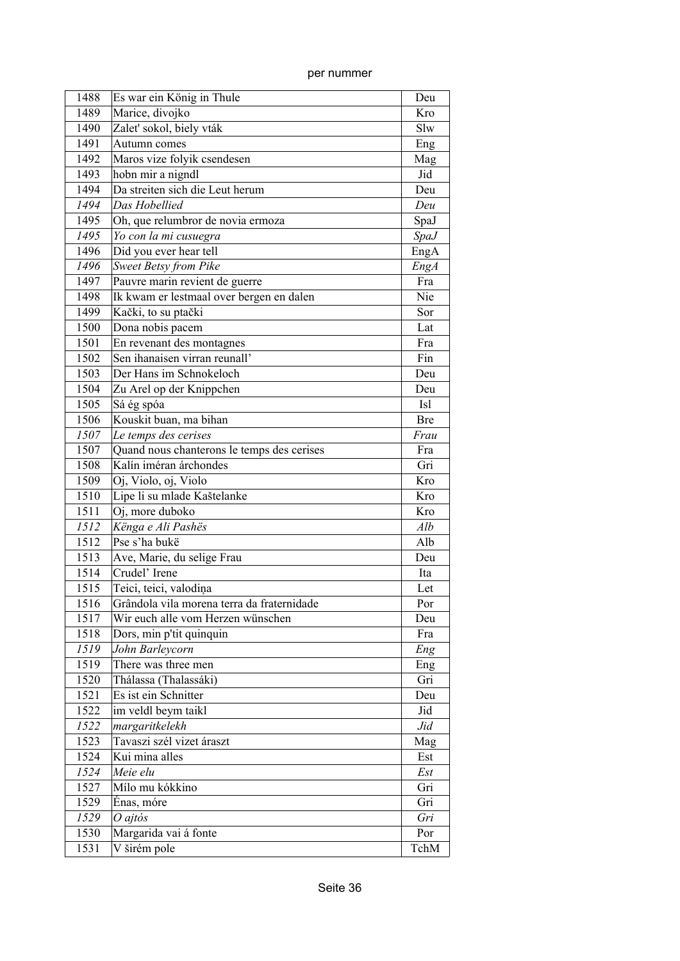| 1488 | Es war ein König in Thule                  | Deu         |
|------|--------------------------------------------|-------------|
| 1489 | Marice, divojko                            | Kro         |
| 1490 | Zalet' sokol, biely vták                   | Slw         |
| 1491 | Autumn comes                               | Eng         |
| 1492 | Maros vize folyik csendesen                | Mag         |
| 1493 | hobn mir a nigndl                          | Jid         |
| 1494 | Da streiten sich die Leut herum            | Deu         |
| 1494 | Das Hobellied                              | Deu         |
| 1495 | Oh, que relumbror de novia ermoza          | SpaJ        |
| 1495 | Yo con la mi cusuegra                      | <i>SpaJ</i> |
| 1496 | Did you ever hear tell                     | EngA        |
| 1496 | <b>Sweet Betsy from Pike</b>               | EngA        |
| 1497 | Pauvre marin revient de guerre             | Fra         |
| 1498 | Ik kwam er lestmaal over bergen en dalen   | Nie         |
| 1499 | Kački, to su ptački                        | Sor         |
| 1500 | Dona nobis pacem                           | Lat         |
| 1501 | En revenant des montagnes                  | Fra         |
| 1502 | Sen ihanaisen virran reunall'              | Fin         |
| 1503 | Der Hans im Schnokeloch                    | Deu         |
| 1504 | Zu Arel op der Knippchen                   | Deu         |
| 1505 | Sá ég spóa                                 | <b>Isl</b>  |
| 1506 | Kouskit buan, ma bihan                     | <b>Bre</b>  |
| 1507 | Le temps des cerises                       | Frau        |
| 1507 | Quand nous chanterons le temps des cerises | Fra         |
| 1508 | Kalín iméran árchondes                     | Gri         |
| 1509 | Oj, Violo, oj, Violo                       | Kro         |
| 1510 | Lipe li su mlade Kaštelanke                | Kro         |
| 1511 | Oj, more duboko                            | Kro         |
| 1512 | Kënga e Ali Pashës                         | Alb         |
| 1512 | Pse s'ha bukë                              | Alb         |
| 1513 | Ave, Marie, du selige Frau                 | Deu         |
| 1514 | Crudel' Irene                              | Ita         |
| 1515 | Teici, teici, valodiņa                     | Let         |
| 1516 | Grândola vila morena terra da fraternidade | Por         |
| 1517 | Wir euch alle vom Herzen wünschen          | Deu         |
| 1518 | Dors, min p'tit quinquin                   | Fra         |
| 1519 | John Barleycorn                            | Eng         |
| 1519 | There was three men                        | Eng         |
| 1520 | Thálassa (Thalassáki)                      | Gri         |
| 1521 | Es ist ein Schnitter                       | Deu         |
| 1522 | im veldl beym taikl                        | Jid         |
| 1522 | margaritkelekh                             | Jid         |
| 1523 | Tavaszi szél vizet áraszt                  | Mag         |
| 1524 | Kui mina alles                             | Est         |
| 1524 | Meie elu                                   | Est         |
| 1527 | Mílo mu kókkino                            | Gri         |
| 1529 | Énas, móre                                 | Gri         |
| 1529 | $O$ ajtós                                  | Gri         |
| 1530 | Margarida vai á fonte                      | Por         |
| 1531 | V širém pole                               | TchM        |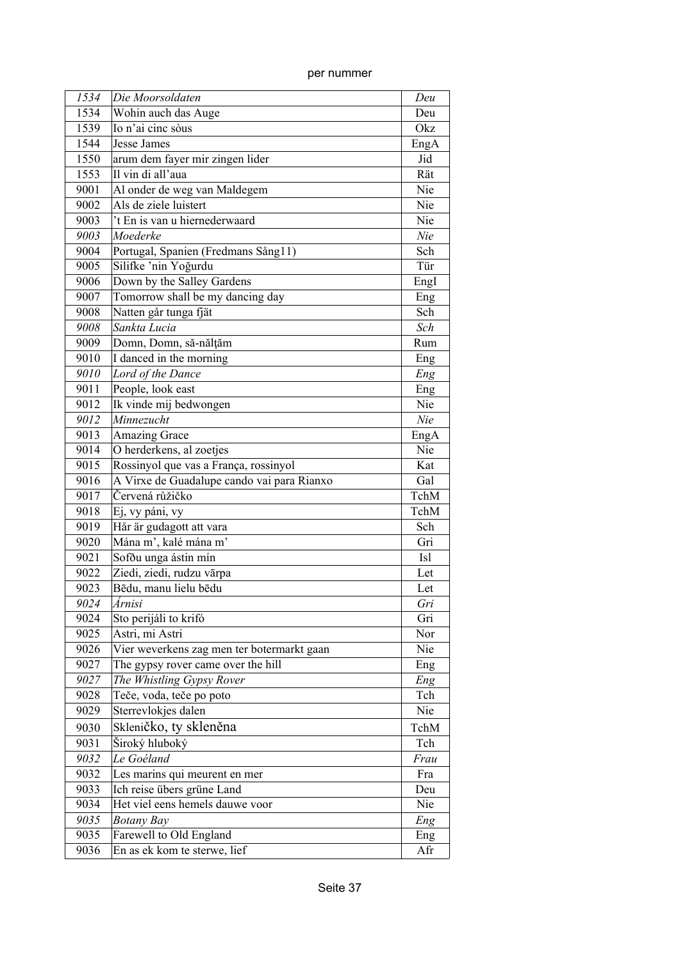| per nummer |
|------------|

| 1534 | Die Moorsoldaten                           | Deu        |
|------|--------------------------------------------|------------|
| 1534 | Wohin auch das Auge                        | Deu        |
| 1539 | Io n'ai cinc sòus                          | Okz        |
| 1544 | Jesse James                                | EngA       |
| 1550 | arum dem fayer mir zingen lider            | Jid        |
| 1553 | Il vin di all'aua                          | Rät        |
| 9001 | Al onder de weg van Maldegem               | Nie        |
| 9002 | Als de ziele luistert                      | Nie        |
| 9003 | 't En is van u hiernederwaard              | Nie        |
| 9003 | Moederke                                   | Nie        |
| 9004 | Portugal, Spanien (Fredmans Sång11)        | Sch        |
| 9005 | Silifke 'nin Yoğurdu                       | Tür        |
| 9006 | Down by the Salley Gardens                 | Engl       |
| 9007 | Tomorrow shall be my dancing day           | Eng        |
| 9008 | Natten går tunga fjät                      | Sch        |
| 9008 | Sankta Lucia                               | Sch        |
| 9009 | Domn, Domn, să-nălțăm                      | Rum        |
| 9010 | I danced in the morning                    | Eng        |
| 9010 | $\overline{L}$ ord of the Dance            | Eng        |
| 9011 | People, look east                          | Eng        |
| 9012 | Ik vinde mij bedwongen                     | Nie        |
| 9012 | Minnezucht                                 | Nie        |
| 9013 | <b>Amazing Grace</b>                       | EngA       |
| 9014 | O herderkens, al zoetjes                   | Nie        |
| 9015 | Rossinyol que vas a França, rossinyol      | Kat        |
| 9016 | A Virxe de Guadalupe cando vai para Rianxo | Gal        |
| 9017 | Červená růžičko                            | TchM       |
| 9018 | Ej, vy páni, vy                            | TchM       |
| 9019 | Hår är gudagott att vara                   | Sch        |
| 9020 | Mána m', kalé mána m'                      | Gri        |
| 9021 | Sofðu unga ástin mín                       | <b>Isl</b> |
| 9022 | Ziedi, ziedi, rudzu vārpa                  | Let        |
| 9023 | Bēdu, manu lielu bēdu                      | Let        |
| 9024 | Árnisi                                     | Gri        |
| 9024 | Sto perijáli to krifó                      | Gri        |
| 9025 | Astri, mi Astri                            | Nor        |
| 9026 | Vier weverkens zag men ter botermarkt gaan | Nie        |
| 9027 | The gypsy rover came over the hill         | Eng        |
| 9027 | The Whistling Gypsy Rover                  | Eng        |
| 9028 | Teče, voda, teče po poto                   | Tch        |
| 9029 | Sterrevlokjes dalen                        | Nie        |
| 9030 | Skleničko, ty skleněna                     | TchM       |
| 9031 | Široký hluboký                             | Tch        |
| 9032 | Le Goéland                                 | Frau       |
| 9032 | Les marins qui meurent en mer              | Fra        |
| 9033 | Ich reise übers grüne Land                 | Deu        |
| 9034 | Het viel eens hemels dauwe voor            | Nie        |
| 9035 | <b>Botany Bay</b>                          | Eng        |
| 9035 | Farewell to Old England                    | Eng        |
| 9036 | En as ek kom te sterwe, lief               | Afr        |
|      |                                            |            |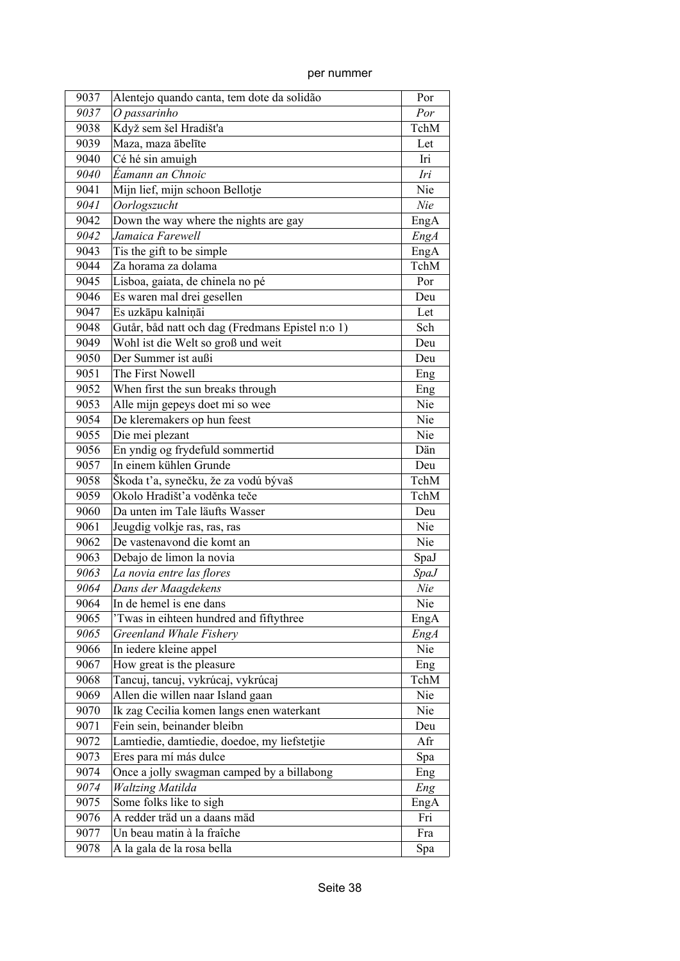| per nummer |
|------------|
|            |

| 9037 | Alentejo quando canta, tem dote da solidão       | Por         |
|------|--------------------------------------------------|-------------|
| 9037 | O passarinho                                     | Por         |
| 9038 | Když sem šel Hradišťa                            | TchM        |
| 9039 | Maza, maza ābelīte                               | Let         |
| 9040 | Cé hé sin amuigh                                 | Iri         |
| 9040 | Éamann an Chnoic                                 | Iri         |
| 9041 | Mijn lief, mijn schoon Bellotje                  | Nie         |
| 9041 | Oorlogszucht                                     | Nie         |
| 9042 | Down the way where the nights are gay            | EngA        |
| 9042 | Jamaica Farewell                                 | EngA        |
| 9043 | Tis the gift to be simple                        | EngA        |
| 9044 | Za horama za dolama                              | TchM        |
| 9045 | Lisboa, gaiata, de chinela no pé                 | Por         |
| 9046 | Es waren mal drei gesellen                       | Deu         |
| 9047 | Es uzkāpu kalniņāi                               | Let         |
| 9048 | Gutår, båd natt och dag (Fredmans Epistel n:o 1) | Sch         |
| 9049 | Wohl ist die Welt so groß und weit               | Deu         |
| 9050 | Der Summer ist außi                              | Deu         |
| 9051 | The First Nowell                                 | Eng         |
| 9052 | When first the sun breaks through                | Eng         |
| 9053 | Alle mijn gepeys doet mi so wee                  | Nie         |
| 9054 | De kleremakers op hun feest                      | Nie         |
| 9055 | Die mei plezant                                  | Nie         |
| 9056 | En yndig og frydefuld sommertid                  | Dän         |
| 9057 | In einem kühlen Grunde                           | Deu         |
| 9058 | Škoda ťa, synečku, že za vodú bývaš              | TchM        |
| 9059 | Okolo Hradišť'a voděnka teče                     | TchM        |
| 9060 | Da unten im Tale läufts Wasser                   | Deu         |
| 9061 | Jeugdig volkje ras, ras, ras                     | Nie         |
| 9062 | De vastenavond die komt an                       | Nie         |
| 9063 | Debajo de limon la novia                         | SpaJ        |
| 9063 | La novia entre las flores                        | <b>SpaJ</b> |
| 9064 | Dans der Maagdekens                              | Nie         |
| 9064 | In de hemel is ene dans                          | Nie         |
| 9065 | 'Twas in eihteen hundred and fiftythree          | EngA        |
| 9065 | Greenland Whale Fishery                          | <b>EngA</b> |
| 9066 | In iedere kleine appel                           | Nie         |
| 9067 | How great is the pleasure                        | Eng         |
| 9068 | Tancuj, tancuj, vykrúcaj, vykrúcaj               | TchM        |
| 9069 | Allen die willen naar Island gaan                | Nie         |
| 9070 | Ik zag Cecilia komen langs enen waterkant        | Nie         |
| 9071 | Fein sein, beinander bleibn                      | Deu         |
| 9072 | Lamtiedie, damtiedie, doedoe, my liefstetjie     | Afr         |
| 9073 | Eres para mí más dulce                           | Spa         |
| 9074 | Once a jolly swagman camped by a billabong       | Eng         |
| 9074 | Waltzing Matilda                                 | Eng         |
| 9075 | Some folks like to sigh                          | EngA        |
| 9076 | A redder träd un a daans mäd                     | Fri         |
| 9077 | Un beau matin à la fraîche                       | Fra         |
| 9078 | A la gala de la rosa bella                       | Spa         |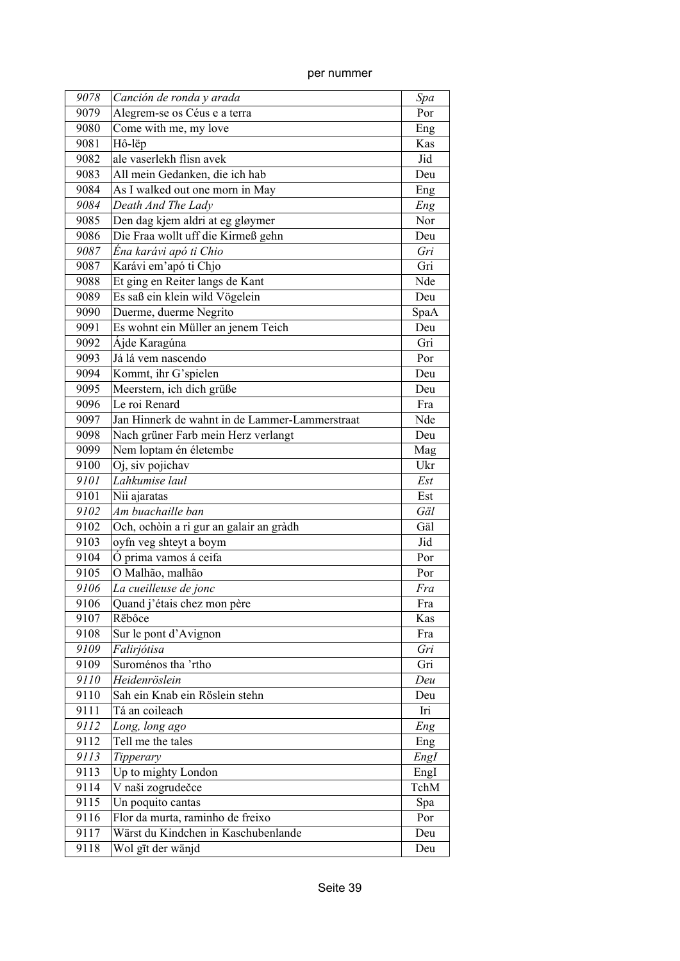| per nummer |
|------------|

| 9078 | Canción de ronda y arada                       | Spa  |
|------|------------------------------------------------|------|
| 9079 | Alegrem-se os Céus e a terra                   | Por  |
| 9080 | Come with me, my love                          | Eng  |
| 9081 | Hô-lëp                                         | Kas  |
| 9082 | ale vaserlekh flisn avek                       | Jid  |
| 9083 | All mein Gedanken, die ich hab                 | Deu  |
| 9084 | As I walked out one morn in May                | Eng  |
| 9084 | Death And The Lady                             | Eng  |
| 9085 | Den dag kjem aldri at eg gløymer               | Nor  |
| 9086 | Die Fraa wollt uff die Kirmeß gehn             | Deu  |
| 9087 | Éna karávi apó ti Chio                         | Gri  |
| 9087 | Karávi em'apó ti Chjo                          | Gri  |
| 9088 | Et ging en Reiter langs de Kant                | Nde  |
| 9089 | Es saß ein klein wild Vögelein                 | Deu  |
| 9090 | Duerme, duerme Negrito                         | SpaA |
| 9091 | Es wohnt ein Müller an jenem Teich             | Deu  |
| 9092 | Ájde Karagúna                                  | Gri  |
| 9093 | Já lá vem nascendo                             | Por  |
| 9094 | Kommt, ihr G'spielen                           | Deu  |
| 9095 | Meerstern, ich dich grüße                      | Deu  |
| 9096 | Le roi Renard                                  | Fra  |
| 9097 | Jan Hinnerk de wahnt in de Lammer-Lammerstraat | Nde  |
| 9098 | Nach grüner Farb mein Herz verlangt            | Deu  |
| 9099 | Nem loptam én életembe                         | Mag  |
| 9100 | Oj, siv pojichav                               | Ukr  |
| 9101 | Lahkumise laul                                 | Est  |
| 9101 | Nii ajaratas                                   | Est  |
| 9102 | Am buachaille ban                              | Gäl  |
| 9102 | Och, ochòin a ri gur an galair an gràdh        | Gäl  |
| 9103 | oyfn veg shteyt a boym                         | Jid  |
| 9104 | Ó prima vamos á ceifa                          | Por  |
| 9105 | O Malhão, malhão                               | Por  |
| 9106 | La cueilleuse de jonc                          | Fra  |
| 9106 | Quand j'étais chez mon père                    | Fra  |
| 9107 | Rëbôce                                         | Kas  |
| 9108 | Sur le pont d'Avignon                          | Fra  |
| 9109 | Falirjótisa                                    | Gri  |
| 9109 | Suroménos tha 'rtho                            | Gri  |
| 9110 | Heidenröslein                                  | Deu  |
| 9110 | Sah ein Knab ein Röslein stehn                 | Deu  |
| 9111 | Tá an coileach                                 | Iri  |
| 9112 | Long, long ago                                 | Eng  |
| 9112 | Tell me the tales                              | Eng  |
| 9113 | Tipperary                                      | EngI |
| 9113 | Up to mighty London                            | EngI |
| 9114 | V naši zogrudečce                              | TchM |
| 9115 | Un poquito cantas                              | Spa  |
| 9116 | Flor da murta, raminho de freixo               | Por  |
| 9117 | Wärst du Kindchen in Kaschubenlande            | Deu  |
| 9118 | Wol gīt der wänjd                              | Deu  |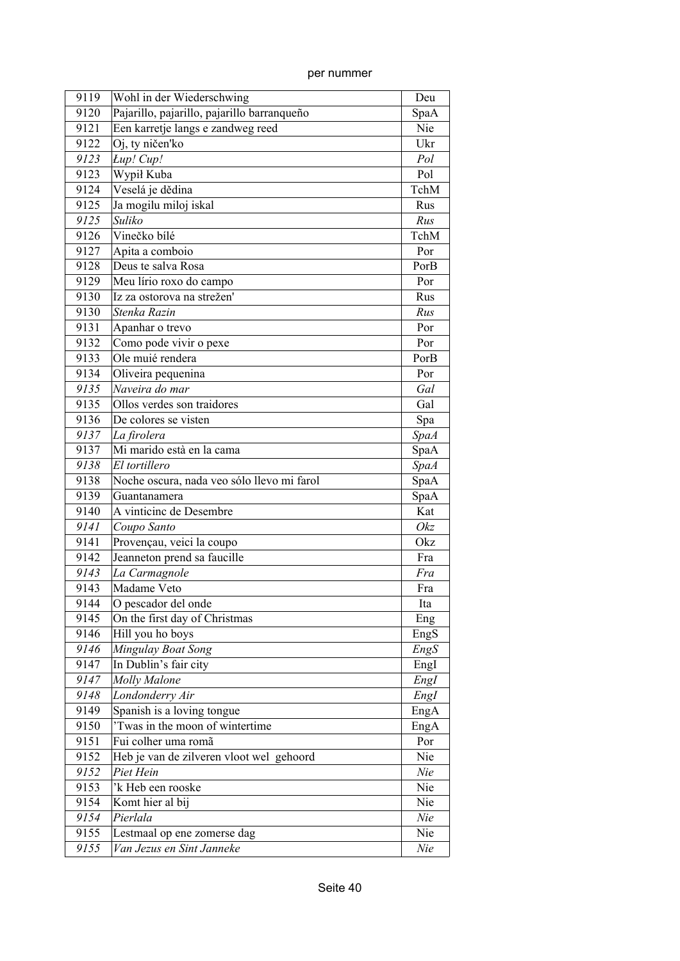| 9119 | Wohl in der Wiederschwing                   | Deu                 |
|------|---------------------------------------------|---------------------|
| 9120 | Pajarillo, pajarillo, pajarillo barranqueño | SpaA                |
| 9121 | Een karretje langs e zandweg reed           | Nie                 |
| 9122 | Oj, ty ničen'ko                             | Ukr                 |
| 9123 | Lup! Cup!                                   | Pol                 |
| 9123 | Wypił Kuba                                  | Pol                 |
| 9124 | Veselá je dědina                            | TchM                |
| 9125 | Ja mogilu miloj iskal                       | Rus                 |
| 9125 | Suliko                                      | Rus                 |
| 9126 | Vinečko bílé                                | TchM                |
| 9127 | Apita a comboio                             | Por                 |
| 9128 | Deus te salva Rosa                          | PorB                |
| 9129 | Meu lírio roxo do campo                     | Por                 |
| 9130 | Iz za ostorova na strežen'                  | Rus                 |
| 9130 | Stenka Razin                                | Rus                 |
| 9131 | Apanhar o trevo                             | Por                 |
| 9132 | Como pode vivir o pexe                      | Por                 |
| 9133 | Ole muié rendera                            | PorB                |
| 9134 | Oliveira pequenina                          | Por                 |
| 9135 | Naveira do mar                              | Gal                 |
| 9135 | Ollos verdes son traidores                  | Gal                 |
| 9136 | De colores se visten                        | Spa                 |
| 9137 | La firolera                                 | <b>SpaA</b>         |
| 9137 | Mi marido està en la cama                   | SpaA                |
| 9138 | El tortillero                               |                     |
| 9138 | Noche oscura, nada veo sólo llevo mi farol  | <b>SpaA</b><br>SpaA |
| 9139 | Guantanamera                                | SpaA                |
|      | A vinticinc de Desembre                     | Kat                 |
| 9140 |                                             |                     |
| 9141 | Coupo Santo                                 | Okz                 |
| 9141 | Provençau, veici la coupo                   | Okz                 |
| 9142 | Jeanneton prend sa faucille                 | Fra                 |
| 9143 | La Carmagnole                               | Fra                 |
| 9143 | Madame Veto                                 | Fra                 |
| 9144 | O pescador del onde                         | Ita                 |
| 9145 | On the first day of Christmas               | Eng                 |
| 9146 | Hill you ho boys                            | EngS                |
| 9146 | Mingulay Boat Song                          | EngS                |
| 9147 | In Dublin's fair city                       | EngI                |
| 9147 | Molly Malone                                | EngI                |
| 9148 | Londonderry Air                             | EngI                |
| 9149 | Spanish is a loving tongue                  | EngA                |
| 9150 | 'Twas in the moon of wintertime             | EngA                |
| 9151 | Fui colher uma romã                         | Por                 |
| 9152 | Heb je van de zilveren vloot wel gehoord    | Nie                 |
| 9152 | Piet Hein                                   | Nie                 |
| 9153 | 'k Heb een rooske                           | Nie                 |
| 9154 | Komt hier al bij                            | Nie                 |
| 9154 | Pierlala                                    | Nie                 |
| 9155 | Lestmaal op ene zomerse dag                 | Nie                 |
| 9155 | Van Jezus en Sint Janneke                   | Nie                 |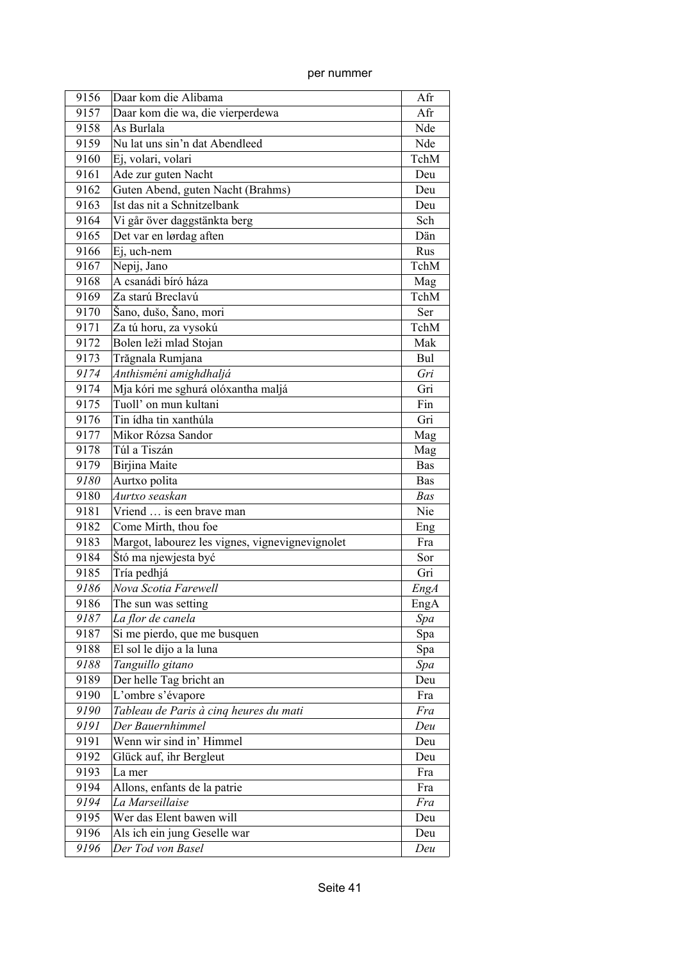| per nummer |
|------------|

| 9156 | Daar kom die Alibama                            | Afr         |
|------|-------------------------------------------------|-------------|
| 9157 | Daar kom die wa, die vierperdewa                | Afr         |
| 9158 | As Burlala                                      | Nde         |
| 9159 | Nu lat uns sin'n dat Abendleed                  | Nde         |
| 9160 | Ej, volari, volari                              | TchM        |
| 9161 | Ade zur guten Nacht                             | Deu         |
| 9162 | Guten Abend, guten Nacht (Brahms)               | Deu         |
| 9163 | Ist das nit a Schnitzelbank                     | Deu         |
| 9164 | Vi går över daggstänkta berg                    | Sch         |
| 9165 | Det var en lørdag aften                         | Dän         |
| 9166 | Ej, uch-nem                                     | Rus         |
| 9167 | Nepij, Jano                                     | TchM        |
| 9168 | A csanádi bíró háza                             | Mag         |
| 9169 | Za starú Breclavú                               | TchM        |
| 9170 | Šano, dušo, Šano, mori                          | Ser         |
| 9171 | Za tú horu, za vysokú                           | TchM        |
| 9172 | Bolen leži mlad Stojan                          | Mak         |
| 9173 | Trăgnala Rumjana                                | Bul         |
| 9174 | Anthisméni amighdhaljá                          | Gri         |
| 9174 | Mja kóri me sghurá olóxantha maljá              | Gri         |
| 9175 | Tuoll' on mun kultani                           | Fin         |
| 9176 | Tin ídha tin xanthúla                           | Gri         |
| 9177 | Mikor Rózsa Sandor                              | Mag         |
| 9178 | Túl a Tiszán                                    | Mag         |
| 9179 | Birjina Maite                                   | <b>Bas</b>  |
| 9180 | Aurtxo polita                                   | <b>Bas</b>  |
| 9180 | Aurtxo seaskan                                  | <b>Bas</b>  |
| 9181 | Vriend  is een brave man                        | Nie         |
| 9182 | Come Mirth, thou foe                            | Eng         |
| 9183 | Margot, labourez les vignes, vignevignevignolet | Fra         |
| 9184 | Štó ma njewjesta być                            | Sor         |
| 9185 | Tría pedhjá                                     | Gri         |
| 9186 | Nova Scotia Farewell                            | <b>EngA</b> |
| 9186 | The sun was setting                             | EngA        |
| 9187 | La flor de canela                               | Spa         |
| 9187 | Si me pierdo, que me busquen                    | Spa         |
| 9188 | El sol le dijo a la luna                        | Spa         |
| 9188 | Tanguillo gitano                                | Spa         |
| 9189 | Der helle Tag bricht an                         | Deu         |
| 9190 | L'ombre s'évapore                               | Fra         |
| 9190 | Tableau de Paris à cinq heures du mati          | Fra         |
| 9191 | Der Bauernhimmel                                | Deu         |
| 9191 | Wenn wir sind in' Himmel                        | Deu         |
| 9192 | Glück auf, ihr Bergleut                         | Deu         |
| 9193 | La mer                                          | Fra         |
| 9194 | Allons, enfants de la patrie                    | Fra         |
| 9194 | La Marseillaise                                 | Fra         |
| 9195 | Wer das Elent bawen will                        | Deu         |
| 9196 | Als ich ein jung Geselle war                    | Deu         |
| 9196 | Der Tod von Basel                               | Deu         |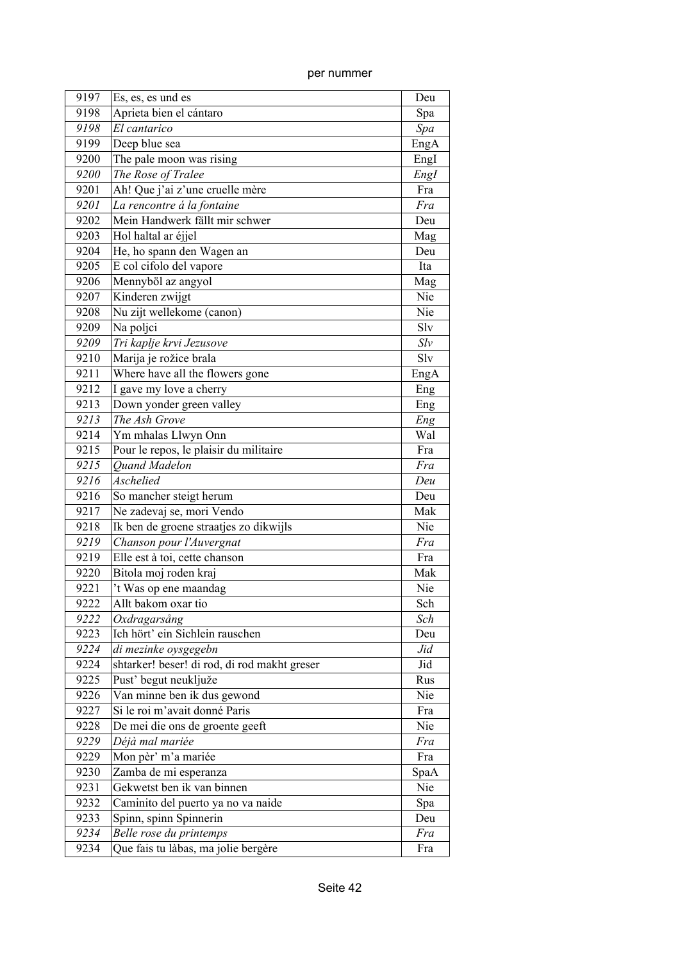| 9197 | Es, es, es und es                            | Deu  |
|------|----------------------------------------------|------|
| 9198 | Aprieta bien el cántaro                      | Spa  |
| 9198 | El cantarico                                 | Spa  |
| 9199 | Deep blue sea                                | EngA |
| 9200 | The pale moon was rising                     | EngI |
| 9200 | The Rose of Tralee                           | EngI |
| 9201 | Ah! Que j'ai z'une cruelle mère              | Fra  |
| 9201 | La rencontre á la fontaine                   | Fra  |
| 9202 | Mein Handwerk fällt mir schwer               | Deu  |
| 9203 | Hol haltal ar éjjel                          | Mag  |
| 9204 | He, ho spann den Wagen an                    | Deu  |
| 9205 | E col cifolo del vapore                      | Ita  |
| 9206 | Mennyböl az angyol                           | Mag  |
| 9207 | Kinderen zwijgt                              | Nie  |
| 9208 | Nu zijt wellekome (canon)                    | Nie  |
| 9209 | Na poljci                                    | Slv  |
| 9209 | Tri kaplje krvi Jezusove                     | Slv  |
| 9210 | Marija je rožice brala                       | Slv  |
| 9211 | Where have all the flowers gone              | EngA |
| 9212 | I gave my love a cherry                      | Eng  |
| 9213 | Down yonder green valley                     | Eng  |
| 9213 | The Ash Grove                                | Eng  |
| 9214 | Ym mhalas Llwyn Onn                          | Wal  |
| 9215 | Pour le repos, le plaisir du militaire       | Fra  |
| 9215 | <b>Ouand Madelon</b>                         | Fra  |
| 9216 | Aschelied                                    | Deu  |
| 9216 | So mancher steigt herum                      | Deu  |
| 9217 | Ne zadevaj se, mori Vendo                    | Mak  |
| 9218 | Ik ben de groene straatjes zo dikwijls       | Nie  |
| 9219 | Chanson pour l'Auvergnat                     | Fra  |
| 9219 | Elle est à toi, cette chanson                | Fra  |
| 9220 | Bitola moj roden kraj                        | Mak  |
| 9221 | 't Was op ene maandag                        | Nie  |
| 9222 | Allt bakom oxar tio                          | Sch  |
| 9222 | Oxdragarsång                                 | Sch  |
| 9223 | Ich hört' ein Sichlein rauschen              | Deu  |
| 9224 | di mezinke oysgegebn                         | Jid  |
| 9224 | shtarker! beser! di rod, di rod makht greser | Jid  |
| 9225 | Pust' begut neukljuže                        | Rus  |
| 9226 | Van minne ben ik dus gewond                  | Nie  |
| 9227 | Si le roi m'avait donné Paris                | Fra  |
| 9228 | De mei die ons de groente geeft              | Nie  |
| 9229 | Déjà mal mariée                              | Fra  |
| 9229 | Mon pèr' m'a mariée                          | Fra  |
| 9230 | Zamba de mi esperanza                        | SpaA |
| 9231 | Gekwetst ben ik van binnen                   | Nie  |
| 9232 | Caminito del puerto ya no va naide           | Spa  |
| 9233 | Spinn, spinn Spinnerin                       | Deu  |
| 9234 | Belle rose du printemps                      | Fra  |
| 9234 | Que fais tu làbas, ma jolie bergère          | Fra  |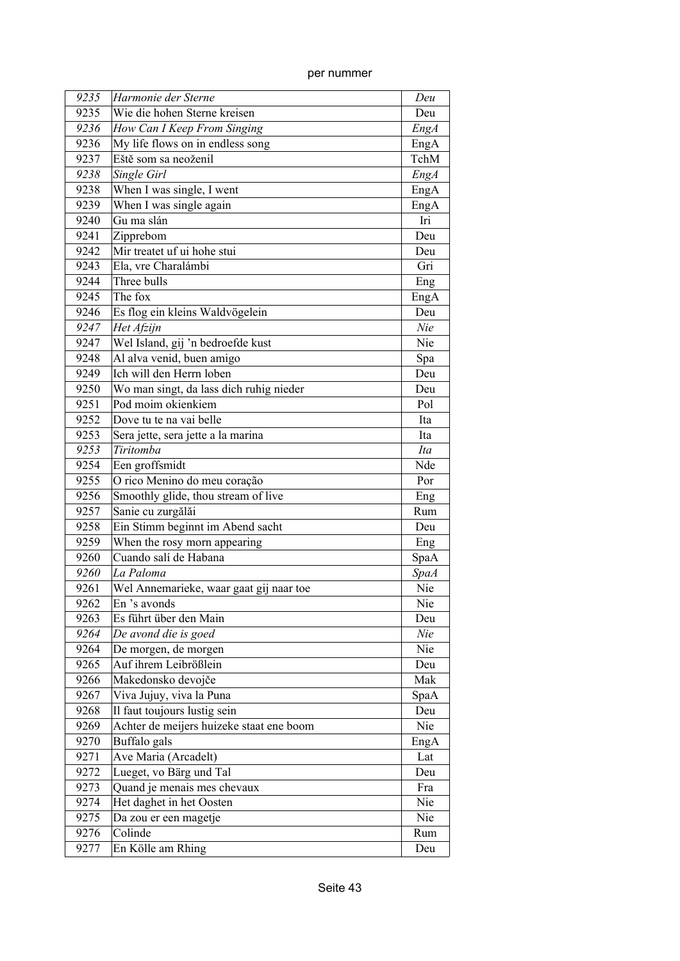| 9235 | Harmonie der Sterne                      | Deu         |
|------|------------------------------------------|-------------|
| 9235 | Wie die hohen Sterne kreisen             | Deu         |
| 9236 | How Can I Keep From Singing              | EngA        |
| 9236 | My life flows on in endless song         | EngA        |
| 9237 | Eště som sa neoženil                     | TchM        |
| 9238 | Single Girl                              | <b>EngA</b> |
| 9238 | When I was single, I went                | EngA        |
| 9239 | When I was single again                  | EngA        |
| 9240 | Gu ma slán                               | Iri         |
| 9241 | Zipprebom                                | Deu         |
| 9242 | Mir treatet uf ui hohe stui              | Deu         |
| 9243 | Ela, vre Charalámbi                      | Gri         |
| 9244 | Three bulls                              | Eng         |
| 9245 | The fox                                  | EngA        |
| 9246 | Es flog ein kleins Waldvögelein          | Deu         |
| 9247 | Het Afzijn                               | Nie         |
| 9247 | Wel Island, gij 'n bedroefde kust        | Nie         |
| 9248 | Al alva venid, buen amigo                | Spa         |
| 9249 | Ich will den Herrn loben                 | Deu         |
| 9250 | Wo man singt, da lass dich ruhig nieder  | Deu         |
| 9251 | Pod moim okienkiem                       | Pol         |
| 9252 | Dove tu te na vai belle                  | Ita         |
| 9253 | Sera jette, sera jette a la marina       | Ita         |
| 9253 | Tiritomba                                | Ita         |
| 9254 | Een groffsmidt                           | Nde         |
| 9255 | O rico Menino do meu coração             | Por         |
| 9256 | Smoothly glide, thou stream of live      | Eng         |
| 9257 | Sanie cu zurgălăi                        | Rum         |
| 9258 | Ein Stimm beginnt im Abend sacht         | Deu         |
| 9259 | When the rosy morn appearing             | Eng         |
| 9260 | Cuando salí de Habana                    | SpaA        |
| 9260 | La Paloma                                | <b>SpaA</b> |
| 9261 | Wel Annemarieke, waar gaat gij naar toe  | Nie         |
| 9262 | En 's avonds                             | Nie         |
| 9263 | Es führt über den Main                   | Deu         |
| 9264 | De avond die is goed                     | Nie         |
| 9264 | De morgen, de morgen                     | Nie         |
| 9265 | Auf ihrem Leibrößlein                    | Deu         |
| 9266 | Makedonsko devojče                       | Mak         |
| 9267 | Viva Jujuy, viva la Puna                 | SpaA        |
| 9268 | Il faut toujours lustig sein             | Deu         |
| 9269 | Achter de meijers huizeke staat ene boom | Nie         |
| 9270 | Buffalo gals                             | EngA        |
| 9271 | Ave Maria (Arcadelt)                     | Lat         |
| 9272 | Lueget, vo Bärg und Tal                  | Deu         |
| 9273 | Quand je menais mes chevaux              | Fra         |
| 9274 | Het daghet in het Oosten                 | Nie         |
| 9275 | Da zou er een magetje                    | Nie         |
| 9276 | Colinde                                  | Rum         |
| 9277 | En Kölle am Rhing                        | Deu         |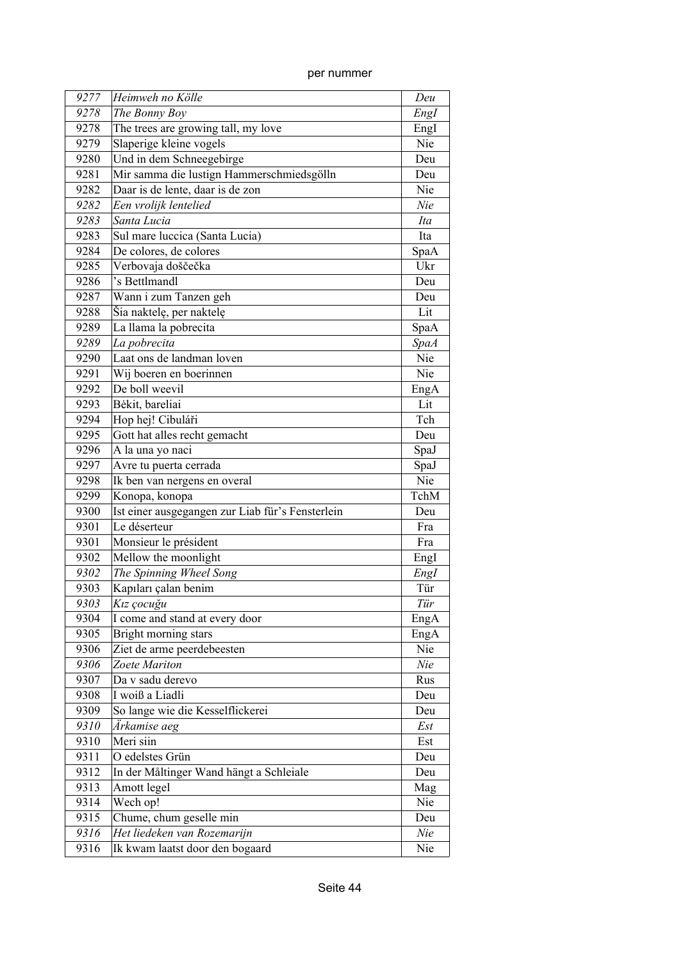| per nummer |
|------------|
|            |

| 9277 | Heimweh no Kölle                                 | Deu         |
|------|--------------------------------------------------|-------------|
| 9278 | The Bonny Boy                                    | EngI        |
| 9278 | The trees are growing tall, my love              | EngI        |
| 9279 | Slaperige kleine vogels                          | Nie         |
| 9280 | Und in dem Schneegebirge                         | Deu         |
| 9281 | Mir samma die lustign Hammerschmiedsgölln        | Deu         |
| 9282 | Daar is de lente, daar is de zon                 | Nie         |
| 9282 | Een vrolijk lentelied                            | Nie         |
| 9283 | Santa Lucia                                      | Ita         |
| 9283 | Sul mare luccica (Santa Lucia)                   | Ita         |
| 9284 | De colores, de colores                           | SpaA        |
| 9285 | Verbovaja doščečka                               | Ukr         |
| 9286 | 's Bettlmandl                                    | Deu         |
| 9287 | Wann i zum Tanzen geh                            | Deu         |
| 9288 | Šia naktelę, per naktelę                         | Lit         |
| 9289 | La llama la pobrecita                            | SpaA        |
| 9289 | La pobrecita                                     | <b>SpaA</b> |
| 9290 | Laat ons de landman loven                        | Nie         |
| 9291 | Wij boeren en boerinnen                          | Nie         |
| 9292 | De boll weevil                                   | EngA        |
| 9293 | Bėkit, bareliai                                  | Lit         |
| 9294 | Hop hej! Cibuláři                                | Tch         |
| 9295 | Gott hat alles recht gemacht                     | Deu         |
| 9296 | A la una yo naci                                 | SpaJ        |
| 9297 | Avre tu puerta cerrada                           | SpaJ        |
| 9298 | Ik ben van nergens en overal                     | Nie         |
| 9299 | Konopa, konopa                                   | TchM        |
| 9300 | Ist einer ausgegangen zur Liab für's Fensterlein | Deu         |
| 9301 | Le déserteur                                     | Fra         |
| 9301 | Monsieur le président                            | Fra         |
| 9302 | Mellow the moonlight                             | EngI        |
| 9302 | The Spinning Wheel Song                          | EngI        |
| 9303 | Kapıları çalan benim                             | Tür         |
| 9303 | Kız çocuğu                                       | Tür         |
| 9304 | I come and stand at every door                   | EngA        |
| 9305 | Bright morning stars                             | EngA        |
| 9306 | Ziet de arme peerdebeesten                       | Nie         |
| 9306 | Zoete Mariton                                    | Nie         |
| 9307 | Da v sadu derevo                                 | Rus         |
| 9308 | I woiß a Liadli                                  | Deu         |
| 9309 | So lange wie die Kesselflickerei                 | Deu         |
| 9310 | Ärkamise aeg                                     | Est         |
| 9310 | Meri siin                                        | Est         |
| 9311 | O edelstes Grün                                  | Deu         |
| 9312 | In der Måltinger Wand hängt a Schleiale          | Deu         |
| 9313 | Amott legel                                      | Mag         |
| 9314 | Wech op!                                         | Nie         |
| 9315 | Chume, chum geselle min                          | Deu         |
| 9316 | Het liedeken van Rozemarijn                      | Nie         |
| 9316 | Ik kwam laatst door den bogaard                  | Nie         |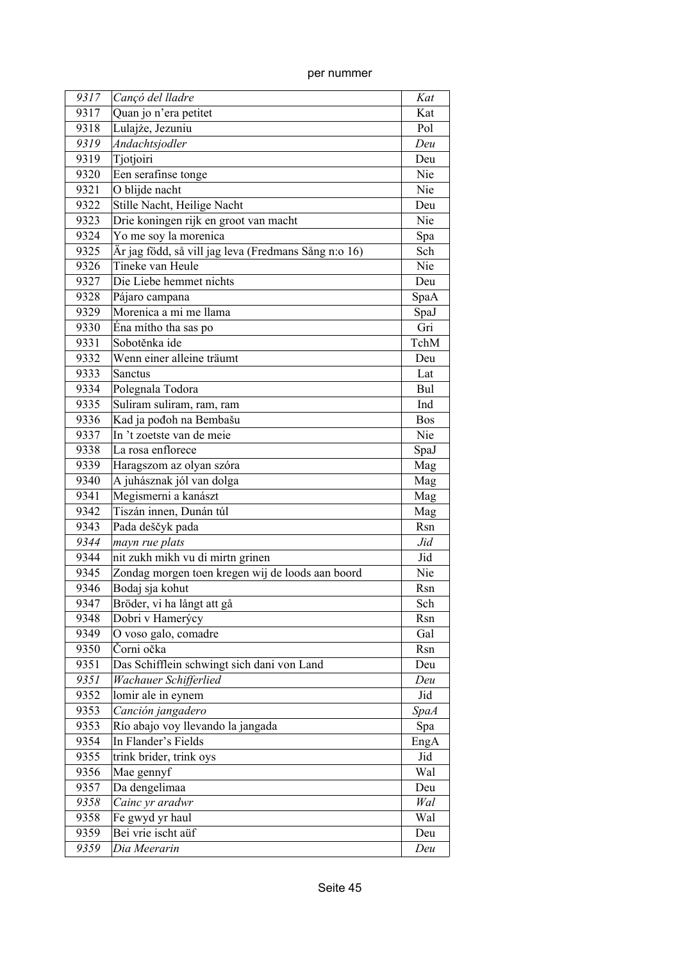| 9317 | Cançó del lladre                                     | Kat         |
|------|------------------------------------------------------|-------------|
| 9317 | Quan jo n'era petitet                                | Kat         |
| 9318 | Lulajże, Jezuniu                                     | Pol         |
| 9319 | Andachtsjodler                                       | Deu         |
| 9319 | Tjotjoiri                                            | Deu         |
| 9320 | Een serafinse tonge                                  | Nie         |
| 9321 | O blijde nacht                                       | Nie         |
| 9322 | Stille Nacht, Heilige Nacht                          | Deu         |
| 9323 | Drie koningen rijk en groot van macht                | Nie         |
| 9324 | Yo me soy la morenica                                | Spa         |
| 9325 | Är jag född, så vill jag leva (Fredmans Sång n:o 16) | Sch         |
| 9326 | Tineke van Heule                                     | Nie         |
| 9327 | Die Liebe hemmet nichts                              | Deu         |
| 9328 | Pájaro campana                                       | SpaA        |
| 9329 | Morenica a mi me llama                               | SpaJ        |
| 9330 | Éna mítho tha sas po                                 | Gri         |
| 9331 | Sobotěnka ide                                        | TchM        |
| 9332 | Wenn einer alleine träumt                            | Deu         |
| 9333 | <b>Sanctus</b>                                       | Lat         |
| 9334 | Polegnala Todora                                     | Bul         |
| 9335 | Suliram suliram, ram, ram                            | Ind         |
| 9336 | Kad ja pođoh na Bembašu                              | <b>Bos</b>  |
| 9337 | In 't zoetste van de meie                            | Nie         |
| 9338 | La rosa enflorece                                    |             |
|      |                                                      | SpaJ        |
| 9339 | Haragszom az olyan szóra                             | Mag         |
| 9340 | A juhásznak jól van dolga                            | Mag         |
| 9341 | Megismerni a kanászt                                 | Mag         |
| 9342 | Tiszán innen, Dunán túl                              | Mag         |
| 9343 | Pada deščyk pada                                     | Rsn         |
| 9344 | mayn rue plats                                       | Jid         |
| 9344 | nit zukh mikh vu di mirtn grinen                     | Jid         |
| 9345 | Zondag morgen toen kregen wij de loods aan boord     | Nie         |
| 9346 | Bodaj sja kohut                                      | Rsn         |
| 9347 | Bröder, vi ha långt att gå                           | Sch         |
| 9348 | Dobri v Hamerýcy                                     | Rsn         |
| 9349 | O voso galo, comadre                                 | Gal         |
| 9350 | Čorni očka                                           | Rsn         |
| 9351 | Das Schifflein schwingt sich dani von Land           | Deu         |
| 9351 | Wachauer Schifferlied                                | Deu         |
| 9352 | lomir ale in eynem                                   | Jid         |
| 9353 | Canción jangadero                                    | <b>SpaA</b> |
| 9353 | Río abajo voy llevando la jangada                    | Spa         |
| 9354 | In Flander's Fields                                  | EngA        |
| 9355 | trink brider, trink oys                              | Jid         |
| 9356 | Mae gennyf                                           | Wal         |
| 9357 | Da dengelimaa                                        | Deu         |
| 9358 | $\overline{C}$ ainc yr aradwr                        | Wal         |
| 9358 | Fe gwyd yr haul                                      | Wal         |
| 9359 | Bei vrie ischt aüf                                   | Deu         |
| 9359 | Dia Meerarin                                         | Deu         |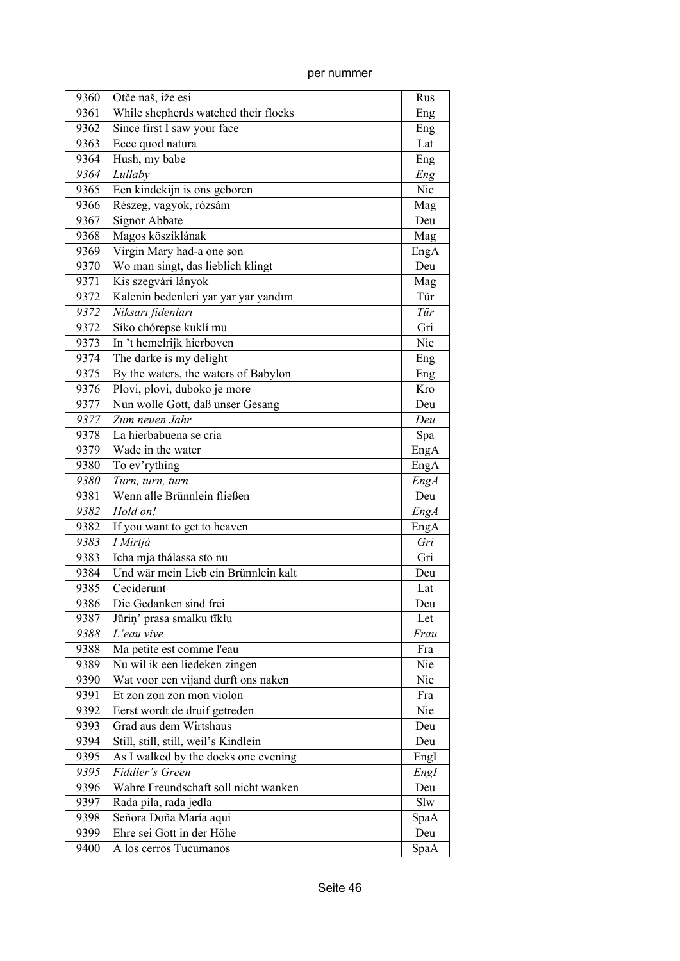| 9360 | Otče naš, iže esi                    | Rus  |
|------|--------------------------------------|------|
| 9361 | While shepherds watched their flocks | Eng  |
| 9362 | Since first I saw your face          | Eng  |
| 9363 | Ecce quod natura                     | Lat  |
| 9364 | Hush, my babe                        | Eng  |
| 9364 | Lullaby                              | Eng  |
| 9365 | Een kindekijn is ons geboren         | Nie  |
| 9366 | Részeg, vagyok, rózsám               | Mag  |
| 9367 | Signor Abbate                        | Deu  |
| 9368 | Magos kösziklának                    | Mag  |
| 9369 | Virgin Mary had-a one son            | EngA |
| 9370 | Wo man singt, das lieblich klingt    | Deu  |
| 9371 | Kis szegvári lányok                  | Mag  |
| 9372 | Kalenin bedenleri yar yar yar yandım | Tür  |
| 9372 | Niksarı fidenları                    | Tür  |
| 9372 | Síko chórepse kuklí mu               | Gri  |
| 9373 | In 't hemelrijk hierboven            | Nie  |
| 9374 | The darke is my delight              | Eng  |
| 9375 | By the waters, the waters of Babylon | Eng  |
| 9376 | Plovi, plovi, duboko je more         | Kro  |
| 9377 | Nun wolle Gott, daß unser Gesang     | Deu  |
| 9377 | Zum neuen Jahr                       | Deu  |
| 9378 | La hierbabuena se cria               | Spa  |
| 9379 | Wade in the water                    | EngA |
| 9380 | To ev'rything                        | EngA |
| 9380 | Turn, turn, turn                     | EngA |
| 9381 | Wenn alle Brünnlein fließen          | Deu  |
| 9382 | Hold on!                             | EngA |
| 9382 | If you want to get to heaven         | EngA |
| 9383 | I Mirtjá                             | Gri  |
| 9383 | Icha mja thálassa sto nu             | Gri  |
| 9384 | Und wär mein Lieb ein Brünnlein kalt | Deu  |
| 9385 | Ceciderunt                           | Lat  |
| 9386 | Die Gedanken sind frei               | Deu  |
| 9387 | Jūriņ' prasa smalku tīklu            | Let  |
| 9388 | L'eau vive                           | Frau |
| 9388 | Ma petite est comme l'eau            | Fra  |
| 9389 | Nu wil ik een liedeken zingen        | Nie  |
| 9390 | Wat voor een vijand durft ons naken  | Nie  |
| 9391 | Et zon zon zon mon violon            | Fra  |
| 9392 | Eerst wordt de druif getreden        | Nie  |
| 9393 | Grad aus dem Wirtshaus               | Deu  |
| 9394 | Still, still, still, weil's Kindlein | Deu  |
| 9395 | As I walked by the docks one evening | EngI |
| 9395 | Fiddler's Green                      | EngI |
| 9396 | Wahre Freundschaft soll nicht wanken | Deu  |
| 9397 | Rada pila, rada jedla                | Slw  |
| 9398 | Señora Doña María aqui               | SpaA |
| 9399 | Ehre sei Gott in der Höhe            | Deu  |
| 9400 | A los cerros Tucumanos               | SpaA |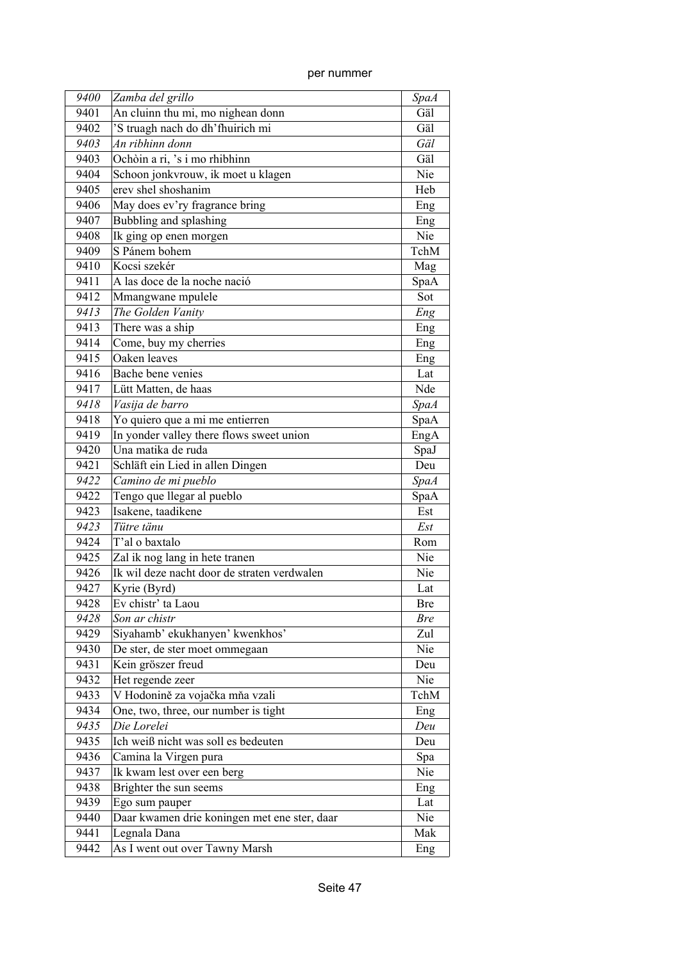| 9400 | Zamba del grillo                             | <b>SpaA</b> |
|------|----------------------------------------------|-------------|
| 9401 | An cluinn thu mi, mo nighean donn            | Gäl         |
| 9402 | 'S truagh nach do dh'fhuirich mi             | Gäl         |
| 9403 | An ribhinn donn                              | Gäl         |
| 9403 | Ochòin a ri, 's i mo rhibhinn                | Gäl         |
| 9404 | Schoon jonkvrouw, ik moet u klagen           | Nie         |
| 9405 | erev shel shoshanim                          | Heb         |
| 9406 | May does ev'ry fragrance bring               | Eng         |
| 9407 | Bubbling and splashing                       | Eng         |
| 9408 | Ik ging op enen morgen                       | Nie         |
| 9409 | S Pánem bohem                                | TchM        |
| 9410 | Kocsi szekér                                 | Mag         |
| 9411 | A las doce de la noche nació                 | SpaA        |
| 9412 | Mmangwane mpulele                            | Sot         |
| 9413 | The Golden Vanity                            | Eng         |
| 9413 | There was a ship                             | Eng         |
| 9414 | Come, buy my cherries                        | Eng         |
| 9415 | Oaken leaves                                 | Eng         |
| 9416 | Bache bene venies                            | Lat         |
| 9417 | Lütt Matten, de haas                         | Nde         |
| 9418 | Vasija de barro                              | <b>SpaA</b> |
| 9418 | Yo quiero que a mi me entierren              | SpaA        |
| 9419 | In yonder valley there flows sweet union     | EngA        |
| 9420 | Una matika de ruda                           | SpaJ        |
| 9421 | Schläft ein Lied in allen Dingen             | Deu         |
| 9422 | Camino de mi pueblo                          | <b>SpaA</b> |
| 9422 | Tengo que llegar al pueblo                   | SpaA        |
| 9423 | Isakene, taadikene                           | Est         |
| 9423 | Tütre tänu                                   | Est         |
| 9424 | T'al o baxtalo                               | Rom         |
| 9425 | Zal ik nog lang in hete tranen               | Nie         |
| 9426 | Ik wil deze nacht door de straten verdwalen  | Nie         |
| 9427 | Kyrie (Byrd)                                 | Lat         |
| 9428 | Ev chistr' ta Laou                           | <b>Bre</b>  |
| 9428 | Son ar chistr                                | <i>Bre</i>  |
| 9429 | Siyahamb' ekukhanyen' kwenkhos'              | Zul         |
| 9430 | De ster, de ster moet ommegaan               | Nie         |
| 9431 | Kein gröszer freud                           | Deu         |
| 9432 | Het regende zeer                             | Nie         |
| 9433 | V Hodonině za vojačka mňa vzali              | TchM        |
| 9434 | One, two, three, our number is tight         | Eng         |
| 9435 | Die Lorelei                                  | Deu         |
| 9435 | Ich weiß nicht was soll es bedeuten          | Deu         |
| 9436 | Camina la Virgen pura                        | Spa         |
| 9437 | Ik kwam lest over een berg                   | Nie         |
| 9438 | Brighter the sun seems                       | Eng         |
| 9439 | Ego sum pauper                               | Lat         |
| 9440 | Daar kwamen drie koningen met ene ster, daar | Nie         |
| 9441 | Legnala Dana                                 | Mak         |
| 9442 | As I went out over Tawny Marsh               | Eng         |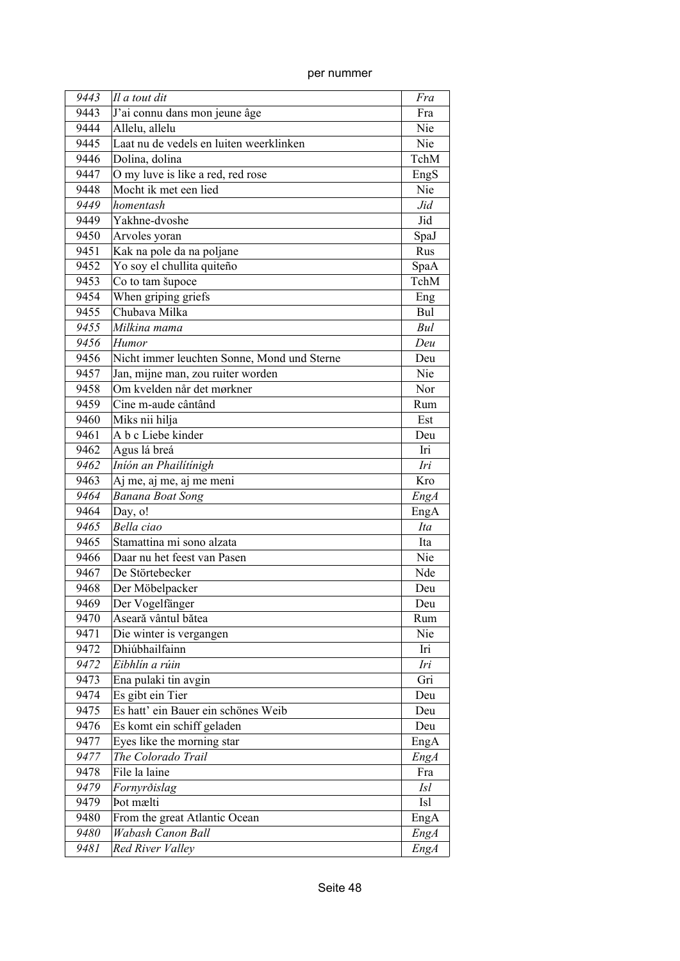| 9443 | Il a tout dit                               | Fra         |
|------|---------------------------------------------|-------------|
| 9443 | J'ai connu dans mon jeune âge               | Fra         |
| 9444 | Allelu, allelu                              | Nie         |
| 9445 | Laat nu de vedels en luiten weerklinken     | Nie         |
| 9446 | Dolina, dolina                              | TchM        |
| 9447 | O my luve is like a red, red rose           | EngS        |
| 9448 | Mocht ik met een lied                       | Nie         |
| 9449 | homentash                                   | Jid         |
| 9449 | Yakhne-dvoshe                               | Jid         |
| 9450 | Arvoles yoran                               | SpaJ        |
| 9451 | Kak na pole da na poljane                   | Rus         |
| 9452 | Yo soy el chullita quiteño                  | SpaA        |
| 9453 | Co to tam šupoce                            | TchM        |
| 9454 | When griping griefs                         | Eng         |
| 9455 | Chubava Milka                               | Bul         |
| 9455 | Milkina mama                                | Bul         |
| 9456 | <b>Humor</b>                                | Deu         |
| 9456 | Nicht immer leuchten Sonne, Mond und Sterne | Deu         |
| 9457 | Jan, mijne man, zou ruiter worden           | Nie         |
| 9458 | Om kvelden når det mørkner                  | Nor         |
| 9459 | Cine m-aude cântând                         | Rum         |
| 9460 | Miks nii hilja                              | Est         |
| 9461 | A b c Liebe kinder                          | Deu         |
| 9462 | Agus lá breá                                | Iri         |
| 9462 | Iníón an Phailítínigh                       | Iri         |
| 9463 | Aj me, aj me, aj me meni                    | Kro         |
| 9464 | <b>Banana Boat Song</b>                     | <b>EngA</b> |
| 9464 | Day, o!                                     | EngA        |
| 9465 | Bella ciao                                  | Ita         |
| 9465 | Stamattina mi sono alzata                   | Ita         |
| 9466 | Daar nu het feest van Pasen                 | Nie         |
| 9467 | De Störtebecker                             | Nde         |
| 9468 | Der Möbelpacker                             | Deu         |
| 9469 | Der Vogelfänger                             | Deu         |
| 9470 | Aseară vântul bătea                         | Rum         |
| 9471 | Die winter is vergangen                     | Nie         |
| 9472 | Dhiúbhailfainn                              | Iri         |
| 9472 | Eibhlín a rúin                              | Iri         |
| 9473 | Ena pulaki tin avgin                        | Gri         |
| 9474 | Es gibt ein Tier                            | Deu         |
| 9475 | Es hatt' ein Bauer ein schönes Weib         | Deu         |
| 9476 | Es komt ein schiff geladen                  | Deu         |
| 9477 | Eyes like the morning star                  | EngA        |
| 9477 | The Colorado Trail                          | <b>EngA</b> |
| 9478 | File la laine                               | Fra         |
| 9479 | Fornyrðislag                                | <i>Isl</i>  |
| 9479 | Þot mælti                                   | Isl         |
| 9480 | From the great Atlantic Ocean               | EngA        |
| 9480 | Wabash Canon Ball                           | EngA        |
| 9481 | Red River Valley                            | EngA        |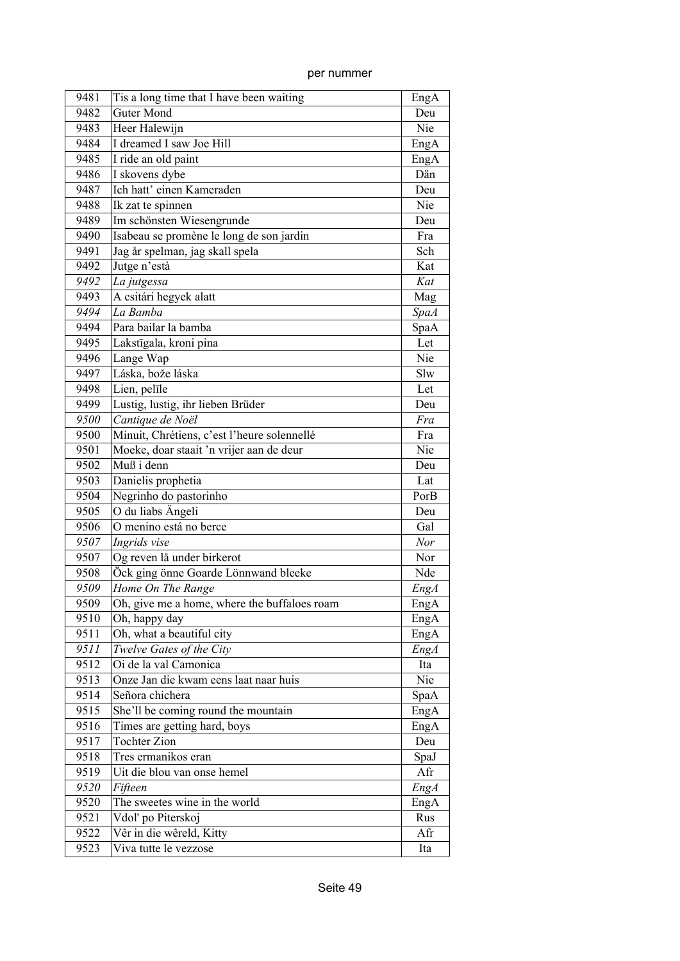| per nummer |
|------------|
|            |

| 9481 | Tis a long time that I have been waiting     | EngA        |
|------|----------------------------------------------|-------------|
| 9482 | <b>Guter Mond</b>                            | Deu         |
| 9483 | Heer Halewijn                                | Nie         |
| 9484 | I dreamed I saw Joe Hill                     | EngA        |
| 9485 | I ride an old paint                          | EngA        |
| 9486 | I skovens dybe                               | Dän         |
| 9487 | Ich hatt' einen Kameraden                    | Deu         |
| 9488 | Ik zat te spinnen                            | Nie         |
| 9489 | Im schönsten Wiesengrunde                    | Deu         |
| 9490 | Isabeau se promène le long de son jardin     | Fra         |
| 9491 | Jag år spelman, jag skall spela              | Sch         |
| 9492 | Jutge n'està                                 | Kat         |
| 9492 | La jutgessa                                  | Kat         |
| 9493 | A csitári hegyek alatt                       | Mag         |
| 9494 | La Bamba                                     | <b>SpaA</b> |
| 9494 | Para bailar la bamba                         | SpaA        |
| 9495 | Lakstīgala, kroni pina                       | Let         |
| 9496 | Lange Wap                                    | Nie         |
| 9497 | Láska, bože láska                            | Slw         |
| 9498 | Lien, pelīle                                 | Let         |
| 9499 | Lustig, lustig, ihr lieben Brüder            | Deu         |
| 9500 | Cantique de Noël                             | Fra         |
| 9500 | Minuit, Chrétiens, c'est l'heure solennellé  | Fra         |
| 9501 | Moeke, doar staait 'n vrijer aan de deur     | Nie         |
| 9502 | Muß i denn                                   | Deu         |
| 9503 | Danielis prophetia                           | Lat         |
| 9504 | Negrinho do pastorinho                       | PorB        |
| 9505 | O du liabs Ängeli                            | Deu         |
| 9506 | O menino está no berce                       | Gal         |
| 9507 | Ingrids vise                                 | Nor         |
| 9507 | Og reven lå under birkerot                   | Nor         |
| 9508 | Öck ging önne Goarde Lönnwand bleeke         | Nde         |
| 9509 | Home On The Range                            | <b>EngA</b> |
| 9509 | Oh, give me a home, where the buffaloes roam | EngA        |
| 9510 | Oh, happy day                                | EngA        |
| 9511 | Oh, what a beautiful city                    | EngA        |
| 9511 | Twelve Gates of the City                     | EngA        |
| 9512 | Oi de la val Camonica                        | Ita         |
| 9513 | Onze Jan die kwam eens laat naar huis        | Nie         |
| 9514 | Señora chichera                              | SpaA        |
| 9515 | She'll be coming round the mountain          | EngA        |
| 9516 | Times are getting hard, boys                 | EngA        |
| 9517 | <b>Tochter Zion</b>                          | Deu         |
| 9518 | Tres ermanikos eran                          | SpaJ        |
| 9519 | Uit die blou van onse hemel                  | Afr         |
| 9520 | Fifteen                                      | <b>EngA</b> |
| 9520 | The sweetes wine in the world                | EngA        |
| 9521 | Vdol' po Piterskoj                           | Rus         |
| 9522 | Vêr in die wêreld, Kitty                     | Afr         |
| 9523 | Viva tutte le vezzose                        | Ita         |
|      |                                              |             |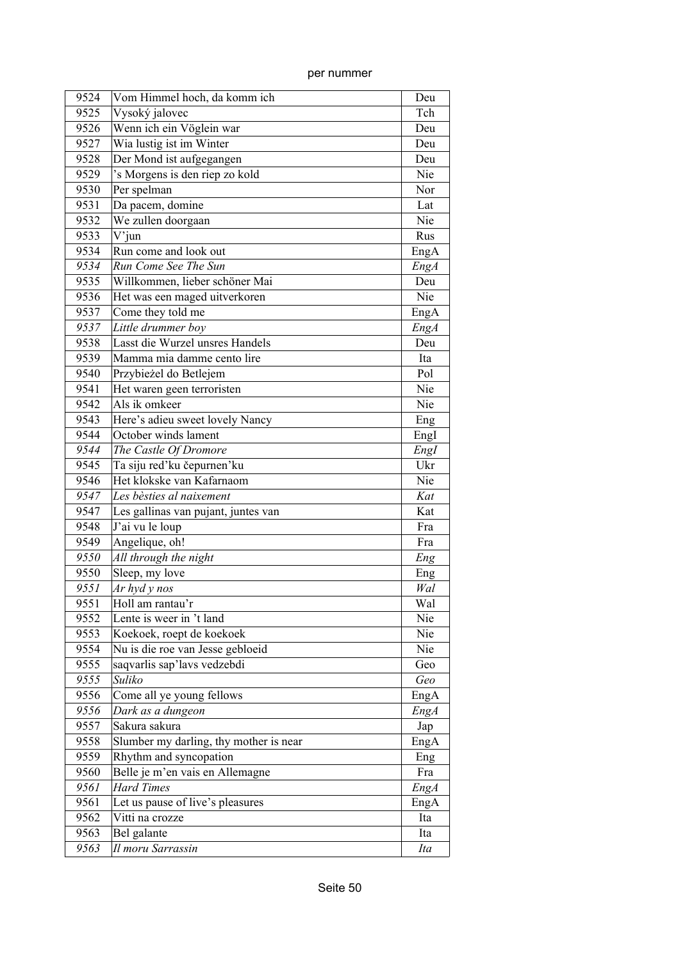| 9524         | Vom Himmel hoch, da komm ich                         | Deu          |
|--------------|------------------------------------------------------|--------------|
| 9525         | Vysoký jalovec                                       | Tch          |
| 9526         | Wenn ich ein Vöglein war                             | Deu          |
| 9527         | Wia lustig ist im Winter                             | Deu          |
| 9528         | Der Mond ist aufgegangen                             | Deu          |
| 9529         | 's Morgens is den riep zo kold                       | Nie          |
| 9530         | Per spelman                                          | Nor          |
| 9531         | Da pacem, domine                                     | Lat          |
| 9532         | We zullen doorgaan                                   | Nie          |
| 9533         | $V'$ jun                                             | Rus          |
| 9534         | Run come and look out                                | EngA         |
| 9534         | Run Come See The Sun                                 | EngA         |
| 9535         | Willkommen, lieber schöner Mai                       | Deu          |
| 9536         | Het was een maged uitverkoren                        | Nie          |
| 9537         | Come they told me                                    | EngA         |
| 9537         | Little drummer boy                                   | <b>EngA</b>  |
| 9538         | Lasst die Wurzel unsres Handels                      | Deu          |
| 9539         | Mamma mia damme cento lire                           | Ita          |
| 9540         | Przybieżel do Betlejem                               | Pol          |
| 9541         | Het waren geen terroristen                           | Nie          |
| 9542         | Als ik omkeer                                        | Nie          |
| 9543         | Here's adieu sweet lovely Nancy                      | Eng          |
| 9544         | October winds lament                                 | EngI         |
| 9544         | The Castle Of Dromore                                | EngI         |
| 9545         | Ta siju red'ku čepurnen'ku                           | Ukr          |
| 9546         | Het klokske van Kafarnaom                            | Nie          |
| 9547         | Les bèsties al naixement                             | Kat          |
| 9547         | Les gallinas van pujant, juntes van                  | Kat          |
| 9548         | J'ai vu le loup                                      | Fra          |
| 9549         | Angelique, oh!                                       | Fra          |
| 9550         | All through the night                                | Eng          |
| 9550         | Sleep, my love                                       | Eng          |
| 9551         | Ar hyd y nos                                         | Wal          |
| 9551         | Holl am rantau'r                                     | Wal          |
| 9552         | Lente is weer in 't land                             | Nie          |
| 9553         | Koekoek, roept de koekoek                            | Nie          |
| 9554         | Nu is die roe van Jesse gebloeid                     | Nie          |
| 9555         | saqvarlis sap'lavs vedzebdi                          | Geo          |
| 9555         | Suliko                                               | Geo          |
|              |                                                      |              |
| 9556<br>9556 | Come all ye young fellows<br>Dark as a dungeon       | EngA<br>EngA |
| 9557         | Sakura sakura                                        |              |
| 9558         | Slumber my darling, thy mother is near               | Jap          |
|              |                                                      | EngA         |
| 9559         | Rhythm and syncopation                               | Eng          |
| 9560         | Belle je m'en vais en Allemagne<br><b>Hard Times</b> | Fra          |
| 9561         |                                                      | EngA         |
| 9561         | Let us pause of live's pleasures                     | EngA         |
| 9562         | Vitti na crozze                                      | Ita          |
| 9563         | Bel galante                                          | Ita          |
| 9563         | Il moru Sarrassin                                    | Ita          |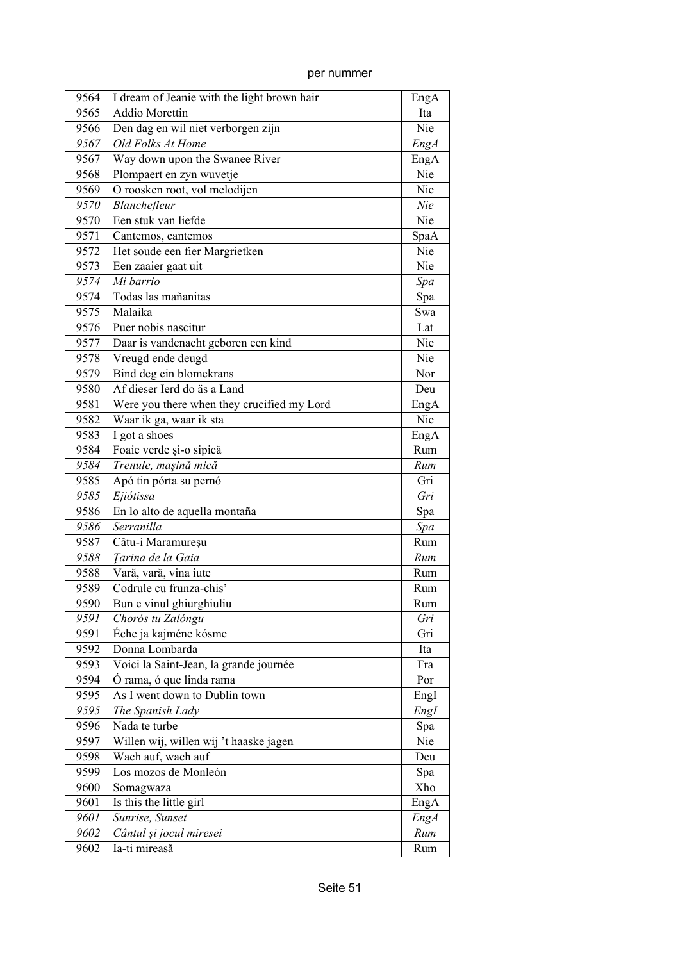| 9564 | I dream of Jeanie with the light brown hair | EngA        |
|------|---------------------------------------------|-------------|
| 9565 | <b>Addio Morettin</b>                       | Ita         |
| 9566 | Den dag en wil niet verborgen zijn          | Nie         |
| 9567 | Old Folks At Home                           | EngA        |
| 9567 | Way down upon the Swanee River              | EngA        |
| 9568 | Plompaert en zyn wuvetje                    | Nie         |
| 9569 | O roosken root, vol melodijen               | Nie         |
| 9570 | Blanchefleur                                | Nie         |
| 9570 | Een stuk van liefde                         | Nie         |
| 9571 | Cantemos, cantemos                          | SpaA        |
| 9572 | Het soude een fier Margrietken              | Nie         |
| 9573 | Een zaaier gaat uit                         | Nie         |
| 9574 | Mi barrio                                   | Spa         |
| 9574 | Todas las mañanitas                         | Spa         |
| 9575 | Malaika                                     | Swa         |
| 9576 | Puer nobis nascitur                         | Lat         |
| 9577 | Daar is vandenacht geboren een kind         | Nie         |
| 9578 | Vreugd ende deugd                           | Nie         |
| 9579 | Bind deg ein blomekrans                     | Nor         |
| 9580 | Af dieser Ierd do äs a Land                 | Deu         |
| 9581 | Were you there when they crucified my Lord  | EngA        |
| 9582 | Waar ik ga, waar ik sta                     | Nie         |
| 9583 | I got a shoes                               | EngA        |
| 9584 | Foaie verde și-o sipică                     | Rum         |
| 9584 | Trenule, mașină mică                        | Rum         |
| 9585 | Apó tin pórta su pernó                      | Gri         |
| 9585 | Ejiótissa                                   | Gri         |
| 9586 | En lo alto de aquella montaña               | Spa         |
| 9586 | Serranilla                                  | Spa         |
| 9587 | Câtu-i Maramureșu                           | Rum         |
| 9588 | Tarina de la Gaia                           | Rum         |
| 9588 | Vară, vară, vina iute                       | Rum         |
| 9589 | Codrule cu frunza-chis'                     | Rum         |
| 9590 | Bun e vinul ghiurghiuliu                    | Rum         |
| 9591 | Chorós tu Zalóngu                           | Gri         |
| 9591 | Éche ja kajméne kósme                       | Gri         |
| 9592 | Donna Lombarda                              | Ita         |
| 9593 | Voici la Saint-Jean, la grande journée      | Fra         |
| 9594 | Ó rama, ó que linda rama                    | Por         |
| 9595 | As I went down to Dublin town               | EngI        |
| 9595 | The Spanish Lady                            | EngI        |
| 9596 | Nada te turbe                               | Spa         |
| 9597 | Willen wij, willen wij 't haaske jagen      | Nie         |
| 9598 | Wach auf, wach auf                          | Deu         |
| 9599 | Los mozos de Monleón                        | Spa         |
| 9600 | Somagwaza                                   | Xho         |
| 9601 | Is this the little girl                     | EngA        |
| 9601 | Sunrise, Sunset                             | <b>EngA</b> |
| 9602 | Cântul și jocul miresei                     | Rum         |
| 9602 | Ia-ti mireasă                               | Rum         |
|      |                                             |             |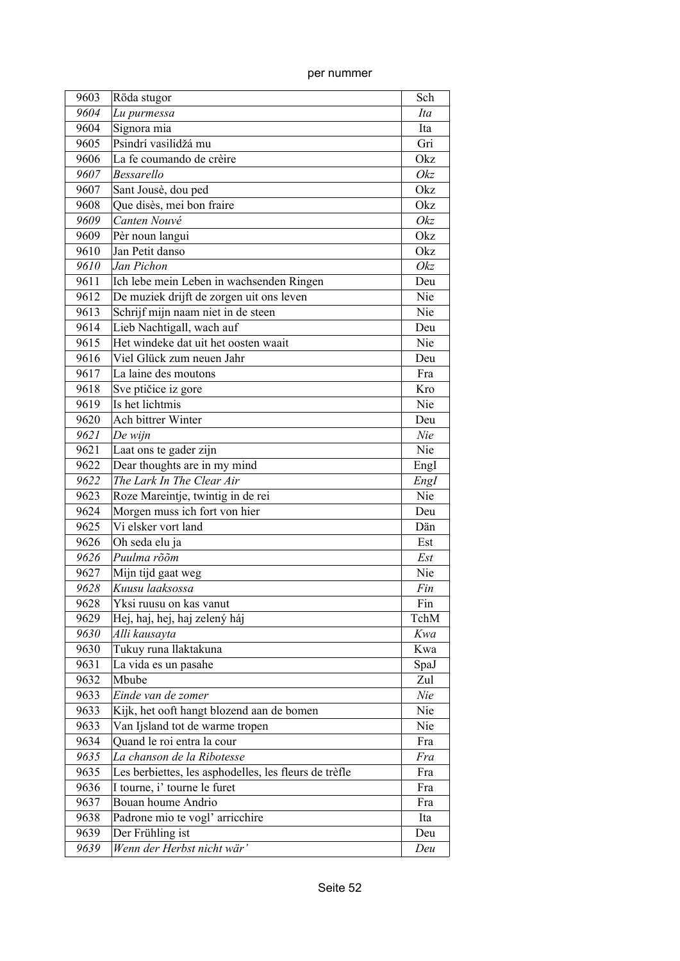| 9603 | Röda stugor                                           | Sch  |
|------|-------------------------------------------------------|------|
| 9604 | Lu purmessa                                           | Ita  |
| 9604 | Signora mia                                           | Ita  |
| 9605 | Psindrí vasilidžá mu                                  | Gri  |
| 9606 | La fe coumando de crèire                              | Okz  |
| 9607 | <b>Bessarello</b>                                     | Okz  |
| 9607 | Sant Jousè, dou ped                                   | Okz  |
| 9608 | Que disès, mei bon fraire                             | Okz  |
| 9609 | Canten Nouvé                                          | Okz  |
| 9609 | Pèr noun langui                                       | Okz  |
| 9610 | Jan Petit danso                                       | Okz  |
| 9610 | Jan Pichon                                            | Okz  |
| 9611 | Ich lebe mein Leben in wachsenden Ringen              | Deu  |
| 9612 | De muziek drijft de zorgen uit ons leven              | Nie  |
| 9613 | Schrijf mijn naam niet in de steen                    | Nie  |
| 9614 | Lieb Nachtigall, wach auf                             | Deu  |
| 9615 | Het windeke dat uit het oosten waait                  | Nie  |
| 9616 | Viel Glück zum neuen Jahr                             | Deu  |
| 9617 | La laine des moutons                                  | Fra  |
| 9618 | Sve ptičice iz gore                                   | Kro  |
| 9619 | Is het lichtmis                                       | Nie  |
| 9620 | Ach bittrer Winter                                    | Deu  |
| 9621 | De wijn                                               | Nie  |
| 9621 | Laat ons te gader zijn                                | Nie  |
| 9622 | Dear thoughts are in my mind                          | EngI |
| 9622 | The Lark In The Clear Air                             | Engl |
| 9623 | Roze Mareintje, twintig in de rei                     | Nie  |
| 9624 | Morgen muss ich fort von hier                         | Deu  |
| 9625 | Vi elsker vort land                                   | Dän  |
| 9626 | Oh seda elu ja                                        | Est  |
| 9626 | Puulma rõõm                                           | Est  |
| 9627 | Mijn tijd gaat weg                                    | Nie  |
| 9628 | Kuusu laaksossa                                       | Fin  |
| 9628 | Yksi ruusu on kas vanut                               | Fin  |
| 9629 | Hej, haj, hej, haj zelený háj                         | TchM |
| 9630 | Alli kausayta                                         | Kwa  |
| 9630 | Tukuy runa llaktakuna                                 | Kwa  |
| 9631 | La vida es un pasahe                                  | SpaJ |
| 9632 | Mbube                                                 | Zul  |
| 9633 | Einde van de zomer                                    | Nie  |
| 9633 | Kijk, het ooft hangt blozend aan de bomen             | Nie  |
| 9633 | Van Ijsland tot de warme tropen                       | Nie  |
| 9634 | Quand le roi entra la cour                            | Fra  |
| 9635 | La chanson de la Ribotesse                            | Fra  |
| 9635 | Les berbiettes, les asphodelles, les fleurs de trèfle | Fra  |
| 9636 | I tourne, i' tourne le furet                          | Fra  |
| 9637 | Bouan houme Andrio                                    | Fra  |
| 9638 | Padrone mio te vogl' arricchire                       | Ita  |
| 9639 | Der Frühling ist                                      | Deu  |
| 9639 | Wenn der Herbst nicht wär'                            | Deu  |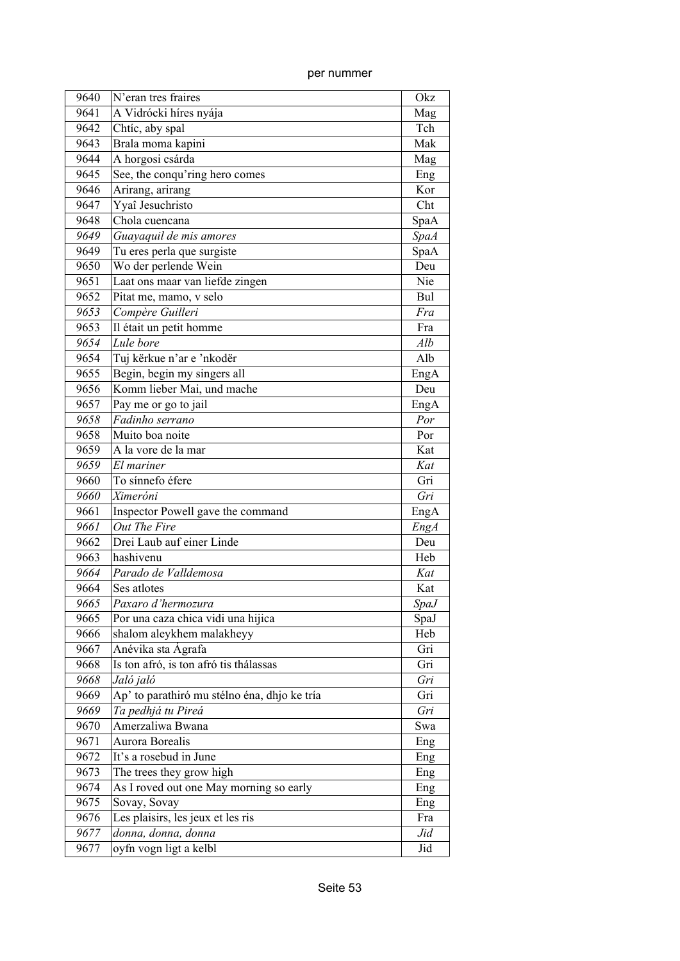| 9640 | N'eran tres fraires                          | Okz         |
|------|----------------------------------------------|-------------|
| 9641 | A Vidrócki híres nyája                       | Mag         |
| 9642 | Chtíc, aby spal                              | Tch         |
| 9643 | Brala moma kapini                            | Mak         |
| 9644 | A horgosi csárda                             | Mag         |
| 9645 | See, the conqu'ring hero comes               | Eng         |
| 9646 | Arirang, arirang                             | Kor         |
| 9647 | Yyaî Jesuchristo                             | Cht         |
| 9648 | Chola cuencana                               | SpaA        |
| 9649 | Guayaquil de mis amores                      | <b>SpaA</b> |
| 9649 | Tu eres perla que surgiste                   | SpaA        |
| 9650 | Wo der perlende Wein                         | Deu         |
| 9651 | Laat ons maar van liefde zingen              | Nie         |
| 9652 | Pitat me, mamo, v selo                       | Bul         |
| 9653 | Compère Guilleri                             | Fra         |
| 9653 | Il était un petit homme                      | Fra         |
| 9654 | Lule bore                                    | Alb         |
| 9654 | Tuj kërkue n'ar e 'nkodër                    | Alb         |
| 9655 | Begin, begin my singers all                  | EngA        |
| 9656 | Komm lieber Mai, und mache                   | Deu         |
| 9657 | Pay me or go to jail                         | EngA        |
| 9658 | Fadinho serrano                              | Por         |
| 9658 | Muito boa noite                              | Por         |
| 9659 | A la vore de la mar                          | Kat         |
| 9659 | El mariner                                   | Kat         |
| 9660 | To sínnefo éfere                             | Gri         |
| 9660 | Ximeróni                                     | Gri         |
| 9661 | Inspector Powell gave the command            | EngA        |
| 9661 | Out The Fire                                 | EngA        |
| 9662 | Drei Laub auf einer Linde                    | Deu         |
| 9663 | hashivenu                                    | Heb         |
| 9664 | Parado de Valldemosa                         | Kat         |
| 9664 | Ses atlotes                                  | Kat         |
| 9665 | Paxaro d'hermozura                           | <b>SpaJ</b> |
| 9665 | Por una caza chica vidi una hijica           | SpaJ        |
| 9666 | shalom aleykhem malakheyy                    | Heb         |
| 9667 | Anévika sta Ágrafa                           | Gri         |
| 9668 | Is ton afró, is ton afró tis thálassas       | Gri         |
| 9668 | Jaló jaló                                    | Gri         |
| 9669 | Ap' to parathiró mu stélno éna, dhjo ke tría | Gri         |
| 9669 | Ta pedhjá tu Pireá                           | Gri         |
| 9670 | Amerzaliwa Bwana                             | Swa         |
| 9671 | Aurora Borealis                              | Eng         |
| 9672 | It's a rosebud in June                       | Eng         |
| 9673 | The trees they grow high                     | Eng         |
| 9674 | As I roved out one May morning so early      | Eng         |
| 9675 | Sovay, Sovay                                 | Eng         |
| 9676 | Les plaisirs, les jeux et les ris            | Fra         |
| 9677 | donna, donna, donna                          | Jid         |
| 9677 | oyfn vogn ligt a kelbl                       | Jid         |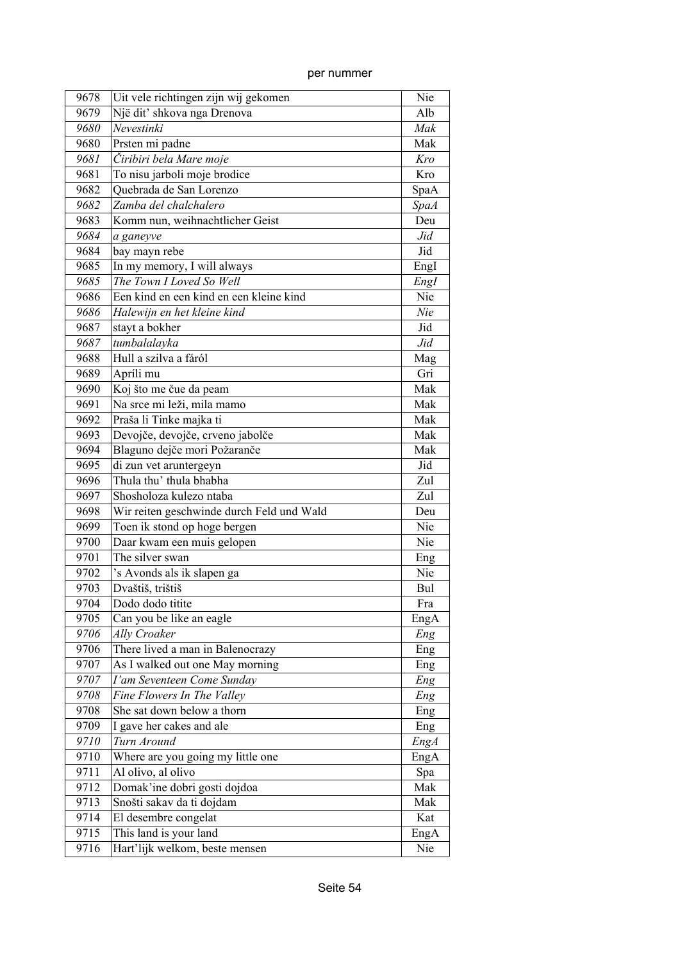| 9678 | Uit vele richtingen zijn wij gekomen      | Nie         |
|------|-------------------------------------------|-------------|
| 9679 | Një dit' shkova nga Drenova               | Alb         |
| 9680 | Nevestinki                                | Mak         |
| 9680 | Prsten mi padne                           | Mak         |
| 9681 | Čiribiri bela Mare moje                   | Kro         |
| 9681 | To nisu jarboli moje brodice              | Kro         |
| 9682 | Quebrada de San Lorenzo                   | SpaA        |
| 9682 | Zamba del chalchalero                     | <i>SpaA</i> |
| 9683 | Komm nun, weihnachtlicher Geist           | Deu         |
| 9684 | a ganeyve                                 | Jid         |
| 9684 | bay mayn rebe                             | Jid         |
| 9685 | In my memory, I will always               | Engl        |
| 9685 | The Town I Loved So Well                  | Engl        |
| 9686 | Een kind en een kind en een kleine kind   | Nie         |
| 9686 | Halewijn en het kleine kind               | Nie         |
| 9687 | stayt a bokher                            | Jid         |
| 9687 | tumbalalayka                              | Jid         |
| 9688 | Hull a szilva a fáról                     | Mag         |
| 9689 | Apríli mu                                 | Gri         |
| 9690 | Koj što me čue da peam                    | Mak         |
| 9691 | Na srce mi leži, mila mamo                | Mak         |
| 9692 | Praša li Tinke majka ti                   | Mak         |
| 9693 | Devojče, devojče, crveno jabolče          | Mak         |
| 9694 | Blaguno dejče mori Požaranče              | Mak         |
| 9695 | di zun vet aruntergeyn                    | Jid         |
| 9696 | Thula thu' thula bhabha                   | Zul         |
| 9697 | Shosholoza kulezo ntaba                   | Zul         |
| 9698 | Wir reiten geschwinde durch Feld und Wald | Deu         |
| 9699 | Toen ik stond op hoge bergen              | Nie         |
| 9700 | Daar kwam een muis gelopen                | Nie         |
| 9701 | The silver swan                           | Eng         |
| 9702 | 's Avonds als ik slapen ga                | Nie         |
| 9703 | Dvaštiš, trištiš                          | Bul         |
| 9704 | Dodo dodo titite                          | Fra         |
| 9705 | Can you be like an eagle                  | EngA        |
| 9706 | Ally Croaker                              | Eng         |
| 9706 | There lived a man in Balenocrazy          | Eng         |
| 9707 | As I walked out one May morning           | Eng         |
| 9707 | I'am Seventeen Come Sunday                | Eng         |
| 9708 | Fine Flowers In The Valley                | Eng         |
| 9708 | She sat down below a thorn                | Eng         |
| 9709 | I gave her cakes and ale                  | Eng         |
| 9710 | Turn Around                               | EngA        |
| 9710 | Where are you going my little one         | EngA        |
| 9711 | Al olivo, al olivo                        | Spa         |
| 9712 | Domak'ine dobri gosti dojdoa              | Mak         |
| 9713 | Snošti sakav da ti dojdam                 | Mak         |
| 9714 | El desembre congelat                      | Kat         |
| 9715 | This land is your land                    | EngA        |
| 9716 | Hart'lijk welkom, beste mensen            | Nie         |
|      |                                           |             |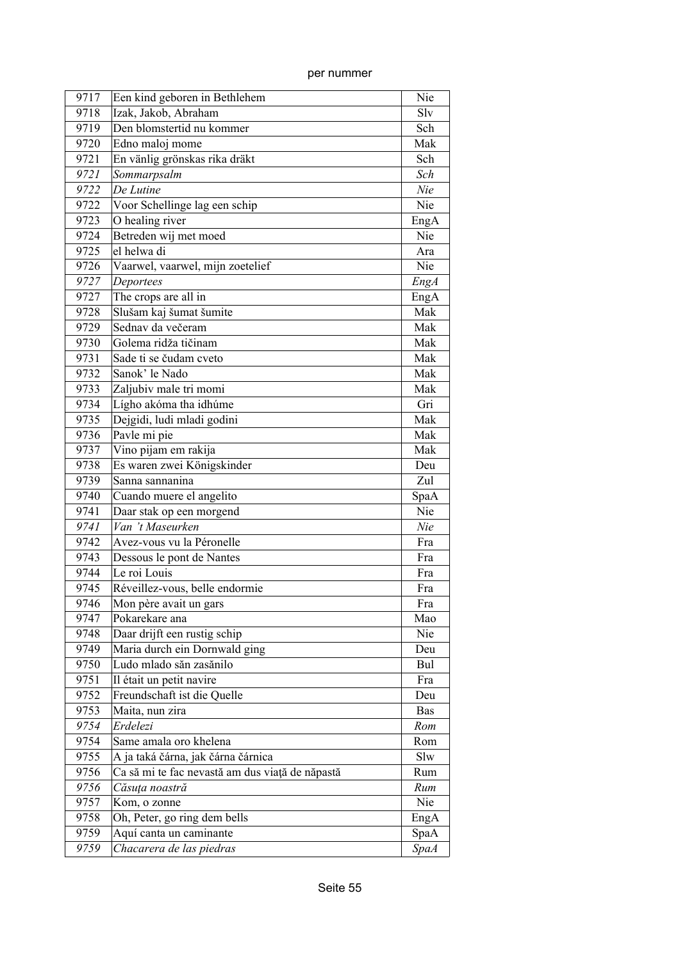| 9717 | Een kind geboren in Bethlehem                   | Nie         |
|------|-------------------------------------------------|-------------|
| 9718 | Izak, Jakob, Abraham                            | Slv         |
| 9719 | Den blomstertid nu kommer                       | Sch         |
| 9720 | Edno maloj mome                                 | Mak         |
| 9721 | En vänlig grönskas rika dräkt                   | Sch         |
| 9721 | Sommarpsalm                                     | Sch         |
| 9722 | De Lutine                                       | Nie         |
| 9722 | Voor Schellinge lag een schip                   | Nie         |
| 9723 | O healing river                                 | EngA        |
| 9724 | Betreden wij met moed                           | Nie         |
| 9725 | el helwa di                                     | Ara         |
| 9726 | Vaarwel, vaarwel, mijn zoetelief                | Nie         |
| 9727 | Deportees                                       | EngA        |
| 9727 | The crops are all in                            | EngA        |
| 9728 | Slušam kaj šumat šumite                         | Mak         |
| 9729 | Sednav da večeram                               | Mak         |
| 9730 | Golema ridža tičinam                            | Mak         |
| 9731 | Sade ti se čudam cveto                          | Mak         |
| 9732 | Sanok' le Nado                                  | Mak         |
| 9733 | Zaljubiv male tri momi                          | Mak         |
| 9734 | Lígho akóma tha idhúme                          | Gri         |
| 9735 | Dejgidi, ludi mladi godini                      | Mak         |
| 9736 | Pavle mi pie                                    | Mak         |
| 9737 | Vino pijam em rakija                            | Mak         |
| 9738 | Es waren zwei Königskinder                      | Deu         |
| 9739 | Sanna sannanina                                 | Zul         |
| 9740 | Cuando muere el angelito                        | SpaA        |
| 9741 | Daar stak op een morgend                        | Nie         |
| 9741 | Van 't Maseurken                                | Nie         |
| 9742 | Avez-vous vu la Péronelle                       | Fra         |
| 9743 | Dessous le pont de Nantes                       | Fra         |
| 9744 | Le roi Louis                                    | Fra         |
| 9745 | Réveillez-vous, belle endormie                  | Fra         |
| 9746 | Mon père avait un gars                          | Fra         |
| 9747 | Pokarekare ana                                  | Mao         |
| 9748 | Daar drijft een rustig schip                    | Nie         |
| 9749 | Maria durch ein Dornwald ging                   | Deu         |
| 9750 | Ludo mlado săn zasănilo                         | Bul         |
| 9751 | Il était un petit navire                        | Fra         |
| 9752 | Freundschaft ist die Quelle                     | Deu         |
| 9753 | Maita, nun zira                                 | <b>Bas</b>  |
| 9754 | Erdelezi                                        | Rom         |
| 9754 | Same amala oro khelena                          | Rom         |
| 9755 | A ja taká čárna, jak čárna čárnica              | Slw         |
| 9756 | Ca să mi te fac nevastă am dus viață de năpastă | Rum         |
| 9756 | Căsuța noastră                                  | Rum         |
| 9757 | Kom, o zonne                                    | Nie         |
| 9758 | Oh, Peter, go ring dem bells                    | EngA        |
| 9759 | Aquí canta un caminante                         | SpaA        |
| 9759 | Chacarera de las piedras                        | <b>SpaA</b> |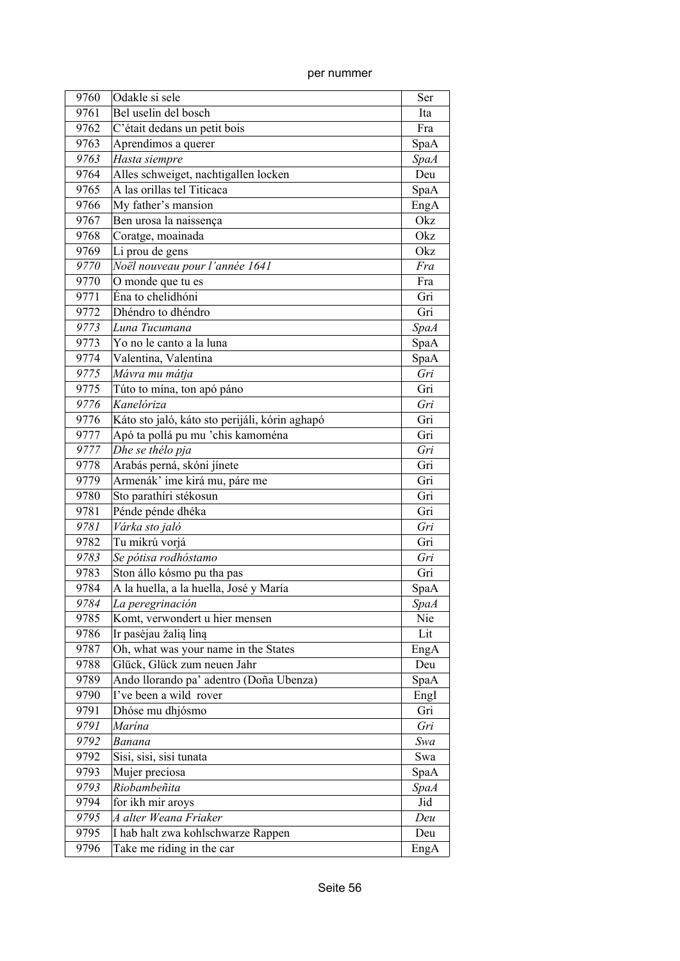| 9760 | Odakle si sele                                 | Ser         |
|------|------------------------------------------------|-------------|
| 9761 | Bel uselin del bosch                           | Ita         |
| 9762 | C'était dedans un petit bois                   | Fra         |
| 9763 | Aprendimos a querer                            | SpaA        |
| 9763 | Hasta siempre                                  | <b>SpaA</b> |
| 9764 | Alles schweiget, nachtigallen locken           | Deu         |
| 9765 | A las orillas tel Titicaca                     | SpaA        |
| 9766 | My father's mansion                            | EngA        |
| 9767 | Ben urosa la naissença                         | Okz         |
| 9768 | Coratge, moainada                              | Okz         |
| 9769 | Li prou de gens                                | Okz         |
| 9770 | Noël nouveau pour l'année 1641                 | Fra         |
| 9770 | O monde que tu es                              | Fra         |
| 9771 | Éna to chelidhóni                              | Gri         |
| 9772 | Dhéndro to dhéndro                             | Gri         |
| 9773 | Luna Tucumana                                  | <b>SpaA</b> |
| 9773 | Yo no le canto a la luna                       | SpaA        |
| 9774 | Valentina, Valentina                           | SpaA        |
| 9775 | Mávra mu mátja                                 | Gri         |
| 9775 | Túto to mína, ton apó páno                     | Gri         |
| 9776 | Kanelóriza                                     | Gri         |
| 9776 | Káto sto jaló, káto sto perijáli, kórin aghapó | Gri         |
| 9777 | Apó ta pollá pu mu 'chis kamoména              | Gri         |
| 9777 | Dhe se thélo pja                               | Gri         |
| 9778 | Arabás perná, skóni jínete                     | Gri         |
| 9779 | Armenák' íme kirá mu, páre me                  | Gri         |
| 9780 | Sto parathíri stékosun                         | Gri         |
| 9781 | Pénde pénde dhéka                              | Gri         |
| 9781 | Várka sto jaló                                 | Gri         |
| 9782 | Tu mikrú vorjá                                 | Gri         |
| 9783 | Se pótisa rodhóstamo                           | Gri         |
| 9783 | Ston állo kósmo pu tha pas                     | Gri         |
| 9784 | A la huella, a la huella, José y María         | SpaA        |
| 9784 | La peregrinación                               | SpaA        |
| 9785 | Komt, verwondert u hier mensen                 | Nie         |
| 9786 | Ir pasėjau žalią liną                          | Lit         |
| 9787 | Oh, what was your name in the States           | EngA        |
| 9788 | Glück, Glück zum neuen Jahr                    | Deu         |
| 9789 | Ando llorando pa' adentro (Doña Ubenza)        | SpaA        |
| 9790 | I've been a wild rover                         | EngI        |
| 9791 | Dhóse mu dhjósmo                               | Gri         |
| 9791 | Marína                                         | Gri         |
| 9792 | Banana                                         | Swa         |
| 9792 | Sisi, sisi, sisi tunata                        | Swa         |
| 9793 | Mujer preciosa                                 | SpaA        |
| 9793 | Riobambeñita                                   | SpaA        |
| 9794 | for ikh mir aroys                              | Jid         |
| 9795 | A alter Weana Friaker                          | Deu         |
| 9795 | I hab halt zwa kohlschwarze Rappen             | Deu         |
| 9796 | Take me riding in the car                      | EngA        |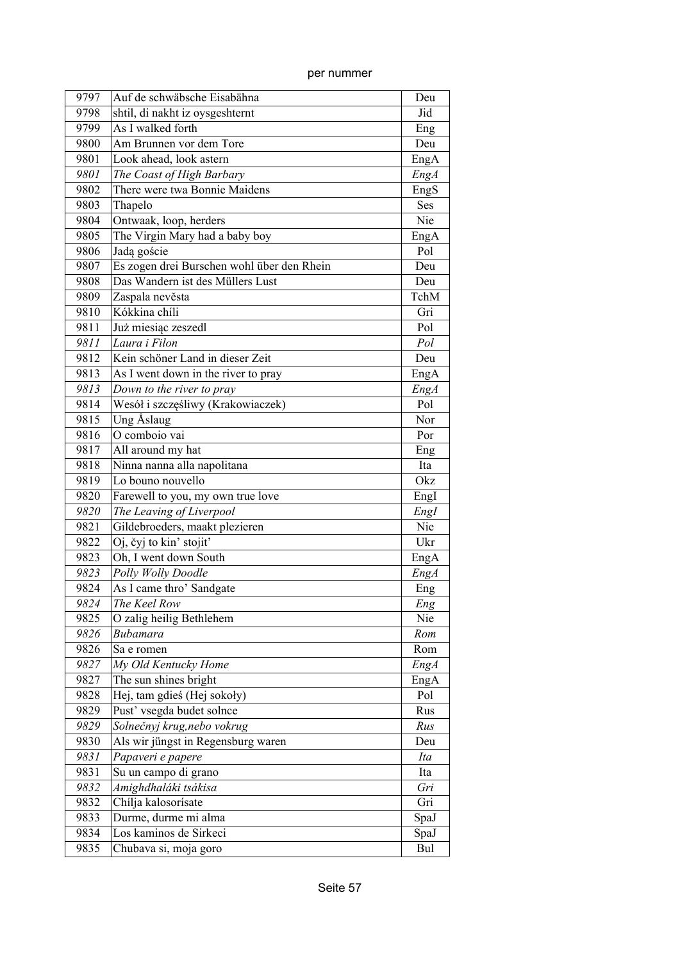| 9797 | Auf de schwäbsche Eisabähna                      | Deu         |
|------|--------------------------------------------------|-------------|
| 9798 | shtil, di nakht iz oysgeshternt                  | Jid         |
| 9799 | As I walked forth                                | Eng         |
| 9800 | Am Brunnen vor dem Tore                          | Deu         |
| 9801 | Look ahead, look astern                          | EngA        |
| 9801 | The Coast of High Barbary                        | EngA        |
| 9802 | There were twa Bonnie Maidens                    | EngS        |
| 9803 | Thapelo                                          | Ses         |
| 9804 | Ontwaak, loop, herders                           | Nie         |
| 9805 | The Virgin Mary had a baby boy                   | EngA        |
| 9806 | Jadą goście                                      | Pol         |
| 9807 | Es zogen drei Burschen wohl über den Rhein       | Deu         |
| 9808 | Das Wandern ist des Müllers Lust                 | Deu         |
| 9809 | Zaspala nevěsta                                  | TchM        |
| 9810 | Kókkina chíli                                    | Gri         |
| 9811 | Już miesiąc zeszedl                              | Pol         |
| 9811 | Laura i Filon                                    | Pol         |
| 9812 | Kein schöner Land in dieser Zeit                 | Deu         |
| 9813 | As I went down in the river to pray              | EngA        |
| 9813 | Down to the river to pray                        | EngA        |
| 9814 | Wesół i szczęśliwy (Krakowiaczek)                | Pol         |
| 9815 | Ung Åslaug                                       | Nor         |
| 9816 | O comboio vai                                    | Por         |
| 9817 | All around my hat                                |             |
| 9818 |                                                  | Eng<br>Ita  |
|      | Ninna nanna alla napolitana<br>Lo bouno nouvello | Okz         |
| 9819 |                                                  |             |
| 9820 | Farewell to you, my own true love                | EngI        |
| 9820 | The Leaving of Liverpool                         | Engl        |
| 9821 | Gildebroeders, maakt plezieren                   | Nie         |
| 9822 | Oj, čyj to kin' stojit'                          | Ukr         |
| 9823 | Oh, I went down South                            | EngA        |
| 9823 | Polly Wolly Doodle                               | <b>EngA</b> |
| 9824 | As I came thro' Sandgate                         | Eng         |
| 9824 | The Keel Row                                     | Eng         |
| 9825 | O zalig heilig Bethlehem                         | Nie         |
| 9826 | Bubamara                                         | Rom         |
| 9826 | Sa e romen                                       | Rom         |
| 9827 | My Old Kentucky Home                             | EngA        |
| 9827 | The sun shines bright                            | EngA        |
| 9828 | Hej, tam gdieś (Hej sokoły)                      | Pol         |
| 9829 | Pust' vsegda budet solnce                        | Rus         |
| 9829 | Solnečnyj krug, nebo vokrug                      | Rus         |
| 9830 | Als wir jüngst in Regensburg waren               | Deu         |
| 9831 | Papaveri e papere                                | Ita         |
| 9831 | Su un campo di grano                             | Ita         |
| 9832 | Amighdhaláki tsákisa                             | Gri         |
| 9832 | Chílja kalosorísate                              | Gri         |
| 9833 | Durme, durme mi alma                             | SpaJ        |
| 9834 | Los kaminos de Sirkeci                           | SpaJ        |
| 9835 | Chubava si, moja goro                            | Bul         |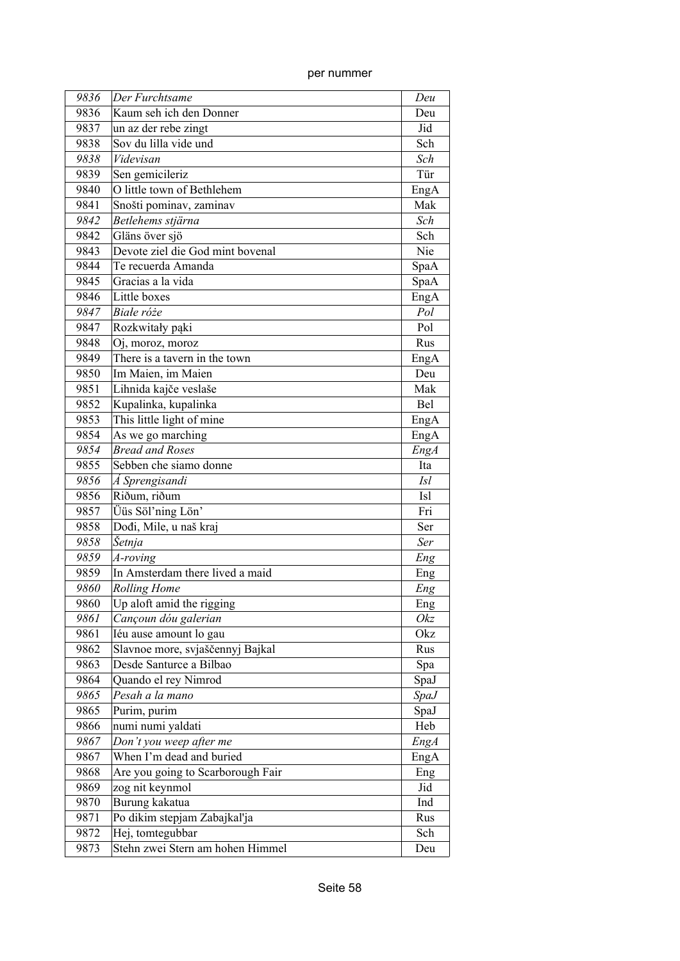| 9836 | Der Furchtsame                    | Deu         |
|------|-----------------------------------|-------------|
| 9836 | Kaum seh ich den Donner           | Deu         |
| 9837 | un az der rebe zingt              | Jid         |
| 9838 | Sov du lilla vide und             | Sch         |
|      | Videvisan                         |             |
| 9838 |                                   | Sch         |
| 9839 | Sen gemicileriz                   | Tür         |
| 9840 | O little town of Bethlehem        | EngA        |
| 9841 | Snošti pominav, zaminav           | Mak         |
| 9842 | Betlehems stjärna                 | Sch         |
| 9842 | Gläns över sjö                    | Sch         |
| 9843 | Devote ziel die God mint bovenal  | Nie         |
| 9844 | Te recuerda Amanda                | SpaA        |
| 9845 | Gracias a la vida                 | SpaA        |
| 9846 | Little boxes                      | EngA        |
| 9847 | Białe róże                        | Pol         |
| 9847 | Rozkwitały pąki                   | Pol         |
| 9848 | Oj, moroz, moroz                  | Rus         |
| 9849 | There is a tavern in the town     | EngA        |
| 9850 | Im Maien, im Maien                | Deu         |
| 9851 | Lihnida kajče veslaše             | Mak         |
| 9852 | Kupalinka, kupalinka              | Bel         |
| 9853 | This little light of mine         | EngA        |
| 9854 | As we go marching                 | EngA        |
| 9854 | <b>Bread and Roses</b>            | EngA        |
| 9855 | Sebben che siamo donne            | Ita         |
| 9856 | Á Sprengisandi                    | <i>Isl</i>  |
| 9856 | Riðum, riðum                      | <b>Isl</b>  |
| 9857 | Üüs Söl'ning Lön'                 | Fri         |
| 9858 | Dođi, Mile, u naš kraj            | Ser         |
| 9858 | Šetnja                            | Ser         |
| 9859 | A-roving                          | Eng         |
| 9859 | In Amsterdam there lived a maid   | Eng         |
| 9860 | <b>Rolling Home</b>               | Eng         |
| 9860 | Up aloft amid the rigging         | Eng         |
| 9861 | Cançoun dóu galerian              | Okz         |
| 9861 | Iéu ause amount lo gau            | Okz         |
| 9862 | Slavnoe more, svjaščennyj Bajkal  | Rus         |
| 9863 | Desde Santurce a Bilbao           | Spa         |
| 9864 | Quando el rey Nimrod              | SpaJ        |
| 9865 | Pesah a la mano                   | <i>SpaJ</i> |
| 9865 | Purim, purim                      | SpaJ        |
| 9866 | numi numi yaldati                 | Heb         |
| 9867 | Don't you weep after me           | EngA        |
| 9867 | When I'm dead and buried          | EngA        |
| 9868 | Are you going to Scarborough Fair | Eng         |
| 9869 | zog nit keynmol                   | Jid         |
| 9870 | Burung kakatua                    | Ind         |
| 9871 | Po dikim stepjam Zabajkal'ja      | Rus         |
| 9872 | Hej, tomtegubbar                  | Sch         |
| 9873 | Stehn zwei Stern am hohen Himmel  | Deu         |
|      |                                   |             |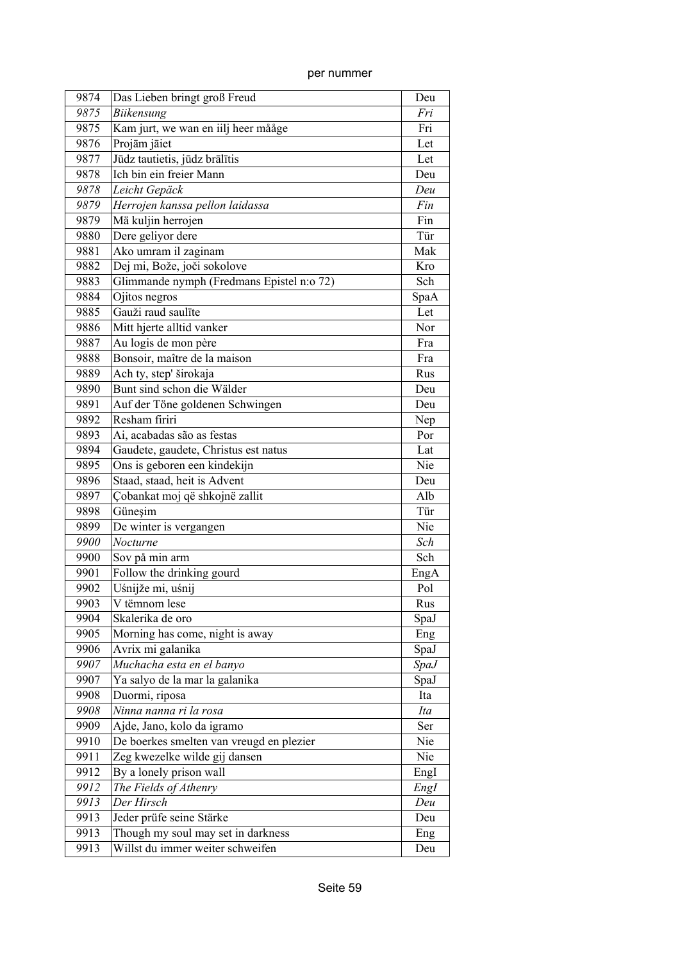| per nummer |
|------------|
|            |

| 9874 | Das Lieben bringt groß Freud              | Deu         |
|------|-------------------------------------------|-------------|
| 9875 | <b>Biikensung</b>                         | Fri         |
| 9875 | Kam jurt, we wan en iilj heer mååge       | Fri         |
| 9876 | Projām jāiet                              | Let         |
| 9877 | Jūdz tautietis, jūdz brālītis             | Let         |
| 9878 | Ich bin ein freier Mann                   | Deu         |
| 9878 | Leicht Gepäck                             | Deu         |
| 9879 | Herrojen kanssa pellon laidassa           | Fin         |
| 9879 | Mä kuljin herrojen                        | Fin         |
| 9880 | Dere geliyor dere                         | Tür         |
| 9881 | Ako umram il zaginam                      | Mak         |
| 9882 | Dej mi, Bože, joči sokolove               | Kro         |
| 9883 | Glimmande nymph (Fredmans Epistel n:o 72) | Sch         |
| 9884 | Ojitos negros                             | SpaA        |
| 9885 | Gauži raud saulīte                        | Let         |
| 9886 | Mitt hjerte alltid vanker                 | Nor         |
| 9887 | Au logis de mon père                      | Fra         |
| 9888 | Bonsoir, maître de la maison              | Fra         |
| 9889 | Ach ty, step' širokaja                    | Rus         |
| 9890 | Bunt sind schon die Wälder                | Deu         |
| 9891 | Auf der Töne goldenen Schwingen           | Deu         |
| 9892 | Resham firiri                             | Nep         |
| 9893 | Ai, acabadas são as festas                | Por         |
| 9894 | Gaudete, gaudete, Christus est natus      | Lat         |
| 9895 | Ons is geboren een kindekijn              | Nie         |
| 9896 | Staad, staad, heit is Advent              | Deu         |
| 9897 | Çobankat moj që shkojnë zallit            | Alb         |
| 9898 | Güneşim                                   | Tür         |
| 9899 | De winter is vergangen                    | Nie         |
| 9900 | Nocturne                                  | Sch         |
| 9900 | Sov på min arm                            | Sch         |
| 9901 | Follow the drinking gourd                 | EngA        |
| 9902 | Uśnijže mi, uśnij                         | Pol         |
| 9903 | V tëmnom lese                             | Rus         |
| 9904 | Skalerika de oro                          | SpaJ        |
| 9905 | Morning has come, night is away           | Eng         |
| 9906 | Avrix mi galanika                         | SpaJ        |
| 9907 | Muchacha esta en el banyo                 | <i>SpaJ</i> |
| 9907 | Ya salyo de la mar la galanika            | SpaJ        |
| 9908 | Duormi, riposa                            | Ita         |
| 9908 | Ninna nanna ri la rosa                    | Ita         |
| 9909 | Ajde, Jano, kolo da igramo                | Ser         |
| 9910 | De boerkes smelten van vreugd en plezier  | Nie         |
| 9911 | Zeg kwezelke wilde gij dansen             | Nie         |
| 9912 | By a lonely prison wall                   | EngI        |
| 9912 | The Fields of Athenry                     | EngI        |
| 9913 | Der Hirsch                                | Deu         |
| 9913 | Jeder prüfe seine Stärke                  | Deu         |
| 9913 | Though my soul may set in darkness        | Eng         |
| 9913 | Willst du immer weiter schweifen          | Deu         |
|      |                                           |             |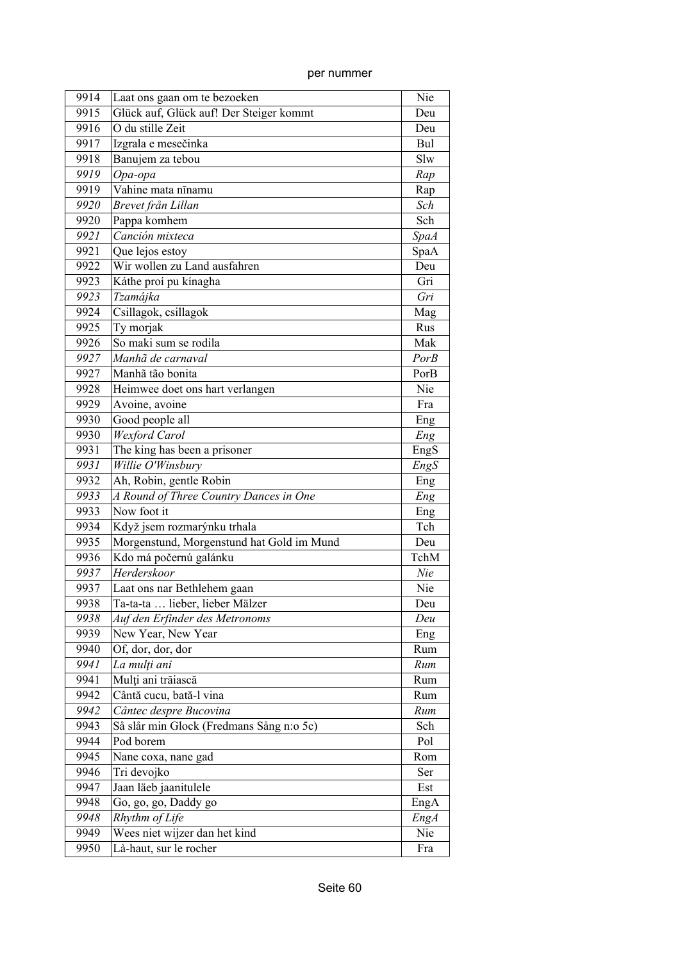| 9914 | Laat ons gaan om te bezoeken              | Nie         |
|------|-------------------------------------------|-------------|
| 9915 | Glück auf, Glück auf! Der Steiger kommt   | Deu         |
| 9916 | O du stille Zeit                          | Deu         |
| 9917 | Izgrala e mesečinka                       | Bul         |
| 9918 | Banujem za tebou                          | Slw         |
| 9919 | Opa-opa                                   | Rap         |
| 9919 | Vahine mata nīnamu                        | Rap         |
| 9920 | Brevet från Lillan                        | Sch         |
| 9920 | Pappa komhem                              | Sch         |
| 9921 | Canción mixteca                           | <b>SpaA</b> |
| 9921 | Que lejos estoy                           | SpaA        |
| 9922 | Wir wollen zu Land ausfahren              | Deu         |
| 9923 | Káthe proí pu kínagha                     | Gri         |
| 9923 | Tzamájka                                  | Gri         |
| 9924 | Csillagok, csillagok                      | Mag         |
| 9925 | Ty morjak                                 | Rus         |
| 9926 | So maki sum se rodila                     | Mak         |
| 9927 | Manhã de carnaval                         | <b>PorB</b> |
| 9927 | Manhã tão bonita                          | PorB        |
| 9928 | Heimwee doet ons hart verlangen           | Nie         |
| 9929 | Avoine, avoine                            | Fra         |
| 9930 | Good people all                           | Eng         |
| 9930 | Wexford Carol                             | Eng         |
| 9931 | The king has been a prisoner              | EngS        |
| 9931 | Willie O'Winsbury                         | EngS        |
| 9932 | Ah, Robin, gentle Robin                   | Eng         |
| 9933 | A Round of Three Country Dances in One    | Eng         |
| 9933 | Now foot it                               | Eng         |
| 9934 | Když jsem rozmarýnku trhala               | Tch         |
| 9935 | Morgenstund, Morgenstund hat Gold im Mund | Deu         |
| 9936 | Kdo má počernú galánku                    | TchM        |
| 9937 | Herderskoor                               | Nie         |
| 9937 | Laat ons nar Bethlehem gaan               | Nie         |
| 9938 | Ta-ta-ta  lieber, lieber Mälzer           | Deu         |
| 9938 | Auf den Erfinder des Metronoms            | Deu         |
| 9939 | New Year, New Year                        | Eng         |
| 9940 | Of, dor, dor, dor                         | Rum         |
| 9941 | La mulți ani                              | Rum         |
| 9941 | Mulți ani trăiască                        | Rum         |
| 9942 | Cântă cucu, bată-l vina                   | Rum         |
| 9942 | Cântec despre Bucovina                    | Rum         |
| 9943 | Så slår min Glock (Fredmans Sång n:o 5c)  | Sch         |
| 9944 | Pod borem                                 | Pol         |
| 9945 | Nane coxa, nane gad                       | Rom         |
| 9946 | Tri devojko                               | Ser         |
| 9947 | Jaan läeb jaanitulele                     | Est         |
| 9948 | Go, go, go, Daddy go                      | EngA        |
| 9948 | Rhythm of Life                            | <b>EngA</b> |
| 9949 | Wees niet wijzer dan het kind             | Nie         |
| 9950 | Là-haut, sur le rocher                    | Fra         |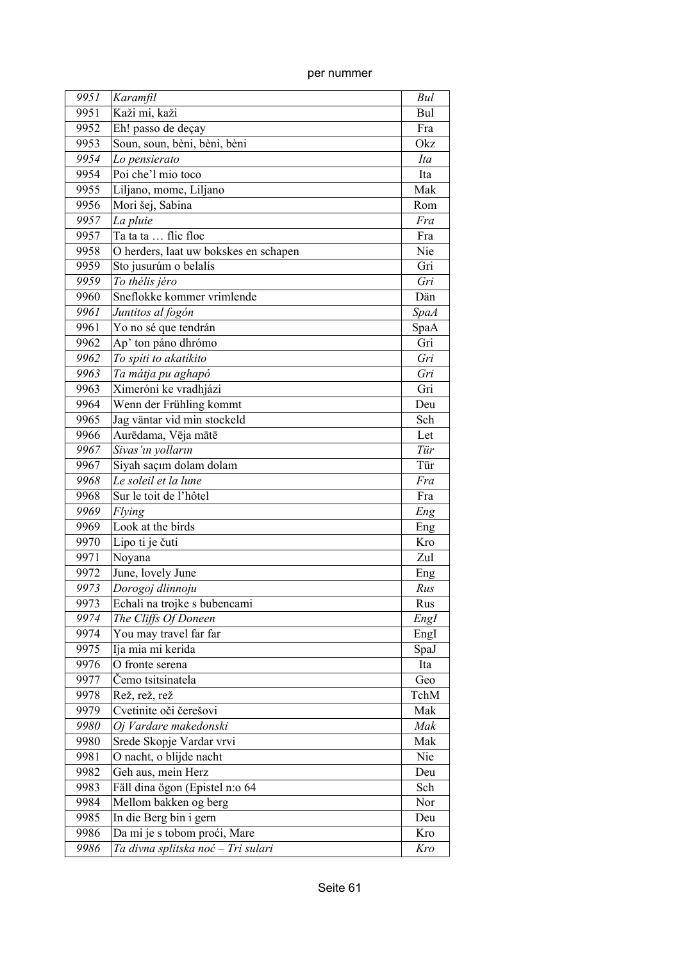| 9951 | Karamfil                              | Bul         |
|------|---------------------------------------|-------------|
| 9951 | Kaži mi, kaži                         | Bul         |
| 9952 | Eh! passo de deçay                    | Fra         |
| 9953 | Soun, soun, bèni, bèni, bèni          | Okz         |
| 9954 | Lo pensierato                         | Ita         |
| 9954 | Poi che'l mio toco                    | Ita         |
| 9955 | Liljano, mome, Liljano                | Mak         |
| 9956 | Mori šej, Sabina                      | Rom         |
| 9957 | La pluie                              | Fra         |
| 9957 | Ta ta ta  flic floc                   | Fra         |
| 9958 | O herders, laat uw bokskes en schapen | Nie         |
| 9959 | Sto jusurúm o belalís                 | Gri         |
| 9959 | To thélis jéro                        | Gri         |
| 9960 | Sneflokke kommer vrimlende            | Dän         |
| 9961 | Juntitos al fogón                     | <b>SpaA</b> |
| 9961 | Yo no sé que tendrán                  | SpaA        |
| 9962 | Ap' ton páno dhrómo                   | Gri         |
| 9962 | To spíti to akatíkito                 | Gri         |
| 9963 | Ta mátja pu aghapó                    | Gri         |
| 9963 | Ximeróni ke vradhjázi                 | Gri         |
| 9964 | Wenn der Frühling kommt               | Deu         |
| 9965 | Jag väntar vid min stockeld           | Sch         |
| 9966 | Aurēdama, Vēja mātē                   | Let         |
| 9967 | Sivas'ın yolların                     | Tür         |
| 9967 | Siyah saçım dolam dolam               | Tür         |
| 9968 | Le soleil et la lune                  | Fra         |
| 9968 | Sur le toit de l'hôtel                | Fra         |
| 9969 | Flying                                | Eng         |
| 9969 | Look at the birds                     | Eng         |
| 9970 | Lipo ti je čuti                       | Kro         |
| 9971 | Noyana                                | Zul         |
| 9972 | June, lovely June                     | Eng         |
| 9973 | Dorogoj dlinnoju                      | Rus         |
| 9973 | Echali na trojke s bubencami          | Rus         |
| 9974 | The Cliffs Of Doneen                  | EngI        |
| 9974 | You may travel far far                | EngI        |
| 9975 | Ija mia mi kerida                     | SpaJ        |
| 9976 | O fronte serena                       | Ita         |
| 9977 | Čemo tsitsinatela                     | Geo         |
| 9978 | Rež, rež, rež                         | TchM        |
| 9979 | Cvetinite oči čerešovi                | Mak         |
| 9980 | Oj Vardare makedonski                 | Mak         |
| 9980 | Srede Skopje Vardar vrvi              | Mak         |
| 9981 | O nacht, o blijde nacht               | Nie         |
| 9982 | Geh aus, mein Herz                    | Deu         |
| 9983 | Fäll dina ögon (Epistel n:o 64        | Sch         |
| 9984 | Mellom bakken og berg                 | Nor         |
| 9985 | In die Berg bin i gern                | Deu         |
| 9986 | Da mi je s tobom proći, Mare          | Kro         |
| 9986 | Ta divna splitska noć - Tri sulari    | Kro         |